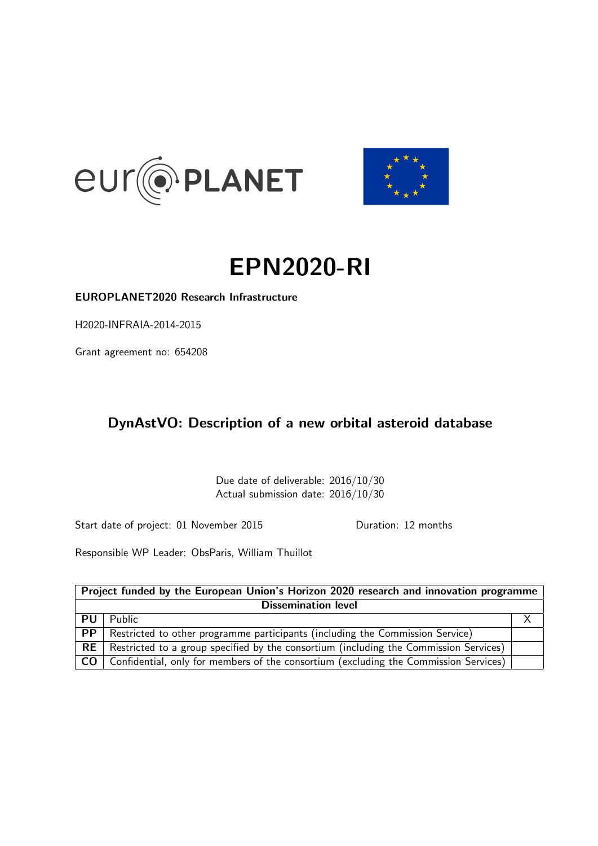<span id="page-0-0"></span>



# EPN2020-RI

EUROPLANET2020 Research Infrastructure

H2020-INFRAIA-2014-2015

Grant agreement no: 654208

## DynAstVO: Description of a new orbital asteroid database

Due date of deliverable: 2016/10/30 Actual submission date: 2016/10/30

Start date of project: 01 November 2015 Duration: 12 months

Responsible WP Leader: ObsParis, William Thuillot

| Project funded by the European Union's Horizon 2020 research and innovation programme |                                                                                       |  |  |  |  |  |
|---------------------------------------------------------------------------------------|---------------------------------------------------------------------------------------|--|--|--|--|--|
| <b>Dissemination level</b>                                                            |                                                                                       |  |  |  |  |  |
| <b>PU</b>                                                                             | Public                                                                                |  |  |  |  |  |
| PP                                                                                    | Restricted to other programme participants (including the Commission Service)         |  |  |  |  |  |
| RE                                                                                    | Restricted to a group specified by the consortium (including the Commission Services) |  |  |  |  |  |
| CO <sub>1</sub>                                                                       | Confidential, only for members of the consortium (excluding the Commission Services)  |  |  |  |  |  |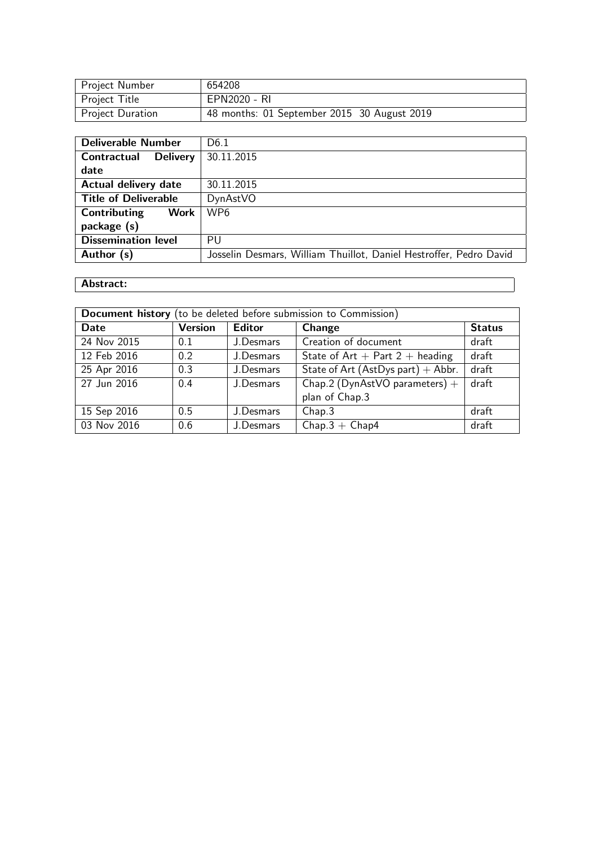| Project Number          | 654208                                      |
|-------------------------|---------------------------------------------|
| Project Title           | EPN2020 - RI                                |
| <b>Project Duration</b> | 48 months: 01 September 2015 30 August 2019 |

| <b>Deliverable Number</b>             | D <sub>6.1</sub>                                                   |
|---------------------------------------|--------------------------------------------------------------------|
| <b>Delivery</b><br><b>Contractual</b> | 30.11.2015                                                         |
| date                                  |                                                                    |
| <b>Actual delivery date</b>           | 30.11.2015                                                         |
| <b>Title of Deliverable</b>           | DynAstVO                                                           |
| <b>Work</b><br>Contributing           | WP <sub>6</sub>                                                    |
| package (s)                           |                                                                    |
| <b>Dissemination level</b>            | PU                                                                 |
| Author (s)                            | Josselin Desmars, William Thuillot, Daniel Hestroffer, Pedro David |

## Abstract:

| Document history (to be deleted before submission to Commission) |                                                  |                                                        |                                      |       |  |  |  |  |  |  |
|------------------------------------------------------------------|--------------------------------------------------|--------------------------------------------------------|--------------------------------------|-------|--|--|--|--|--|--|
| Date                                                             | <b>Version</b><br><b>Editor</b><br><b>Change</b> |                                                        |                                      |       |  |  |  |  |  |  |
| 24 Nov 2015                                                      | 0.1                                              | J.Desmars                                              | Creation of document                 | draft |  |  |  |  |  |  |
| 12 Feb 2016                                                      | 0.2                                              | J.Desmars                                              | State of $Art + Part 2 + heading$    | draft |  |  |  |  |  |  |
| 25 Apr 2016                                                      | 0.3                                              | J.Desmars                                              | State of Art (AstDys part) $+$ Abbr. | draft |  |  |  |  |  |  |
| 27 Jun 2016                                                      | 0.4                                              | draft<br>Chap.2 (DynAstVO parameters) $+$<br>J.Desmars |                                      |       |  |  |  |  |  |  |
|                                                                  |                                                  |                                                        | plan of Chap.3                       |       |  |  |  |  |  |  |
| 15 Sep 2016                                                      | 0.5                                              | J.Desmars                                              | Chap.3                               | draft |  |  |  |  |  |  |
| 03 Nov 2016                                                      | 0.6                                              | J.Desmars                                              | $Chap.3 + Chap.4$                    | draft |  |  |  |  |  |  |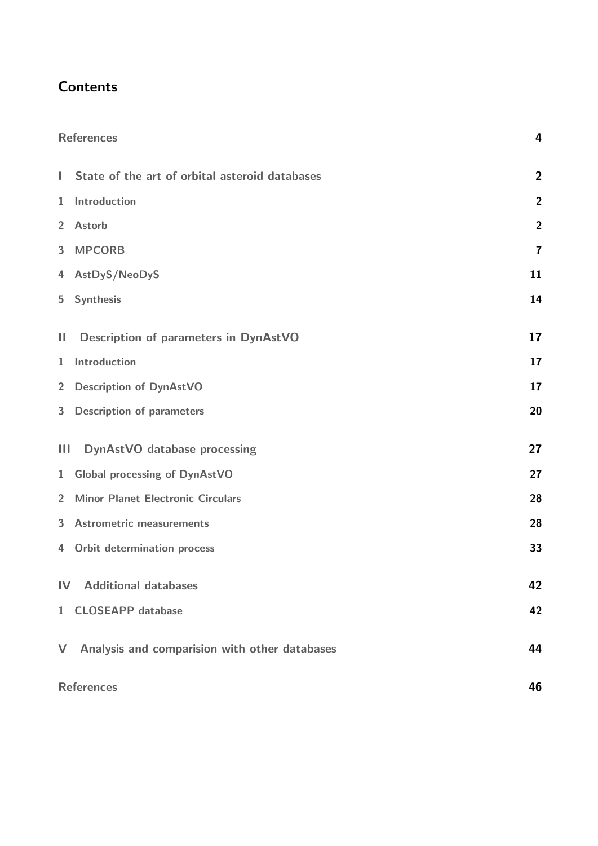## **Contents**

|                | <b>References</b>                              | $\overline{4}$          |
|----------------|------------------------------------------------|-------------------------|
| L              | State of the art of orbital asteroid databases | $\overline{2}$          |
| $\mathbf{1}$   | Introduction                                   | $\overline{2}$          |
| $\overline{2}$ | <b>Astorb</b>                                  | $\overline{2}$          |
| 3              | <b>MPCORB</b>                                  | $\overline{\mathbf{7}}$ |
| 4              | AstDyS/NeoDyS                                  | 11                      |
| 5              | <b>Synthesis</b>                               | 14                      |
| $\mathbf{H}$   | <b>Description of parameters in DynAstVO</b>   | 17                      |
| $\mathbf{1}$   | Introduction                                   | 17                      |
| $\overline{2}$ | <b>Description of DynAstVO</b>                 | 17                      |
| 3              | <b>Description of parameters</b>               | 20                      |
| $\mathbf{III}$ | <b>DynAstVO</b> database processing            | 27                      |
| 1              | <b>Global processing of DynAstVO</b>           | 27                      |
| $\overline{2}$ | <b>Minor Planet Electronic Circulars</b>       | 28                      |
| 3              | <b>Astrometric measurements</b>                | 28                      |
| 4              | Orbit determination process                    | 33                      |
|                | <b>IV</b> Additional databases                 | 42                      |
|                | 1 CLOSEAPP database                            | 42                      |
| $\mathsf{V}$   | Analysis and comparision with other databases  | 44                      |
|                | <b>References</b>                              | 46                      |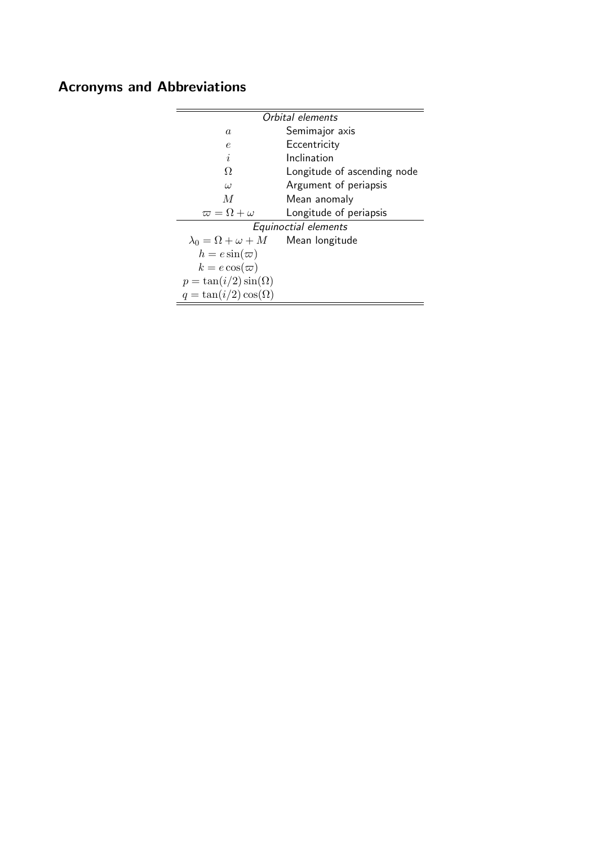## Acronyms and Abbreviations

|                                                  | Orbital elements            |
|--------------------------------------------------|-----------------------------|
| $\it a$                                          | Semimajor axis              |
| e                                                | Eccentricity                |
| $\dot{i}$                                        | Inclination                 |
| Ω                                                | Longitude of ascending node |
| $\omega$                                         | Argument of periapsis       |
| M                                                | Mean anomaly                |
| $\varpi = \Omega + \omega$                       | Longitude of periapsis      |
|                                                  | Equinoctial elements        |
| $\lambda_0 = \Omega + \omega + M$ Mean longitude |                             |
| $h = e \sin(\varpi)$                             |                             |
| $k = e \cos(\varpi)$                             |                             |
| $p = \tan(i/2) \sin(\Omega)$                     |                             |
| $q = \tan(i/2) \cos(\Omega)$                     |                             |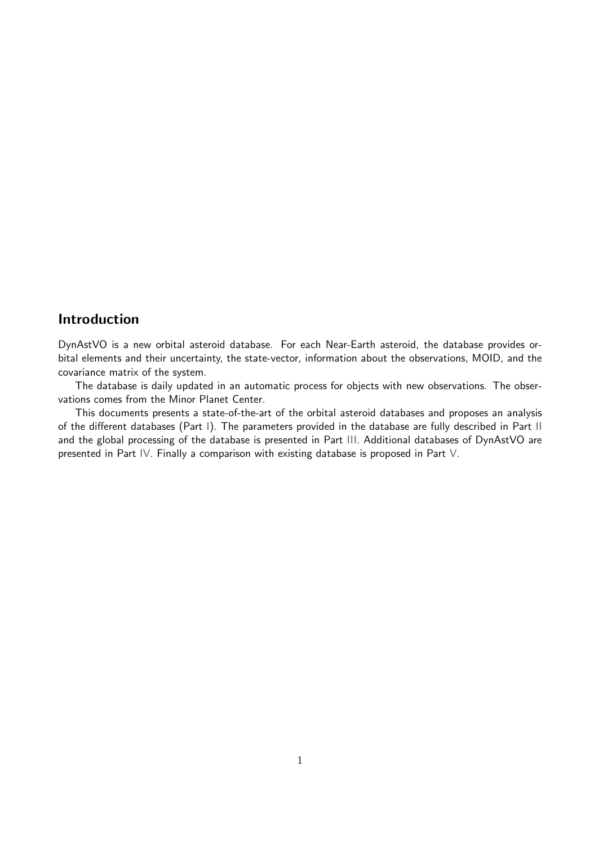## Introduction

DynAstVO is a new orbital asteroid database. For each Near-Earth asteroid, the database provides orbital elements and their uncertainty, the state-vector, information about the observations, MOID, and the covariance matrix of the system.

The database is daily updated in an automatic process for objects with new observations. The observations comes from the Minor Planet Center.

This documents presents a state-of-the-art of the orbital asteroid databases and proposes an analysis of the different databases (Part [I\)](#page-5-0). The parameters provided in the database are fully described in Part [II](#page-20-0) and the global processing of the database is presented in Part [III.](#page-30-0) Additional databases of DynAstVO are presented in Part [IV.](#page-45-0) Finally a comparison with existing database is proposed in Part [V.](#page-47-0)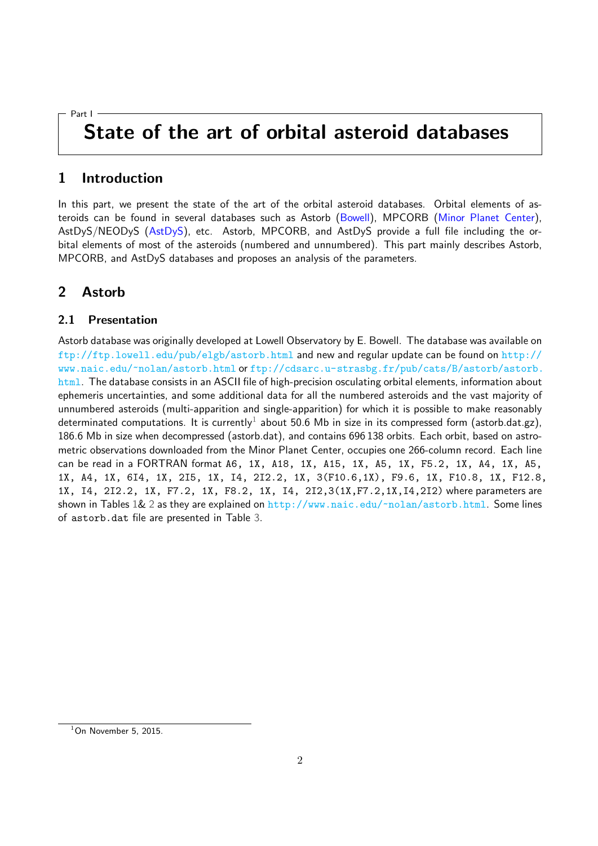#### <span id="page-5-0"></span>Part I

## State of the art of orbital asteroid databases

### <span id="page-5-1"></span>1 Introduction

In this part, we present the state of the art of the orbital asteroid databases. Orbital elements of as-teroids can be found in several databases such as Astorb [\(Bowell\)](#page-49-0), MPCORB [\(Minor Planet Center\)](#page-49-1), AstDyS/NEODyS [\(AstDyS\)](#page-49-2), etc. Astorb, MPCORB, and AstDyS provide a full file including the orbital elements of most of the asteroids (numbered and unnumbered). This part mainly describes Astorb, MPCORB, and AstDyS databases and proposes an analysis of the parameters.

## <span id="page-5-2"></span>2 Astorb

#### 2.1 Presentation

Astorb database was originally developed at Lowell Observatory by E. Bowell. The database was available on <ftp://ftp.lowell.edu/pub/elgb/astorb.html> and new and regular update can be found on [http://](http://www.naic.edu/~nolan/astorb.html) [www.naic.edu/~nolan/astorb.html](http://www.naic.edu/~nolan/astorb.html) or [ftp://cdsarc.u-strasbg.fr/pub/cats/B/astorb/astorb.](ftp://cdsarc.u-strasbg.fr/pub/cats/B/astorb/astorb.html) [html](ftp://cdsarc.u-strasbg.fr/pub/cats/B/astorb/astorb.html). The database consists in an ASCII file of high-precision osculating orbital elements, information about ephemeris uncertainties, and some additional data for all the numbered asteroids and the vast majority of unnumbered asteroids (multi-apparition and single-apparition) for which it is possible to make reasonably determinated computations. It is currently $^1$  $^1$  about 50.6 Mb in size in its compressed form (astorb.dat.gz), 186.6 Mb in size when decompressed (astorb.dat), and contains 696 138 orbits. Each orbit, based on astrometric observations downloaded from the Minor Planet Center, occupies one 266-column record. Each line can be read in a FORTRAN format A6, 1X, A18, 1X, A15, 1X, A5, 1X, F5.2, 1X, A4, 1X, A5, 1X, A4, 1X, 6I4, 1X, 2I5, 1X, I4, 2I2.2, 1X, 3(F10.6,1X), F9.6, 1X, F10.8, 1X, F12.8, 1X, I4, 2I2.2, 1X, F7.2, 1X, F8.2, 1X, I4, 2I2,3(1X,F7.2,1X,I4,2I2) where parameters are shown in Tables [1&](#page-6-0) [2](#page-7-0) as they are explained on <http://www.naic.edu/~nolan/astorb.html>. Some lines of astorb.dat file are presented in Table [3.](#page-9-1)

<span id="page-5-3"></span> $1$ On November 5, 2015.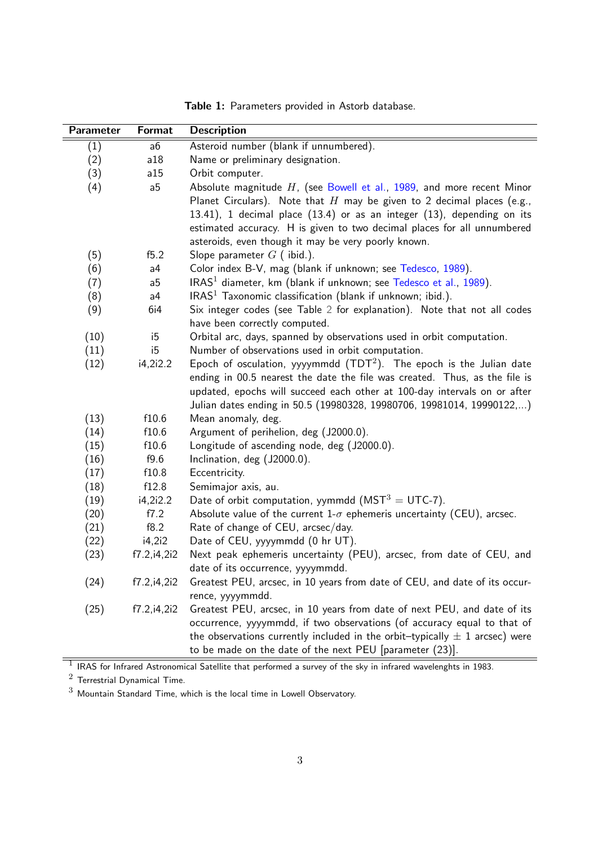|  | <b>Table 1:</b> Parameters provided in Astorb database. |  |  |  |  |
|--|---------------------------------------------------------|--|--|--|--|
|--|---------------------------------------------------------|--|--|--|--|

<span id="page-6-0"></span>

| Parameter | Format         | <b>Description</b>                                                              |
|-----------|----------------|---------------------------------------------------------------------------------|
| (1)       | a6             | Asteroid number (blank if unnumbered).                                          |
| (2)       | a18            | Name or preliminary designation.                                                |
| (3)       | a15            | Orbit computer.                                                                 |
| (4)       | a <sub>5</sub> | Absolute magnitude $H$ , (see Bowell et al., 1989, and more recent Minor        |
|           |                | Planet Circulars). Note that $H$ may be given to 2 decimal places (e.g.,        |
|           |                | $13.41$ ), 1 decimal place $(13.4)$ or as an integer $(13)$ , depending on its  |
|           |                | estimated accuracy. H is given to two decimal places for all unnumbered         |
|           |                | asteroids, even though it may be very poorly known.                             |
| (5)       | f5.2           | Slope parameter $G$ (ibid.).                                                    |
| (6)       | a <sub>4</sub> | Color index B-V, mag (blank if unknown; see Tedesco, 1989).                     |
| (7)       | a <sub>5</sub> | IRAS <sup>1</sup> diameter, km (blank if unknown; see Tedesco et al., 1989).    |
| (8)       | a <sub>4</sub> | IRAS <sup>1</sup> Taxonomic classification (blank if unknown; ibid.).           |
| (9)       | 6i4            | Six integer codes (see Table 2 for explanation). Note that not all codes        |
|           |                | have been correctly computed.                                                   |
| (10)      | i5             | Orbital arc, days, spanned by observations used in orbit computation.           |
| (11)      | i5             | Number of observations used in orbit computation.                               |
| (12)      | i4, 2i2.2      | Epoch of osculation, yyyymmdd $(TDT2)$ . The epoch is the Julian date           |
|           |                | ending in 00.5 nearest the date the file was created. Thus, as the file is      |
|           |                | updated, epochs will succeed each other at 100-day intervals on or after        |
|           |                | Julian dates ending in 50.5 (19980328, 19980706, 19981014, 19990122,)           |
| (13)      | f10.6          | Mean anomaly, deg.                                                              |
| (14)      | f10.6          | Argument of perihelion, deg (J2000.0).                                          |
| (15)      | f10.6          | Longitude of ascending node, deg (J2000.0).                                     |
| (16)      | f9.6           | Inclination, deg (J2000.0).                                                     |
| (17)      | f10.8          | Eccentricity.                                                                   |
| (18)      | f12.8          | Semimajor axis, au.                                                             |
| (19)      | i4,2i2.2       | Date of orbit computation, yymmdd ( $MST^3 = UTC-7$ ).                          |
| (20)      | f7.2           | Absolute value of the current $1-\sigma$ ephemeris uncertainty (CEU), arcsec.   |
| (21)      | f8.2           | Rate of change of CEU, arcsec/day.                                              |
| (22)      | i4, 2i2        | Date of CEU, yyyymmdd (0 hr UT).                                                |
| (23)      | f7.2, i4, 2i2  | Next peak ephemeris uncertainty (PEU), arcsec, from date of CEU, and            |
|           |                | date of its occurrence, yyyymmdd.                                               |
| (24)      | f7.2, i4, 2i2  | Greatest PEU, arcsec, in 10 years from date of CEU, and date of its occur-      |
|           |                | rence, yyyymmdd.                                                                |
| (25)      | f7.2, i4, 2i2  | Greatest PEU, arcsec, in 10 years from date of next PEU, and date of its        |
|           |                | occurrence, yyyymmdd, if two observations (of accuracy equal to that of         |
|           |                | the observations currently included in the orbit-typically $\pm$ 1 arcsec) were |
|           |                | to be made on the date of the next PEU [parameter $(23)$ ].                     |

 $^1$  IRAS for Infrared Astronomical Satellite that performed a survey of the sky in infrared wavelenghts in 1983.

 $^2$  Terrestrial Dynamical Time.

 $^3$  Mountain Standard Time, which is the local time in Lowell Observatory.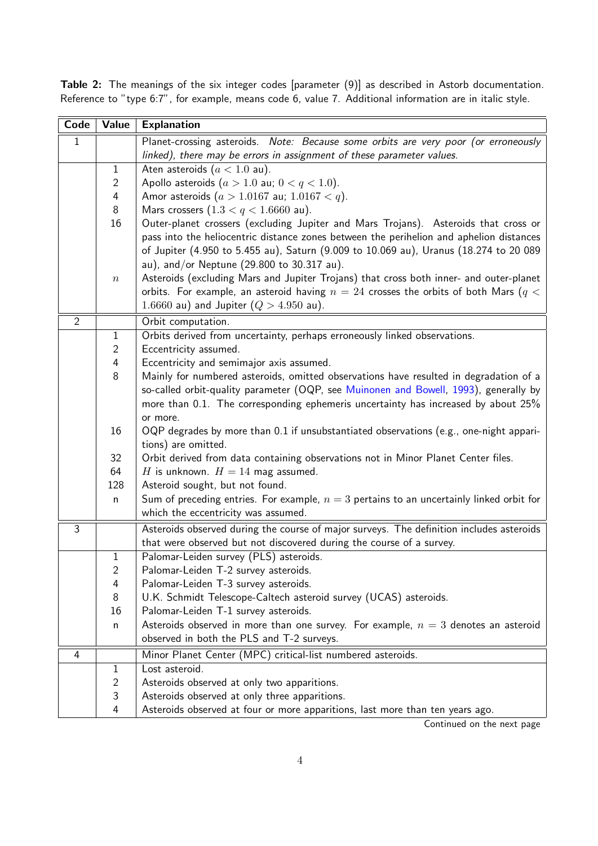| Code           | Value          | <b>Explanation</b>                                                                                       |
|----------------|----------------|----------------------------------------------------------------------------------------------------------|
| $\mathbf{1}$   |                | Planet-crossing asteroids. Note: Because some orbits are very poor (or erroneously                       |
|                |                | linked), there may be errors in assignment of these parameter values.                                    |
|                | $\mathbf{1}$   | Aten asteroids $(a < 1.0$ au).                                                                           |
|                | $\overline{c}$ | Apollo asteroids $(a > 1.0$ au; $0 < q < 1.0$ ).                                                         |
|                | 4              | Amor asteroids $(a > 1.0167$ au; $1.0167 < q$ ).                                                         |
|                | 8              | Mars crossers $(1.3 < q < 1.6660$ au).                                                                   |
|                | 16             | Outer-planet crossers (excluding Jupiter and Mars Trojans). Asteroids that cross or                      |
|                |                | pass into the heliocentric distance zones between the perihelion and aphelion distances                  |
|                |                | of Jupiter (4.950 to 5.455 au), Saturn (9.009 to 10.069 au), Uranus (18.274 to 20 089                    |
|                |                | au), and/or Neptune $(29.800 \text{ to } 30.317 \text{ au})$ .                                           |
|                | $\,n$          | Asteroids (excluding Mars and Jupiter Trojans) that cross both inner- and outer-planet                   |
|                |                | orbits. For example, an asteroid having $n = 24$ crosses the orbits of both Mars ( $q <$                 |
|                |                | 1.6660 au) and Jupiter $(Q > 4.950$ au).                                                                 |
| $\overline{2}$ |                | Orbit computation.                                                                                       |
|                | $\mathbf{1}$   | Orbits derived from uncertainty, perhaps erroneously linked observations.                                |
|                | $\overline{2}$ | Eccentricity assumed.                                                                                    |
|                | 4              | Eccentricity and semimajor axis assumed.                                                                 |
|                | 8              | Mainly for numbered asteroids, omitted observations have resulted in degradation of a                    |
|                |                | so-called orbit-quality parameter (OQP, see Muinonen and Bowell, 1993), generally by                     |
|                |                | more than 0.1. The corresponding ephemeris uncertainty has increased by about 25%                        |
|                |                | or more.                                                                                                 |
|                | 16             | OQP degrades by more than 0.1 if unsubstantiated observations (e.g., one-night appari-                   |
|                |                | tions) are omitted.                                                                                      |
|                | 32             | Orbit derived from data containing observations not in Minor Planet Center files.                        |
|                | 64             | H is unknown. $H = 14$ mag assumed.                                                                      |
|                | 128            | Asteroid sought, but not found.                                                                          |
|                | n              | Sum of preceding entries. For example, $n=3$ pertains to an uncertainly linked orbit for                 |
|                |                | which the eccentricity was assumed.                                                                      |
| $\overline{3}$ |                | Asteroids observed during the course of major surveys. The definition includes asteroids                 |
|                |                | that were observed but not discovered during the course of a survey.                                     |
|                | $\mathbf{1}$   | Palomar-Leiden survey (PLS) asteroids.                                                                   |
|                | $\overline{2}$ | Palomar-Leiden T-2 survey asteroids.                                                                     |
|                | 4<br>8         | Palomar-Leiden T-3 survey asteroids.<br>U.K. Schmidt Telescope-Caltech asteroid survey (UCAS) asteroids. |
|                | 16             | Palomar-Leiden T-1 survey asteroids.                                                                     |
|                |                | Asteroids observed in more than one survey. For example, $n=3$ denotes an asteroid                       |
|                | n              | observed in both the PLS and T-2 surveys.                                                                |
| 4              |                | Minor Planet Center (MPC) critical-list numbered asteroids.                                              |
|                | 1              | Lost asteroid.                                                                                           |
|                | $\overline{2}$ | Asteroids observed at only two apparitions.                                                              |
|                | 3              | Asteroids observed at only three apparitions.                                                            |
|                | $\overline{4}$ | Asteroids observed at four or more apparitions, last more than ten years ago.                            |

<span id="page-7-0"></span>Table 2: The meanings of the six integer codes [parameter (9)] as described in Astorb documentation. Reference to "type 6:7", for example, means code 6, value 7. Additional information are in italic style.

Continued on the next page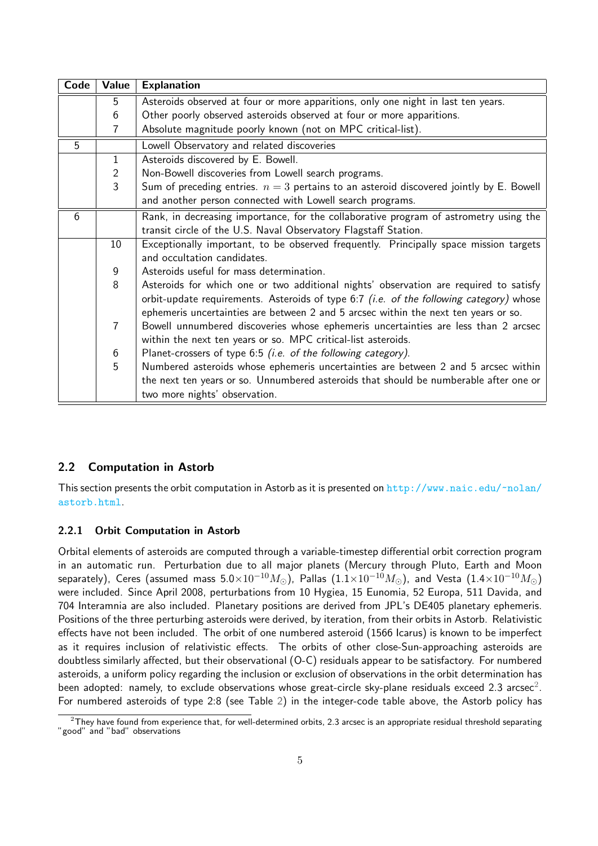| Code | Value          | <b>Explanation</b>                                                                        |
|------|----------------|-------------------------------------------------------------------------------------------|
|      | 5              | Asteroids observed at four or more apparitions, only one night in last ten years.         |
|      | 6              | Other poorly observed asteroids observed at four or more apparitions.                     |
|      | 7              | Absolute magnitude poorly known (not on MPC critical-list).                               |
| 5    |                | Lowell Observatory and related discoveries                                                |
|      | $\mathbf{1}$   | Asteroids discovered by E. Bowell.                                                        |
|      | $\overline{2}$ | Non-Bowell discoveries from Lowell search programs.                                       |
|      | $\overline{3}$ | Sum of preceding entries. $n = 3$ pertains to an asteroid discovered jointly by E. Bowell |
|      |                | and another person connected with Lowell search programs.                                 |
| 6    |                | Rank, in decreasing importance, for the collaborative program of astrometry using the     |
|      |                | transit circle of the U.S. Naval Observatory Flagstaff Station.                           |
|      | 10             | Exceptionally important, to be observed frequently. Principally space mission targets     |
|      |                | and occultation candidates.                                                               |
|      | 9              | Asteroids useful for mass determination.                                                  |
|      | 8              | Asteroids for which one or two additional nights' observation are required to satisfy     |
|      |                | orbit-update requirements. Asteroids of type $6:7$ (i.e. of the following category) whose |
|      |                | ephemeris uncertainties are between 2 and 5 arcsec within the next ten years or so.       |
|      | $\overline{7}$ | Bowell unnumbered discoveries whose ephemeris uncertainties are less than 2 arcsec        |
|      |                | within the next ten years or so. MPC critical-list asteroids.                             |
|      | 6              | Planet-crossers of type 6:5 (i.e. of the following category).                             |
|      | 5              | Numbered asteroids whose ephemeris uncertainties are between 2 and 5 arcsec within        |
|      |                | the next ten years or so. Unnumbered asteroids that should be numberable after one or     |
|      |                | two more nights' observation.                                                             |

### 2.2 Computation in Astorb

This section presents the orbit computation in Astorb as it is presented on  $http://www.naic.edu/~nolan/$ [astorb.html](http://www.naic.edu/~nolan/astorb.html).

#### 2.2.1 Orbit Computation in Astorb

Orbital elements of asteroids are computed through a variable-timestep differential orbit correction program in an automatic run. Perturbation due to all major planets (Mercury through Pluto, Earth and Moon separately), Ceres (assumed mass  $5.0 \times 10^{-10} M_{\odot}$ ), Pallas  $(1.1 \times 10^{-10} M_{\odot})$ , and Vesta  $(1.4 \times 10^{-10} M_{\odot})$ were included. Since April 2008, perturbations from 10 Hygiea, 15 Eunomia, 52 Europa, 511 Davida, and 704 Interamnia are also included. Planetary positions are derived from JPL's DE405 planetary ephemeris. Positions of the three perturbing asteroids were derived, by iteration, from their orbits in Astorb. Relativistic effects have not been included. The orbit of one numbered asteroid (1566 Icarus) is known to be imperfect as it requires inclusion of relativistic effects. The orbits of other close-Sun-approaching asteroids are doubtless similarly affected, but their observational (O-C) residuals appear to be satisfactory. For numbered asteroids, a uniform policy regarding the inclusion or exclusion of observations in the orbit determination has been adopted: namely, to exclude observations whose great-circle sky-plane residuals exceed [2](#page-8-0).3 arcsec $^2\!$ . For numbered asteroids of type 2:8 (see Table [2\)](#page-7-0) in the integer-code table above, the Astorb policy has

<span id="page-8-0"></span> $2$ They have found from experience that, for well-determined orbits, 2.3 arcsec is an appropriate residual threshold separating "good" and "bad" observations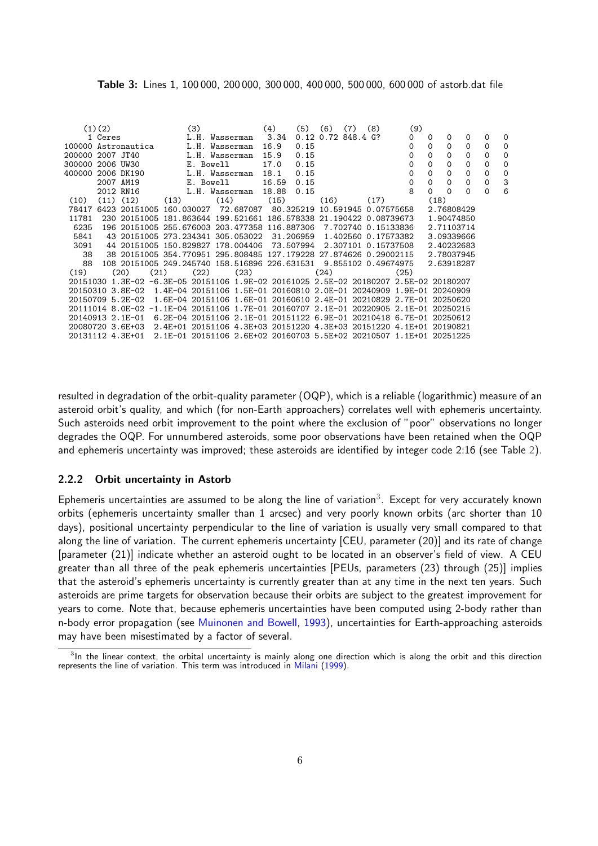<span id="page-9-1"></span>

| <b>Table 3:</b> Lines 1, 100 000, 200 000, 300 000, 400 000, 500 000, 600 000 of astorb.dat file |  |  |  |
|--------------------------------------------------------------------------------------------------|--|--|--|
|--------------------------------------------------------------------------------------------------|--|--|--|

|                     | (1)(2)  |                  |      |      | (3)            |      |                                                                                       | (4)   | (5)  | (6)  | (7)                    | (8)                 | (9)      |            |              |          |              |          |
|---------------------|---------|------------------|------|------|----------------|------|---------------------------------------------------------------------------------------|-------|------|------|------------------------|---------------------|----------|------------|--------------|----------|--------------|----------|
|                     | 1 Ceres |                  |      |      |                |      | L.H. Wasserman                                                                        | 3.34  |      |      | $0.12$ $0.72$ 848.4 G? |                     | $\Omega$ | $\Omega$   | $\Omega$     | $\Omega$ | $\Omega$     | $\Omega$ |
| 100000 Astronautica |         |                  |      |      | L.H. Wasserman |      |                                                                                       | 16.9  | 0.15 |      |                        |                     | 0        | $\Omega$   | $\Omega$     | $\Omega$ | $\Omega$     | $\Omega$ |
| 200000 2007 JT40    |         |                  |      |      | L.H. Wasserman |      |                                                                                       | 15.9  | 0.15 |      |                        |                     | 0        | $\Omega$   | $\Omega$     | $\Omega$ | $\Omega$     | $\Omega$ |
| 300000 2006 UW30    |         |                  |      |      | E. Bowell      |      |                                                                                       | 17.0  | 0.15 |      |                        |                     | 0        | $\Omega$   | 0            | 0        | 0            | $\Omega$ |
| 400000 2006 DK190   |         |                  |      |      |                |      | L.H. Wasserman                                                                        | 18.1  | 0.15 |      |                        |                     | 0        | $\Omega$   | 0            | 0        | 0            | 0        |
|                     |         | 2007 AM19        |      |      | E. Bowell      |      |                                                                                       | 16.59 | 0.15 |      |                        |                     | 0        | $\Omega$   | $\mathbf{0}$ | $\Omega$ | $\mathbf{0}$ | 3        |
|                     |         | 2012 RN16        |      |      |                |      | L.H. Wasserman 18.88                                                                  |       | 0.15 |      |                        |                     | 8        | $\Omega$   | $\Omega$     | $\Omega$ | $\mathbf{0}$ | 6        |
| (10)                |         | $(11)$ $(12)$    |      | (13) |                | (14) |                                                                                       | (15)  |      | (16) |                        | (17)                |          | (18)       |              |          |              |          |
| 78417               |         |                  |      |      |                |      | 6423 20151005 160.030027 72.687087 80.325219 10.591945 0.07575658                     |       |      |      |                        |                     |          | 2.76808429 |              |          |              |          |
| 11781               |         |                  |      |      |                |      | 230 20151005 181.863644 199.521661 186.578338 21.190422 0.08739673                    |       |      |      |                        |                     |          | 1.90474850 |              |          |              |          |
| 6235                |         |                  |      |      |                |      | 196 20151005 255.676003 203.477358 116.887306 7.702740 0.15133836                     |       |      |      |                        |                     |          | 2.71103714 |              |          |              |          |
| 5841                |         |                  |      |      |                |      | 43 20151005 273.234341 305.053022 31.206959                                           |       |      |      |                        | 1.402560 0.17573382 |          | 3.09339666 |              |          |              |          |
| 3091                |         |                  |      |      |                |      | 44 20151005 150.829827 178.004406 73.507994                                           |       |      |      |                        | 2.307101 0.15737508 |          | 2.40232683 |              |          |              |          |
| 38                  |         |                  |      |      |                |      | 38 20151005 354.770951 295.808485 127.179228 27.874626 0.29002115                     |       |      |      |                        |                     |          | 2.78037945 |              |          |              |          |
| 88                  |         |                  |      |      |                |      | 108 20151005 249.245740 158.516896 226.631531 9.855102 0.49674975                     |       |      |      |                        |                     |          | 2.63918287 |              |          |              |          |
| (19)                |         | (20)             | (21) |      | (22)           |      | (23)                                                                                  |       |      | (24) |                        |                     | (25)     |            |              |          |              |          |
|                     |         |                  |      |      |                |      | 20151030 1.3E-02 -6.3E-05 20151106 1.9E-02 20161025 2.5E-02 20180207 2.5E-02 20180207 |       |      |      |                        |                     |          |            |              |          |              |          |
|                     |         | 20150310 3.8E-02 |      |      |                |      | 1.4E-04 20151106 1.5E-01 20160810 2.0E-01 20240909 1.9E-01 20240909                   |       |      |      |                        |                     |          |            |              |          |              |          |
|                     |         | 20150709 5.2E-02 |      |      |                |      | 1.6E-04 20151106 1.6E-01 20160610 2.4E-01 20210829 2.7E-01 20250620                   |       |      |      |                        |                     |          |            |              |          |              |          |
|                     |         |                  |      |      |                |      | 20111014 8.0E-02 -1.1E-04 20151106 1.7E-01 20160707 2.1E-01 20220905 2.1E-01 20250215 |       |      |      |                        |                     |          |            |              |          |              |          |
|                     |         | 20140913 2.1E-01 |      |      |                |      | 6.2E-04 20151106 2.1E-01 20151122 6.9E-01 20210418 6.7E-01 20250612                   |       |      |      |                        |                     |          |            |              |          |              |          |
|                     |         | 20080720 3.6E+03 |      |      |                |      | 2.4E+01 20151106 4.3E+03 20151220 4.3E+03 20151220 4.1E+01 20190821                   |       |      |      |                        |                     |          |            |              |          |              |          |
|                     |         | 20131112 4.3E+01 |      |      |                |      | 2.1E-01 20151106 2.6E+02 20160703 5.5E+02 20210507 1.1E+01 20251225                   |       |      |      |                        |                     |          |            |              |          |              |          |

resulted in degradation of the orbit-quality parameter (OQP), which is a reliable (logarithmic) measure of an asteroid orbit's quality, and which (for non-Earth approachers) correlates well with ephemeris uncertainty. Such asteroids need orbit improvement to the point where the exclusion of "poor" observations no longer degrades the OQP. For unnumbered asteroids, some poor observations have been retained when the OQP and ephemeris uncertainty was improved; these asteroids are identified by integer code 2:16 (see Table [2\)](#page-7-0).

#### 2.2.2 Orbit uncertainty in Astorb

Ephemeris uncertainties are assumed to be along the line of variation $^3$  $^3$ . Except for very accurately known orbits (ephemeris uncertainty smaller than 1 arcsec) and very poorly known orbits (arc shorter than 10 days), positional uncertainty perpendicular to the line of variation is usually very small compared to that along the line of variation. The current ephemeris uncertainty [CEU, parameter (20)] and its rate of change [parameter (21)] indicate whether an asteroid ought to be located in an observer's field of view. A CEU greater than all three of the peak ephemeris uncertainties [PEUs, parameters (23) through (25)] implies that the asteroid's ephemeris uncertainty is currently greater than at any time in the next ten years. Such asteroids are prime targets for observation because their orbits are subject to the greatest improvement for years to come. Note that, because ephemeris uncertainties have been computed using 2-body rather than n-body error propagation (see [Muinonen and Bowell,](#page-49-4) [1993\)](#page-49-4), uncertainties for Earth-approaching asteroids may have been misestimated by a factor of several.

<span id="page-9-2"></span><span id="page-9-0"></span><sup>&</sup>lt;sup>3</sup>In the linear context, the orbital uncertainty is mainly along one direction which is along the orbit and this direction represents the line of variation. This term was introduced in [Milani](#page-49-5) [\(1999\)](#page-49-5).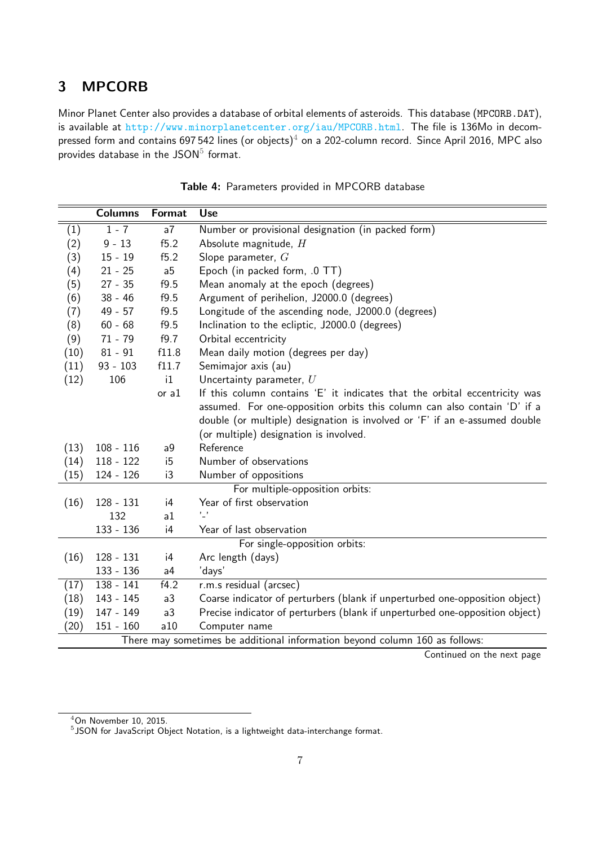## 3 MPCORB

Minor Planet Center also provides a database of orbital elements of asteroids. This database (MPCORB.DAT), is available at <http://www.minorplanetcenter.org/iau/MPCORB.html>. The file is 136Mo in decom-pressed form and contains 697 5[4](#page-10-0)2 lines (or objects)<sup>4</sup> on a 202-column record. Since April 2016, MPC also provides database in the  $\mathsf{JSON}^5$  $\mathsf{JSON}^5$  format.

|                                                                             | <b>Columns</b>                  | <b>Format</b>  | <b>Use</b>                                                                   |  |  |  |
|-----------------------------------------------------------------------------|---------------------------------|----------------|------------------------------------------------------------------------------|--|--|--|
| (1)                                                                         | $1 - 7$                         | a7             | Number or provisional designation (in packed form)                           |  |  |  |
| (2)                                                                         | $9 - 13$                        | f5.2           | Absolute magnitude, H                                                        |  |  |  |
| (3)                                                                         | $15 - 19$                       | f5.2           | Slope parameter, $G$                                                         |  |  |  |
| (4)                                                                         | $21 - 25$                       | a <sub>5</sub> | Epoch (in packed form, .0 TT)                                                |  |  |  |
| (5)                                                                         | $27 - 35$                       | f9.5           | Mean anomaly at the epoch (degrees)                                          |  |  |  |
| (6)                                                                         | $38 - 46$                       | f9.5           | Argument of perihelion, J2000.0 (degrees)                                    |  |  |  |
| (7)                                                                         | $49 - 57$                       | f9.5           | Longitude of the ascending node, J2000.0 (degrees)                           |  |  |  |
| (8)                                                                         | $60 - 68$                       | f9.5           | Inclination to the ecliptic, J2000.0 (degrees)                               |  |  |  |
| (9)                                                                         | $71 - 79$                       | f9.7           | Orbital eccentricity                                                         |  |  |  |
| (10)                                                                        | $81 - 91$                       | f11.8          | Mean daily motion (degrees per day)                                          |  |  |  |
| (11)                                                                        | $93 - 103$                      | f11.7          | Semimajor axis (au)                                                          |  |  |  |
| (12)                                                                        | 106                             | i1             | Uncertainty parameter, $U$                                                   |  |  |  |
|                                                                             |                                 | or $a1$        | If this column contains 'E' it indicates that the orbital eccentricity was   |  |  |  |
|                                                                             |                                 |                | assumed. For one-opposition orbits this column can also contain 'D' if a     |  |  |  |
|                                                                             |                                 |                | double (or multiple) designation is involved or 'F' if an e-assumed double   |  |  |  |
|                                                                             |                                 |                | (or multiple) designation is involved.                                       |  |  |  |
| (13)                                                                        | $108 - 116$                     | a <sub>9</sub> | Reference                                                                    |  |  |  |
| (14)                                                                        | $118 - 122$                     | i5             | Number of observations                                                       |  |  |  |
| (15)                                                                        | $124 - 126$                     | i3             | Number of oppositions                                                        |  |  |  |
|                                                                             | For multiple-opposition orbits: |                |                                                                              |  |  |  |
| (16)                                                                        | $128 - 131$                     | i4             | Year of first observation                                                    |  |  |  |
|                                                                             | 132                             | a1             | $^{\prime}$ $^{\prime}$                                                      |  |  |  |
|                                                                             | 133 - 136                       | i4             | Year of last observation                                                     |  |  |  |
|                                                                             |                                 |                | For single-opposition orbits:                                                |  |  |  |
| (16)                                                                        | $128 - 131$                     | i4             | Arc length (days)                                                            |  |  |  |
|                                                                             | 133 - 136                       | a <sub>4</sub> | 'days'                                                                       |  |  |  |
| (17)                                                                        | $138 - 141$                     | f4.2           | r.m.s residual (arcsec)                                                      |  |  |  |
| (18)                                                                        | 143 - 145                       | a3             | Coarse indicator of perturbers (blank if unperturbed one-opposition object)  |  |  |  |
| (19)                                                                        | $147 - 149$                     | a3             | Precise indicator of perturbers (blank if unperturbed one-opposition object) |  |  |  |
| (20)                                                                        | $151 - 160$                     | a10            | Computer name                                                                |  |  |  |
| There may sometimes be additional information beyond column 160 as follows: |                                 |                |                                                                              |  |  |  |

| Table 4: Parameters provided in MPCORB database |  |
|-------------------------------------------------|--|
|-------------------------------------------------|--|

Continued on the next page

<span id="page-10-0"></span><sup>4</sup>On November 10, 2015.

<span id="page-10-1"></span> $5$ JSON for JavaScript Object Notation, is a lightweight data-interchange format.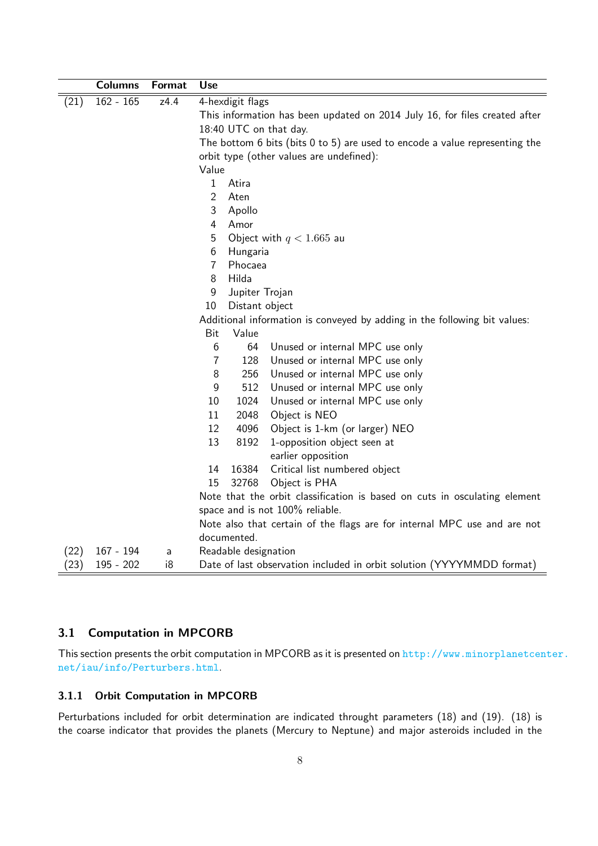|      | <b>Columns</b> | Format | <b>Use</b>                                                                         |  |  |  |
|------|----------------|--------|------------------------------------------------------------------------------------|--|--|--|
| (21) | $162 - 165$    | z4.4   | 4-hexdigit flags                                                                   |  |  |  |
|      |                |        | This information has been updated on 2014 July 16, for files created after         |  |  |  |
|      |                |        | 18:40 UTC on that day.                                                             |  |  |  |
|      |                |        | The bottom $6$ bits (bits $0$ to $5$ ) are used to encode a value representing the |  |  |  |
|      |                |        | orbit type (other values are undefined):                                           |  |  |  |
|      |                |        | Value                                                                              |  |  |  |
|      |                |        | $\mathbf{1}$<br>Atira                                                              |  |  |  |
|      |                |        | $\overline{2}$<br>Aten                                                             |  |  |  |
|      |                |        | 3<br>Apollo                                                                        |  |  |  |
|      |                |        | $\overline{4}$<br>Amor                                                             |  |  |  |
|      |                |        | 5<br>Object with $q < 1.665$ au                                                    |  |  |  |
|      |                |        | 6<br>Hungaria                                                                      |  |  |  |
|      |                |        | $\overline{7}$<br>Phocaea                                                          |  |  |  |
|      |                |        | Hilda<br>8                                                                         |  |  |  |
|      |                |        | 9<br>Jupiter Trojan                                                                |  |  |  |
|      |                |        | Distant object<br>10                                                               |  |  |  |
|      |                |        | Additional information is conveyed by adding in the following bit values:          |  |  |  |
|      |                |        | Value<br>Bit                                                                       |  |  |  |
|      |                |        | 6<br>64<br>Unused or internal MPC use only                                         |  |  |  |
|      |                |        | 128<br>Unused or internal MPC use only<br>$\overline{7}$                           |  |  |  |
|      |                |        | 8<br>256<br>Unused or internal MPC use only                                        |  |  |  |
|      |                |        | 9<br>512<br>Unused or internal MPC use only                                        |  |  |  |
|      |                |        | 10<br>1024<br>Unused or internal MPC use only                                      |  |  |  |
|      |                |        | 11<br>2048<br>Object is NEO                                                        |  |  |  |
|      |                |        | Object is 1-km (or larger) NEO<br>12<br>4096                                       |  |  |  |
|      |                |        | 13<br>8192<br>1-opposition object seen at<br>earlier opposition                    |  |  |  |
|      |                |        | 16384<br>Critical list numbered object<br>14                                       |  |  |  |
|      |                |        | 15<br>32768<br>Object is PHA                                                       |  |  |  |
|      |                |        | Note that the orbit classification is based on cuts in osculating element          |  |  |  |
|      |                |        | space and is not 100% reliable.                                                    |  |  |  |
|      |                |        | Note also that certain of the flags are for internal MPC use and are not           |  |  |  |
|      |                |        | documented.                                                                        |  |  |  |
| (22) | $167 - 194$    | a      | Readable designation                                                               |  |  |  |
| (23) | 195 - 202      | i8     | Date of last observation included in orbit solution (YYYYMMDD format)              |  |  |  |

## 3.1 Computation in MPCORB

This section presents the orbit computation in MPCORB as it is presented on [http://www.minorplanetcen](http://www.minorplanetcenter.net/iau/info/Perturbers.html)ter. [net/iau/info/Perturbers.html](http://www.minorplanetcenter.net/iau/info/Perturbers.html).

#### 3.1.1 Orbit Computation in MPCORB

Perturbations included for orbit determination are indicated throught parameters (18) and (19). (18) is the coarse indicator that provides the planets (Mercury to Neptune) and major asteroids included in the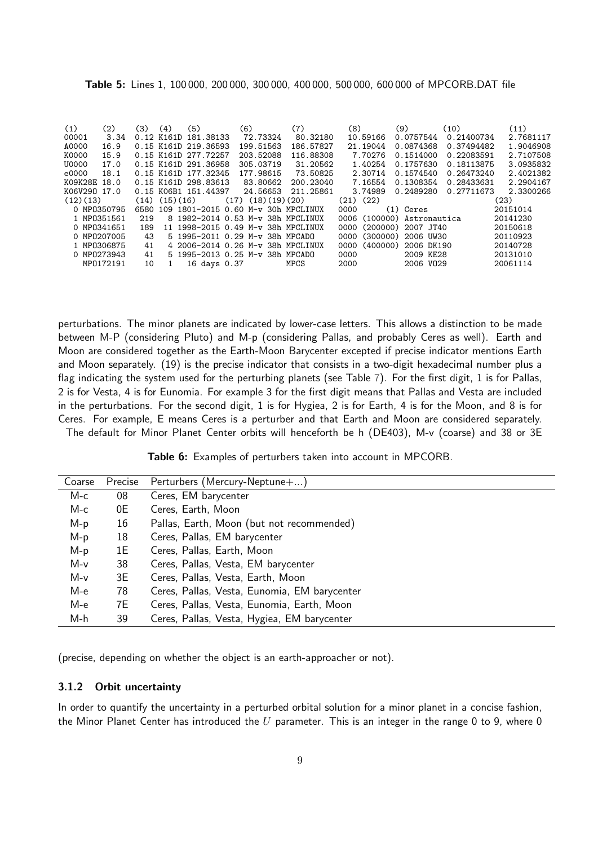| <b>Table 5:</b> Lines 1, 100 000, 200 000, 300 000, 400 000, 500 000, 600 000 of MPCORB.DAT file |  |
|--------------------------------------------------------------------------------------------------|--|
|--------------------------------------------------------------------------------------------------|--|

| (1)<br>(2)<br>00001<br>3.34 | (3)  | (4)<br>$0.12$ K161D | (5)<br>181.38133     | (6)<br>72.73324                    | (7)<br>80.32180 | (8)<br>10.59166  | (9)<br>0.0757544      | (10)<br>0.21400734 | (11)<br>2.7681117 |
|-----------------------------|------|---------------------|----------------------|------------------------------------|-----------------|------------------|-----------------------|--------------------|-------------------|
| A0000<br>16.9               |      |                     | 0.15 K161D 219.36593 | 199.51563                          | 186.57827       | 21.19044         | 0.0874368             | 0.37494482         | 1.9046908         |
| K0000<br>15.9               |      |                     | 0.15 K161D 277.72257 | 203.52088                          | 116.88308       | 7.70276          | 0.1514000             | 0.22083591         | 2.7107508         |
| U0000<br>17.0               |      |                     | 0.15 K161D 291.36958 | 305.03719                          | 31.20562        | 1.40254          | 0.1757630             | 0.18113875         | 3.0935832         |
| e0000<br>18.1               |      |                     | 0.15 K161D 177.32345 | 177.98615                          | 73.50825        | 2.30714          | 0.1574540             | 0.26473240         | 2.4021382         |
| K09K28E 18.0                |      |                     | 0.15 K161D 298.83613 | 83.80662                           | 200.23040       | 7.16554          | 0.1308354             | 0.28433631         | 2.2904167         |
| K06V290 17.0                |      |                     | 0.15 K06B1 151.44397 | 24.56653                           | 211.25861       | 3.74989          | 0.2489280             | 0.27711673         | 2.3300266         |
| (12)(13)                    | (14) | (15)(16)            |                      | $(17)$ $(18)(19)(20)$              |                 | $(21)$ $(22)$    |                       |                    | (23)              |
| 0 MP0350795                 | 6580 |                     | 109 1801-2015        | 0.60 M-y 30h MPCLINUX              |                 | 0000             | $(1)$ Ceres           |                    | 20151014          |
| 1 MP0351561                 | 219  |                     |                      | 8 1982-2014 0.53 M-y 38h MPCLINUX  |                 | 0006             | (100000) Astronautica |                    | 20141230          |
| 0 MP0341651                 | 189  |                     |                      | 11 1998-2015 0.49 M-v 38h MPCLINUX |                 | (200000)<br>0000 | 2007 JT40             |                    | 20150618          |
| 0 MP0207005                 | 43   |                     |                      | 5 1995-2011 0.29 M-y 38h MPCADO    |                 | (300000)<br>0000 | 2006 UW30             |                    | 20110923          |
| 1 MP0306875                 | 41   |                     |                      | 4 2006-2014 0.26 M-y 38h           | MPCLINUX        | (400000)<br>0000 | 2006 DK190            |                    | 20140728          |
| 0 MP0273943                 | 41   |                     |                      | 5 1995-2013 0.25 M-v 38h MPCADO    |                 | 0000             | 2009 KE28             |                    | 20131010          |
| MP0172191                   | 10   |                     | 16 days 0.37         |                                    | <b>MPCS</b>     | 2000             | 2006 V029             |                    | 20061114          |

perturbations. The minor planets are indicated by lower-case letters. This allows a distinction to be made between M-P (considering Pluto) and M-p (considering Pallas, and probably Ceres as well). Earth and Moon are considered together as the Earth-Moon Barycenter excepted if precise indicator mentions Earth and Moon separately. (19) is the precise indicator that consists in a two-digit hexadecimal number plus a flag indicating the system used for the perturbing planets (see Table [7\)](#page-13-0). For the first digit, 1 is for Pallas, 2 is for Vesta, 4 is for Eunomia. For example 3 for the first digit means that Pallas and Vesta are included in the perturbations. For the second digit, 1 is for Hygiea, 2 is for Earth, 4 is for the Moon, and 8 is for Ceres. For example, E means Ceres is a perturber and that Earth and Moon are considered separately. The default for Minor Planet Center orbits will henceforth be h (DE403), M-v (coarse) and 38 or 3E

Table 6: Examples of perturbers taken into account in MPCORB.

| Coarse | Precise | Perturbers (Mercury-Neptune+)                |
|--------|---------|----------------------------------------------|
| M-c    | 08      | Ceres, EM barycenter                         |
| M-c    | 0E      | Ceres, Earth, Moon                           |
| $M-p$  | 16      | Pallas, Earth, Moon (but not recommended)    |
| $M-p$  | 18      | Ceres, Pallas, EM barycenter                 |
| $M-p$  | 1E .    | Ceres, Pallas, Earth, Moon                   |
| M-v    | 38      | Ceres, Pallas, Vesta, EM barycenter          |
| M-v    | 3E      | Ceres, Pallas, Vesta, Earth, Moon            |
| M-e    | 78      | Ceres, Pallas, Vesta, Eunomia, EM barycenter |
| M-e    | 7E      | Ceres, Pallas, Vesta, Eunomia, Earth, Moon   |
| M-h    | 39      | Ceres, Pallas, Vesta, Hygiea, EM barycenter  |

(precise, depending on whether the object is an earth-approacher or not).

#### 3.1.2 Orbit uncertainty

In order to quantify the uncertainty in a perturbed orbital solution for a minor planet in a concise fashion, the Minor Planet Center has introduced the  $U$  parameter. This is an integer in the range 0 to 9, where 0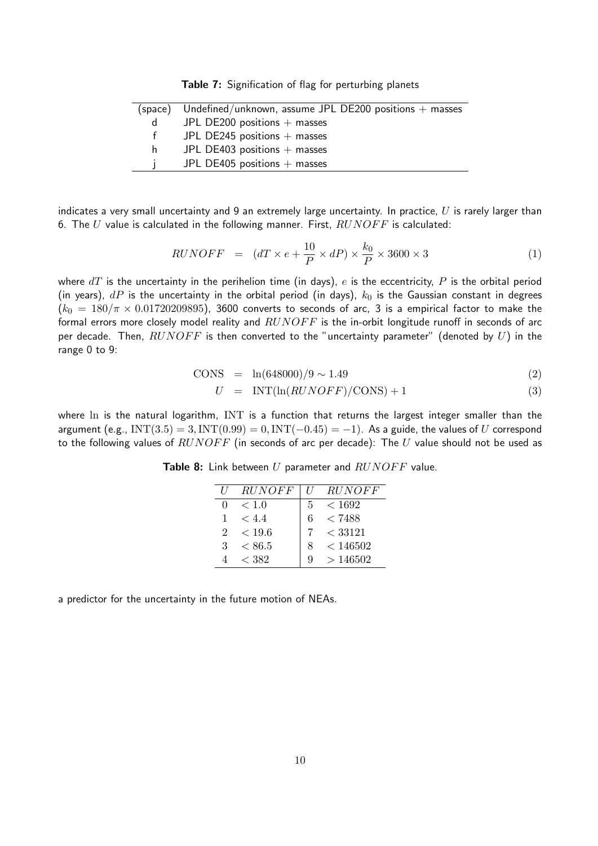Table 7: Signification of flag for perturbing planets

<span id="page-13-0"></span>

|      | (space) Undefined/unknown, assume JPL DE200 positions $+$ masses |
|------|------------------------------------------------------------------|
| d    | JPL DE200 positions $+$ masses                                   |
| $^+$ | JPL DE245 positions $+$ masses                                   |
| h.   | JPL DE403 positions $+$ masses                                   |
|      | JPL DE405 positions $+$ masses                                   |

indicates a very small uncertainty and 9 an extremely large uncertainty. In practice,  $U$  is rarely larger than 6. The U value is calculated in the following manner. First,  $RUNOFF$  is calculated:

$$
RUNOFF = (dT \times e + \frac{10}{P} \times dP) \times \frac{k_0}{P} \times 3600 \times 3 \tag{1}
$$

where  $dT$  is the uncertainty in the perihelion time (in days), e is the eccentricity, P is the orbital period (in years),  $dP$  is the uncertainty in the orbital period (in days),  $k_0$  is the Gaussian constant in degrees  $(k_0 = 180/\pi \times 0.01720209895)$ , 3600 converts to seconds of arc, 3 is a empirical factor to make the formal errors more closely model reality and  $RUNOFF$  is the in-orbit longitude runoff in seconds of arc per decade. Then,  $RUNOFF$  is then converted to the "uncertainty parameter" (denoted by  $U$ ) in the range 0 to 9:

$$
CONF = \ln(648000)/9 \sim 1.49 \tag{2}
$$

$$
U = \text{INT}(\ln(RUNOFF)/\text{CONS}) + 1 \tag{3}
$$

where ln is the natural logarithm, INT is a function that returns the largest integer smaller than the argument (e.g., INT $(3.5) = 3$ , INT $(0.99) = 0$ , INT $(-0.45) = -1$ ). As a guide, the values of U correspond to the following values of  $RUNOFF$  (in seconds of arc per decade): The U value should not be used as

|                             | <b>RUNOFF</b> | II | <i>RUNOFF</i> |
|-----------------------------|---------------|----|---------------|
|                             | < 1.0         | 5  | < 1692        |
|                             | < 4.4         |    | < 7488        |
| $\mathcal{D}_{\mathcal{L}}$ | < 19.6        |    | < 33121       |
| З                           | ${}< 86.5$    |    | < 146502      |
|                             | < 382         |    | >146502       |

Table 8: Link between  $U$  parameter and  $RUNOFF$  value.

a predictor for the uncertainty in the future motion of NEAs.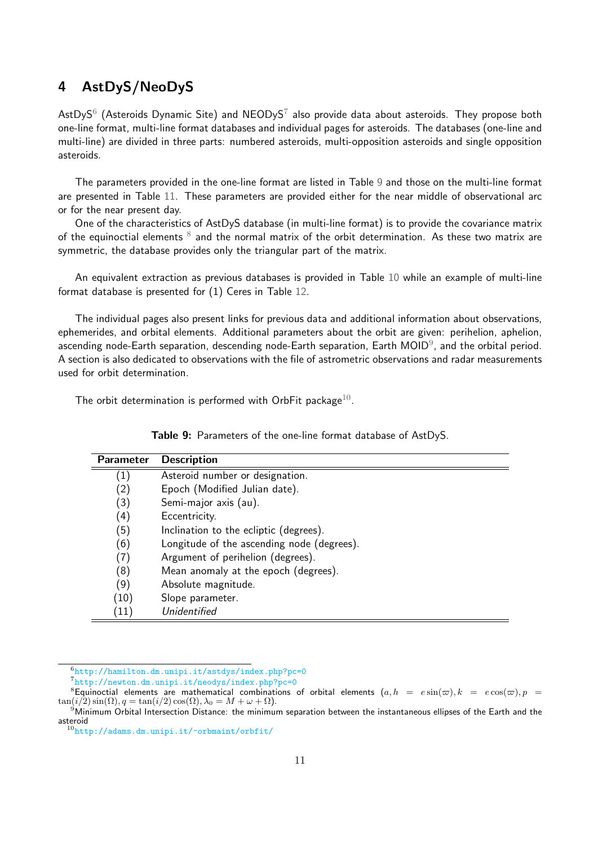## <span id="page-14-0"></span>4 AstDyS/NeoDyS

AstDyS $^6$  $^6$  (Asteroids Dynamic Site) and NEODyS $^7$  $^7$  also provide data about asteroids. They propose both one-line format, multi-line format databases and individual pages for asteroids. The databases (one-line and multi-line) are divided in three parts: numbered asteroids, multi-opposition asteroids and single opposition asteroids.

The parameters provided in the one-line format are listed in Table [9](#page-14-3) and those on the multi-line format are presented in Table [11.](#page-15-0) These parameters are provided either for the near middle of observational arc or for the near present day.

One of the characteristics of AstDyS database (in multi-line format) is to provide the covariance matrix of the equinoctial elements  $^8$  $^8$  and the normal matrix of the orbit determination. As these two matrix are symmetric, the database provides only the triangular part of the matrix.

An equivalent extraction as previous databases is provided in Table [10](#page-15-1) while an example of multi-line format database is presented for (1) Ceres in Table [12.](#page-16-0)

The individual pages also present links for previous data and additional information about observations, ephemerides, and orbital elements. Additional parameters about the orbit are given: perihelion, aphelion, ascending node-Earth separation, descending node-Earth separation, Earth MOID $^9$  $^9$ , and the orbital period. A section is also dedicated to observations with the file of astrometric observations and radar measurements used for orbit determination.

<span id="page-14-3"></span>The orbit determination is performed with OrbFit package $^{10}$  $^{10}$  $^{10}$ .

| <b>Parameter</b>  | <b>Description</b>                         |
|-------------------|--------------------------------------------|
| $\left( 1\right)$ | Asteroid number or designation.            |
| (2)               | Epoch (Modified Julian date).              |
| (3)               | Semi-major axis (au).                      |
| (4)               | Eccentricity.                              |
| (5)               | Inclination to the ecliptic (degrees).     |
| (6)               | Longitude of the ascending node (degrees). |
| (7)               | Argument of perihelion (degrees).          |
| (8)               | Mean anomaly at the epoch (degrees).       |
| (9)               | Absolute magnitude.                        |
| (10)              | Slope parameter.                           |
| (11)              | Unidentified                               |

Table 9: Parameters of the one-line format database of AstDyS.

<span id="page-14-1"></span><sup>6</sup> <http://hamilton.dm.unipi.it/astdys/index.php?pc=0>

<span id="page-14-4"></span><span id="page-14-2"></span><sup>7</sup> <http://newton.dm.unipi.it/neodys/index.php?pc=0>

<sup>&</sup>lt;sup>8</sup>Equinoctial elements are mathematical combinations of orbital elements  $(a, h = e \sin(\varpi), k = e \cos(\varpi), p =$  $\tan(i/2)\sin(\Omega)$ ,  $q = \tan(i/2)\cos(\Omega)$ ,  $\lambda_0 = M + \omega + \Omega$ .

<span id="page-14-5"></span><sup>&</sup>lt;sup>9</sup>Minimum Orbital Intersection Distance: the minimum separation between the instantaneous ellipses of the Earth and the asteroid

<span id="page-14-6"></span><sup>10</sup><http://adams.dm.unipi.it/~orbmaint/orbfit/>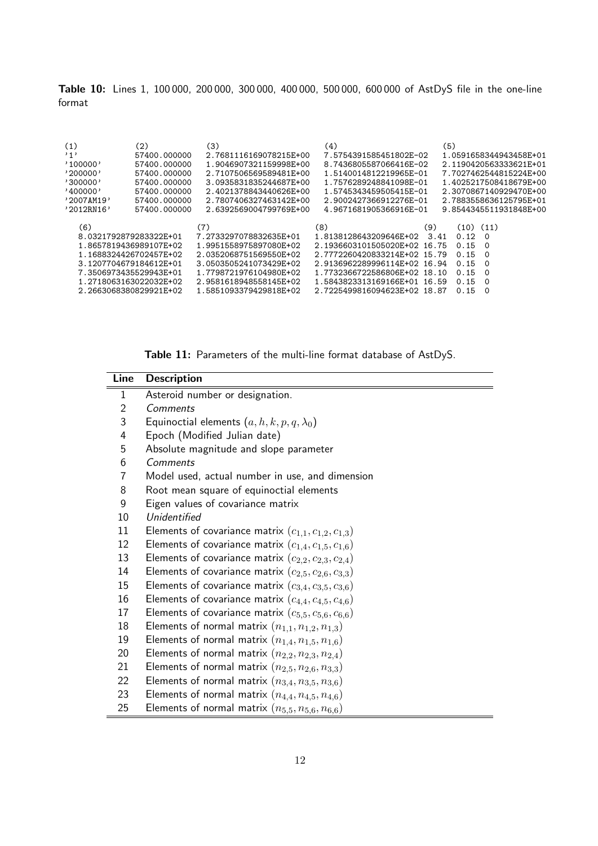<span id="page-15-1"></span>Table 10: Lines 1, 100 000, 200 000, 300 000, 400 000, 500 000, 600 000 of AstDyS file in the one-line format

| (5)<br>(1)<br>(4)<br>(2)<br>(3)<br>,1,<br>1.0591658344943458E+01<br>57400.000000<br>2.7681116169078215E+00<br>7.5754391585451802E-02<br>'100000'<br>1.9046907321159998E+00<br>57400.000000<br>8.7436805587066416E-02<br>2.1190420563333621E+01<br>'200000'<br>2.7107506569589481E+00<br>1.5140014812219965E-01<br>7.7027462544815224E+00<br>57400.000000<br>'300000'<br>57400.000000<br>3.0935831835244687E+00<br>1.7576289248841098E-01<br>1.4025217508418679E+00<br>'400000'<br>2.4021378843440626E+00<br>57400.000000<br>1.5745343459505415E-01<br>2.3070867140929470E+00<br>57400.000000<br>2.7807406327463142E+00<br>2.9002427366912276E-01<br>2.7883558636125795E+01<br>'2007AM19'<br>9.8544345511931848E+00<br>'2012RN16'<br>57400.000000<br>2.6392569004799769E+00<br>4.9671681905366916E-01 |  |
|------------------------------------------------------------------------------------------------------------------------------------------------------------------------------------------------------------------------------------------------------------------------------------------------------------------------------------------------------------------------------------------------------------------------------------------------------------------------------------------------------------------------------------------------------------------------------------------------------------------------------------------------------------------------------------------------------------------------------------------------------------------------------------------------------|--|
| (6)<br>(7)<br>(8)<br>(9)<br>$(10)$ $(11)$                                                                                                                                                                                                                                                                                                                                                                                                                                                                                                                                                                                                                                                                                                                                                            |  |
| 8.0321792879283322E+01<br>7.2733297078832635E+01<br>0.12<br>1.8138128643209646E+02<br>3.41<br>- 0                                                                                                                                                                                                                                                                                                                                                                                                                                                                                                                                                                                                                                                                                                    |  |
| 1.8657819436989107E+02<br>1.9951558975897080E+02<br>2.1936603101505020E+02 16.75<br>0.15<br>- 0                                                                                                                                                                                                                                                                                                                                                                                                                                                                                                                                                                                                                                                                                                      |  |
| 1.1688324426702457E+02<br>2.0352068751569550E+02<br>2.7772260420833214E+02 15.79<br>0.15<br>- 0                                                                                                                                                                                                                                                                                                                                                                                                                                                                                                                                                                                                                                                                                                      |  |
| 3.1207704679184612E+01<br>2.9136962289996114E+02 16.94<br>3.0503505241073429E+02<br>0.15<br>- 0                                                                                                                                                                                                                                                                                                                                                                                                                                                                                                                                                                                                                                                                                                      |  |
| 7.3506973435529943E+01<br>1.7798721976104980E+02<br>1.7732366722586806E+02 18.10<br>0.15<br>- 0                                                                                                                                                                                                                                                                                                                                                                                                                                                                                                                                                                                                                                                                                                      |  |
| 2.9581618948558145E+02<br>1.2718063163022032E+02<br>1.5843823313169166E+01 16.59<br>0.15<br>$\Omega$                                                                                                                                                                                                                                                                                                                                                                                                                                                                                                                                                                                                                                                                                                 |  |
| 1.5851093379429818E+02<br>2.7225499816094623E+02 18.87<br>2.2663068380829921E+02<br>0.15<br>- 0                                                                                                                                                                                                                                                                                                                                                                                                                                                                                                                                                                                                                                                                                                      |  |

Table 11: Parameters of the multi-line format database of AstDyS.

<span id="page-15-0"></span>

| Line           | <b>Description</b>                                          |
|----------------|-------------------------------------------------------------|
| $\mathbf{1}$   | Asteroid number or designation.                             |
| $\overline{2}$ | Comments                                                    |
| 3              | Equinoctial elements $(a, h, k, p, q, \lambda_0)$           |
| 4              | Epoch (Modified Julian date)                                |
| 5              | Absolute magnitude and slope parameter                      |
| 6              | Comments                                                    |
| 7              | Model used, actual number in use, and dimension             |
| 8              | Root mean square of equinoctial elements                    |
| 9              | Eigen values of covariance matrix                           |
| 10             | Unidentified                                                |
| 11             | Elements of covariance matrix $(c_{1,1}, c_{1,2}, c_{1,3})$ |
| 12             | Elements of covariance matrix $(c_{1,4}, c_{1,5}, c_{1,6})$ |
| 13             | Elements of covariance matrix $(c_{2,2}, c_{2,3}, c_{2,4})$ |
| 14             | Elements of covariance matrix $(c_{2,5}, c_{2,6}, c_{3,3})$ |
| 15             | Elements of covariance matrix $(c_{3,4}, c_{3,5}, c_{3,6})$ |
| 16             | Elements of covariance matrix $(c_{4,4}, c_{4,5}, c_{4,6})$ |
| 17             | Elements of covariance matrix $(c_{5,5}, c_{5,6}, c_{6,6})$ |
| 18             | Elements of normal matrix $(n_{1,1}, n_{1,2}, n_{1,3})$     |
| 19             | Elements of normal matrix $(n_{1,4}, n_{1,5}, n_{1,6})$     |
| 20             | Elements of normal matrix $(n_{2,2}, n_{2,3}, n_{2,4})$     |
| 21             | Elements of normal matrix $(n_{2,5}, n_{2,6}, n_{3,3})$     |
| 22             | Elements of normal matrix $(n_{3,4}, n_{3,5}, n_{3,6})$     |
| 23             | Elements of normal matrix $(n_{4,4}, n_{4,5}, n_{4,6})$     |
| 25             | Elements of normal matrix $(n_{5,5}, n_{5,6}, n_{6,6})$     |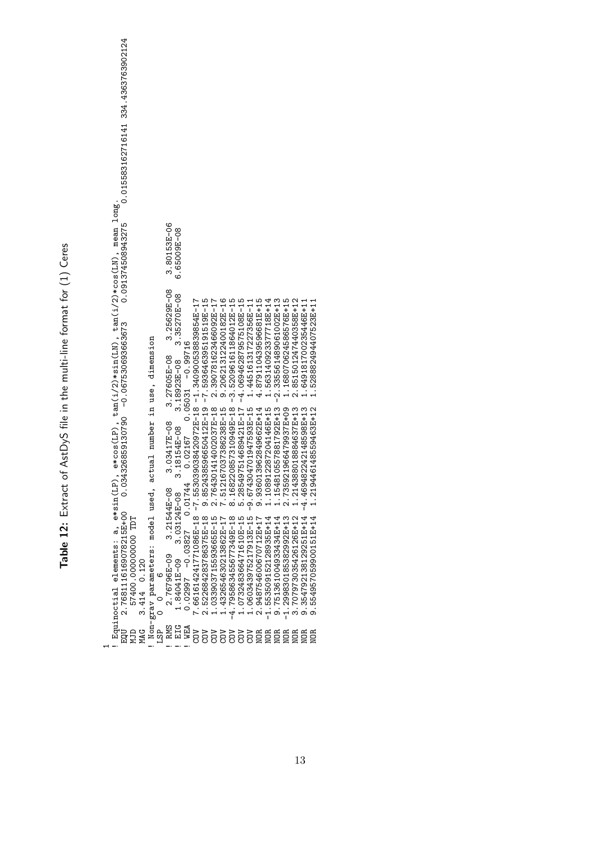Table 12: Extract of AstDyS file in the multi-line format for (1) Ceres Table 12: Extract of AstDyS file in the multi-line format for (1) Ceres

<span id="page-16-0"></span>! Equinoctial elements: a, e\*sin(LP), e\*cos(LP), tan(i/2)\*sin(LN), tan(i/2)\*cos(LN), mean long.<br>EQU 2.7681116169078215E+00 0.034326859130790 -0.067530693663673 0.091374508943275 0.015583162716141 334.4363763902124 EQU 2.7681116169078215E+00 0.034326859130790 0.0913069366367301304508943275 0.015583162716141 334.4363763902124<br>Design and the state of the state of the state of the state of the state of the state of the state of the stat ! Equinoctial elements: a, e\*sin(LP), e\*cos(LP), tan(i/2)\*sin(LN), tan(i/2)\*cos(LN), mean long. 3.80153E-06<br>6.65009E-08 ! RMS 2.76796E-09 3.21544E-08 3.03417E-08 3.27605E-08 3.25629E-08 3.80153E-06 ! EIG 1.84041E-09 3.03124E-08 3.18154E-08 3.18923E-08 3.35270E-08 6.65009E-08 3.25629E-08  $3.35270E - 08$ 4.879110439596681E+15 1.154810557881792E+13 -2.35561489061002E+13 2.851501247440358E+12 1.563140923377718E+14 1.168070624586576E+15 COV 7.661614241771086E-18 -7.553039038420972E-18 -1.340900538839854E-17 COV 2.522684283786375E-18 9.852438596650412E-19 -7.593646395191519E-15 COV 1.033903715593665E-15 2.764301414002037E-18 2.390781623466092E-17 COV 1.432654630213862E-17 7.512167037386238E-15 9.206213122400182E-16 COV -4.795863455677349E-18 8.168220857310949E-18 -3.520961611864012E-15 COV 1.073248366471610E-15 5.285497514689421E-17 -4.069462879575108E-15 COV 1.060343975217913E-15 -9.674304701947593E-15 1.445161317227356E-11 NOR 2.948754600670712E+17 9.936013962849662E+14 4.879110439596681E+15 NOR -1.553509152128935E+14 1.108912287204146E+15 1.563140923377718E+14 NOR 9.751361004933434E+14 1.154810557881792E+13 -2.335561489061002E+13 NOR -1.299830185382992E+13 2.735921966479937E+09 1.168070624586576E+15 NOR 3.707973035426126E+12 1.214388018884637E+13 2.851501247440358E+12 1.649181700235446E+11 NOR 9.354792138129251E+14 -4.469482242148598E+13 1.649181700235446E+11 1.528882494407523E+11 NOR 9.554957059900151E+14 1.219446148559463E+12 1.528882494407523E+11 Non-grav parameters: model used, actual number in use, dimension ! Non-grav parameters: model used, actual number in use, dimension ! WEA 0.02997 -0.03827 0.01744 0.02167 0.05031 -0.99716 3.27605E-08 3.18923E-08 1.108912287204146E+15 1.219446148559463E+12 9.936013962849662E+14 2.735921966479937E+09 1.214388018884637E+13 -4.469482242148598E+13 3.03417E-08<br>3.18154E-08 3.21544E-08  $3.03124E - 08$ 3.707973035426126E+12<br>9.354792138129251E+14<br>9.554957059900151E+14 9.751361004933434E+14 57400.000000000 TDT 2.948754600670712E+17  $-1.553509152128935E+14$  $-1.299830185382992E+13$ MJD 57400.000000000 TDT 2.76796E-09 1.84041E-09  $3.414$   $0.120$ MAG 3.414 0.120  $\circ$ LSP 0 0 6  $\overline{0}$ EIG **WEA**<br>COV RMS មិន<br>មិន<br>ស្គង ់ខ្មែ  $\mathbf -$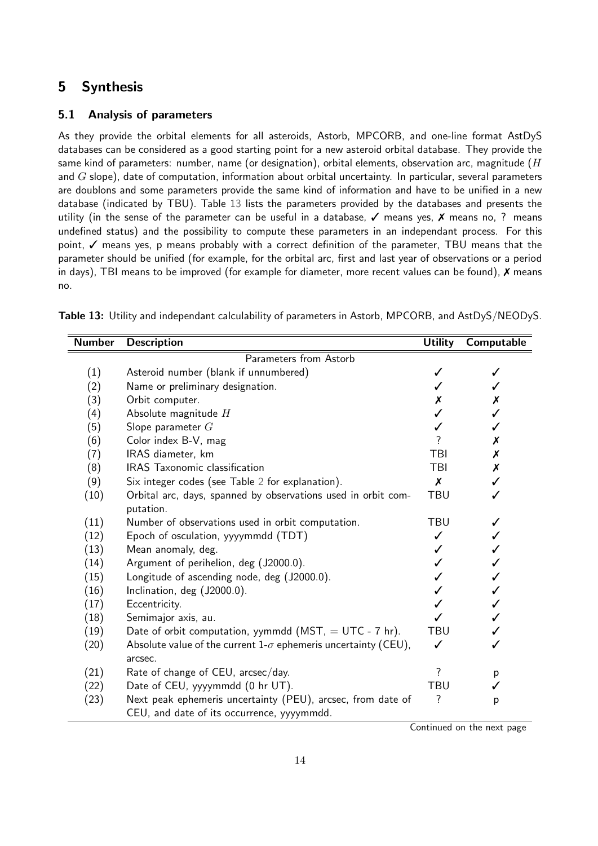## <span id="page-17-0"></span>5 Synthesis

#### 5.1 Analysis of parameters

As they provide the orbital elements for all asteroids, Astorb, MPCORB, and one-line format AstDyS databases can be considered as a good starting point for a new asteroid orbital database. They provide the same kind of parameters: number, name (or designation), orbital elements, observation arc, magnitude ( $H$ and  $G$  slope), date of computation, information about orbital uncertainty. In particular, several parameters are doublons and some parameters provide the same kind of information and have to be unified in a new database (indicated by TBU). Table [13](#page-17-1) lists the parameters provided by the databases and presents the utility (in the sense of the parameter can be useful in a database,  $\checkmark$  means yes,  $\checkmark$  means no, ? means undefined status) and the possibility to compute these parameters in an independant process. For this point, ✓ means yes, p means probably with a correct definition of the parameter, TBU means that the parameter should be unified (for example, for the orbital arc, first and last year of observations or a period in days), TBI means to be improved (for example for diameter, more recent values can be found), X means no.

| <b>Number</b>          | <b>Description</b>                                                    | <b>Utility</b>     | Computable         |  |  |  |
|------------------------|-----------------------------------------------------------------------|--------------------|--------------------|--|--|--|
| Parameters from Astorb |                                                                       |                    |                    |  |  |  |
| (1)                    | Asteroid number (blank if unnumbered)                                 |                    |                    |  |  |  |
| (2)                    | Name or preliminary designation.                                      |                    |                    |  |  |  |
| (3)                    | Orbit computer.                                                       | Х                  | Х                  |  |  |  |
| (4)                    | Absolute magnitude $H$                                                |                    |                    |  |  |  |
| (5)                    | Slope parameter $G$                                                   |                    |                    |  |  |  |
| (6)                    | Color index B-V, mag                                                  | 7                  | Х                  |  |  |  |
| (7)                    | IRAS diameter, km                                                     | TBI                | Х                  |  |  |  |
| (8)                    | IRAS Taxonomic classification                                         | TBI                | $\pmb{\mathsf{X}}$ |  |  |  |
| (9)                    | Six integer codes (see Table 2 for explanation).                      | $\boldsymbol{x}$   |                    |  |  |  |
| (10)                   | Orbital arc, days, spanned by observations used in orbit com-         | <b>TBU</b>         |                    |  |  |  |
|                        | putation.                                                             |                    |                    |  |  |  |
| (11)                   | Number of observations used in orbit computation.                     | <b>TBU</b>         | ✓                  |  |  |  |
| (12)                   | Epoch of osculation, yyyymmdd (TDT)                                   |                    |                    |  |  |  |
| (13)                   | Mean anomaly, deg.                                                    |                    |                    |  |  |  |
| (14)                   | Argument of perihelion, deg (J2000.0).                                |                    |                    |  |  |  |
| (15)                   | Longitude of ascending node, deg (J2000.0).                           |                    |                    |  |  |  |
| (16)                   | Inclination, deg (J2000.0).                                           |                    |                    |  |  |  |
| (17)                   | Eccentricity.                                                         |                    |                    |  |  |  |
| (18)                   | Semimajor axis, au.                                                   |                    |                    |  |  |  |
| (19)                   | Date of orbit computation, yymmdd ( $MST$ , = UTC - 7 hr).            | <b>TBU</b>         |                    |  |  |  |
| (20)                   | Absolute value of the current $1-\sigma$ ephemeris uncertainty (CEU), | ✓                  |                    |  |  |  |
|                        | arcsec.                                                               |                    |                    |  |  |  |
| (21)                   | Rate of change of CEU, arcsec/day.                                    | ?                  | p                  |  |  |  |
| (22)                   | Date of CEU, yyyymmdd (0 hr UT).                                      | <b>TBU</b>         |                    |  |  |  |
| (23)                   | Next peak ephemeris uncertainty (PEU), arcsec, from date of           | $\overline{\cdot}$ | p                  |  |  |  |
|                        | CEU, and date of its occurrence, yyyymmdd.                            |                    |                    |  |  |  |

<span id="page-17-1"></span>Table 13: Utility and independant calculability of parameters in Astorb, MPCORB, and AstDyS/NEODyS.

Continued on the next page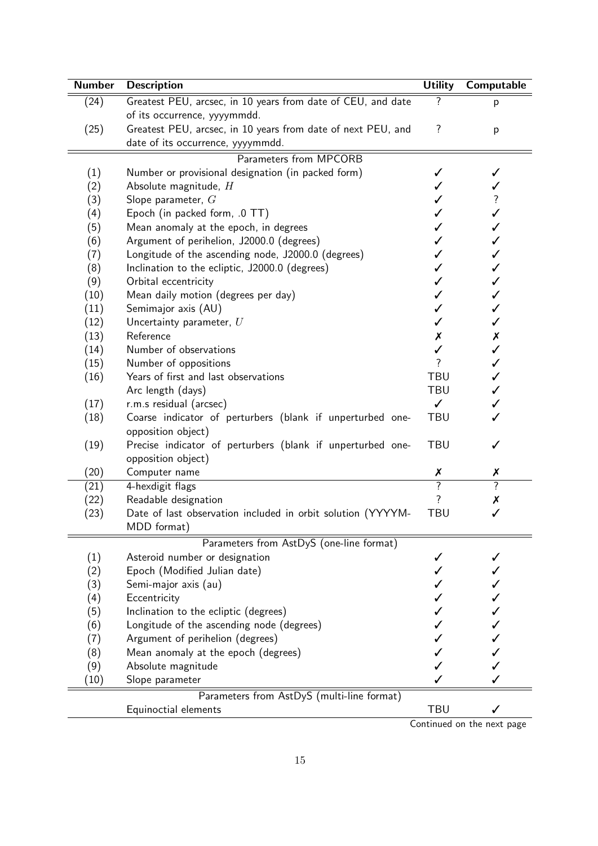| <b>Number</b>     | <b>Description</b>                                                              | <b>Utility</b>           | Computable               |
|-------------------|---------------------------------------------------------------------------------|--------------------------|--------------------------|
| (24)              | Greatest PEU, arcsec, in 10 years from date of CEU, and date                    | ?                        | p                        |
|                   | of its occurrence, yyyymmdd.                                                    |                          |                          |
| (25)              | Greatest PEU, arcsec, in 10 years from date of next PEU, and                    | $\overline{?}$           | p                        |
|                   | date of its occurrence, yyyymmdd.                                               |                          |                          |
|                   | Parameters from MPCORB                                                          |                          |                          |
| (1)               | Number or provisional designation (in packed form)                              |                          |                          |
| (2)               | Absolute magnitude, H                                                           |                          |                          |
| (3)               | Slope parameter, $G$                                                            |                          | $\overline{\mathcal{E}}$ |
| (4)               | Epoch (in packed form, .0 TT)                                                   |                          | ✓                        |
| (5)               | Mean anomaly at the epoch, in degrees                                           |                          | ✓                        |
| (6)               | Argument of perihelion, J2000.0 (degrees)                                       |                          | ✓                        |
| (7)               | Longitude of the ascending node, J2000.0 (degrees)                              |                          | ✓                        |
| (8)               | Inclination to the ecliptic, J2000.0 (degrees)                                  |                          | ✓                        |
| (9)               | Orbital eccentricity                                                            |                          | $\checkmark$             |
| (10)              | Mean daily motion (degrees per day)                                             |                          | ✓                        |
| (11)              | Semimajor axis (AU)                                                             |                          | ✓                        |
| (12)              | Uncertainty parameter, $U$                                                      | ✓                        | ✓                        |
| (13)              | Reference                                                                       | Х                        | Х                        |
| (14)              | Number of observations                                                          | ✓                        | ✓                        |
| (15)              | Number of oppositions                                                           | $\overline{\phantom{a}}$ | ✓                        |
| (16)              | Years of first and last observations                                            | <b>TBU</b>               | ✓                        |
|                   | Arc length (days)                                                               | <b>TBU</b>               | ✓                        |
| (17)              | r.m.s residual (arcsec)                                                         | ✓                        | ✓                        |
| (18)              | Coarse indicator of perturbers (blank if unperturbed one-<br>opposition object) | <b>TBU</b>               |                          |
| (19)              | Precise indicator of perturbers (blank if unperturbed one-                      | <b>TBU</b>               | ✓                        |
|                   | opposition object)                                                              |                          |                          |
| (20)              | Computer name                                                                   | Х                        | Х                        |
| (21)              | 4-hexdigit flags                                                                | $\overline{?}$           | $\overline{?}$           |
| (22)              | Readable designation                                                            | ?                        | Х                        |
| (23)              | Date of last observation included in orbit solution (YYYYM-<br>MDD format)      | <b>TBU</b>               |                          |
|                   | Parameters from AstDyS (one-line format)                                        |                          |                          |
| (1)               | Asteroid number or designation                                                  |                          |                          |
| $\left( 2\right)$ | Epoch (Modified Julian date)                                                    |                          |                          |
| (3)               | Semi-major axis (au)                                                            |                          |                          |
| (4)               | Eccentricity                                                                    |                          |                          |
| (5)               | Inclination to the ecliptic (degrees)                                           |                          |                          |
| (6)               | Longitude of the ascending node (degrees)                                       |                          |                          |
| (7)               | Argument of perihelion (degrees)                                                |                          |                          |
| (8)               | Mean anomaly at the epoch (degrees)                                             |                          |                          |
| (9)               | Absolute magnitude                                                              |                          |                          |
| (10)              | Slope parameter                                                                 |                          |                          |
|                   | Parameters from AstDyS (multi-line format)                                      |                          |                          |
|                   | Equinoctial elements                                                            | TBU                      |                          |

Continued on the next page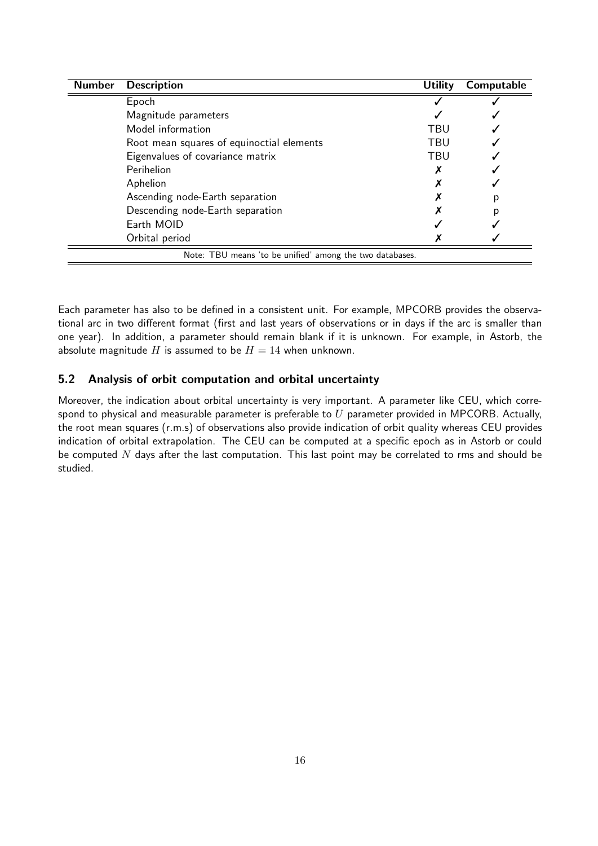| <b>Number</b> | <b>Description</b>                                       | <b>Utility</b> | Computable |  |  |  |  |
|---------------|----------------------------------------------------------|----------------|------------|--|--|--|--|
|               | Epoch                                                    |                |            |  |  |  |  |
|               | Magnitude parameters                                     |                |            |  |  |  |  |
|               | Model information                                        | TBU            |            |  |  |  |  |
|               | Root mean squares of equinoctial elements                | TBU            |            |  |  |  |  |
|               | Eigenvalues of covariance matrix                         | TBU            |            |  |  |  |  |
|               | Perihelion                                               |                |            |  |  |  |  |
|               | Aphelion                                                 |                |            |  |  |  |  |
|               | Ascending node-Earth separation                          |                |            |  |  |  |  |
|               | Descending node-Earth separation                         |                | D          |  |  |  |  |
|               | Earth MOID                                               |                |            |  |  |  |  |
|               | Orbital period                                           |                |            |  |  |  |  |
|               | Note: TBU means 'to be unified' among the two databases. |                |            |  |  |  |  |

Each parameter has also to be defined in a consistent unit. For example, MPCORB provides the observational arc in two different format (first and last years of observations or in days if the arc is smaller than one year). In addition, a parameter should remain blank if it is unknown. For example, in Astorb, the absolute magnitude H is assumed to be  $H = 14$  when unknown.

### 5.2 Analysis of orbit computation and orbital uncertainty

Moreover, the indication about orbital uncertainty is very important. A parameter like CEU, which correspond to physical and measurable parameter is preferable to  $U$  parameter provided in MPCORB. Actually, the root mean squares (r.m.s) of observations also provide indication of orbit quality whereas CEU provides indication of orbital extrapolation. The CEU can be computed at a specific epoch as in Astorb or could be computed  $N$  days after the last computation. This last point may be correlated to rms and should be studied.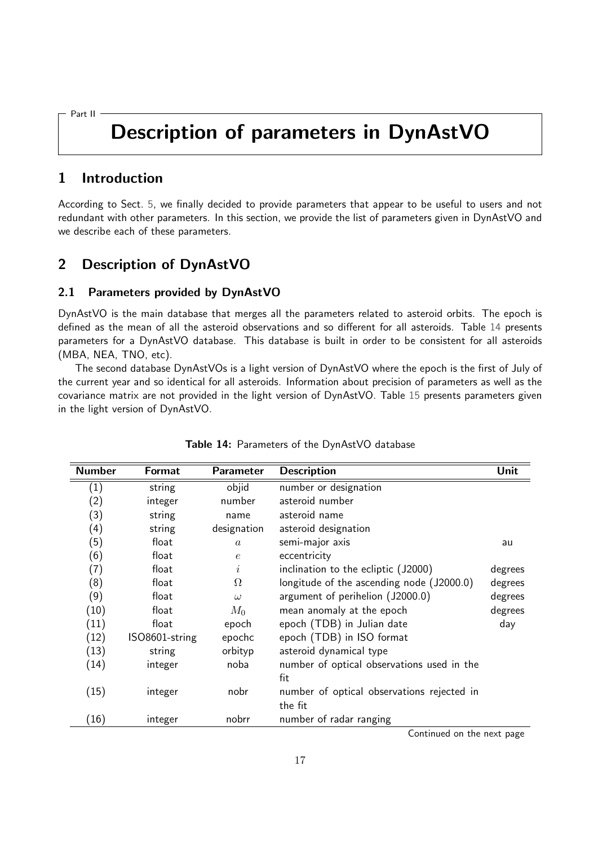<span id="page-20-0"></span>Part II

## Description of parameters in DynAstVO

## <span id="page-20-1"></span>1 Introduction

According to Sect. [5,](#page-17-0) we finally decided to provide parameters that appear to be useful to users and not redundant with other parameters. In this section, we provide the list of parameters given in DynAstVO and we describe each of these parameters.

## <span id="page-20-2"></span>2 Description of DynAstVO

#### 2.1 Parameters provided by DynAstVO

DynAstVO is the main database that merges all the parameters related to asteroid orbits. The epoch is defined as the mean of all the asteroid observations and so different for all asteroids. Table [14](#page-20-3) presents parameters for a DynAstVO database. This database is built in order to be consistent for all asteroids (MBA, NEA, TNO, etc).

The second database DynAstVOs is a light version of DynAstVO where the epoch is the first of July of the current year and so identical for all asteroids. Information about precision of parameters as well as the covariance matrix are not provided in the light version of DynAstVO. Table [15](#page-22-0) presents parameters given in the light version of DynAstVO.

<span id="page-20-3"></span>

| <b>Number</b>     | <b>Format</b>  | Parameter      | <b>Description</b>                         | Unit    |
|-------------------|----------------|----------------|--------------------------------------------|---------|
| (1)               | string         | objid          | number or designation                      |         |
| $\left( 2\right)$ | integer        | number         | asteroid number                            |         |
| (3)               | string         | name           | asteroid name                              |         |
| (4)               | string         | designation    | asteroid designation                       |         |
| (5)               | float          | $\overline{a}$ | semi-major axis                            | au      |
| (6)               | float          | $\epsilon$     | eccentricity                               |         |
| (7)               | float          | i              | inclination to the ecliptic (J2000)        | degrees |
| (8)               | float          | Ω              | longitude of the ascending node (J2000.0)  | degrees |
| (9)               | float          | $\omega$       | argument of perihelion (J2000.0)           | degrees |
| (10)              | float          | $M_0$          | mean anomaly at the epoch                  | degrees |
| (11)              | float          | epoch          | epoch (TDB) in Julian date                 | day     |
| (12)              | ISO8601-string | epochc         | epoch (TDB) in ISO format                  |         |
| (13)              | string         | orbityp        | asteroid dynamical type                    |         |
| (14)              | integer        | noba           | number of optical observations used in the |         |
|                   |                |                | fit                                        |         |
| (15)              | integer        | nobr           | number of optical observations rejected in |         |
|                   |                |                | the fit                                    |         |
| (16)              | integer        | nobrr          | number of radar ranging                    |         |

#### Table 14: Parameters of the DynAstVO database

Continued on the next page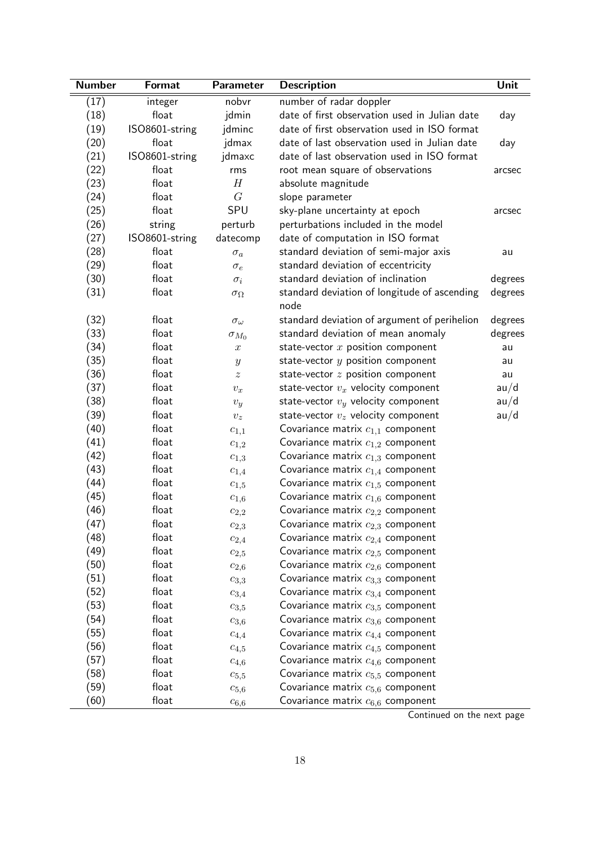| <b>Number</b> | Format         | <b>Parameter</b>   | <b>Description</b>                                   | Unit    |
|---------------|----------------|--------------------|------------------------------------------------------|---------|
| (17)          | integer        | nobvr              | number of radar doppler                              |         |
| (18)          | float          | jdmin              | date of first observation used in Julian date        | day     |
| (19)          | ISO8601-string | jdminc             | date of first observation used in ISO format         |         |
| (20)          | float          | jdmax              | date of last observation used in Julian date         | day     |
| (21)          | ISO8601-string | jdmaxc             | date of last observation used in ISO format          |         |
| (22)          | float          | rms                | root mean square of observations                     | arcsec  |
| (23)          | float          | $\boldsymbol{H}$   | absolute magnitude                                   |         |
| (24)          | float          | G                  | slope parameter                                      |         |
| (25)          | float          | SPU                | sky-plane uncertainty at epoch                       | arcsec  |
| (26)          | string         | perturb            | perturbations included in the model                  |         |
| (27)          | ISO8601-string | datecomp           | date of computation in ISO format                    |         |
| (28)          | float          | $\sigma_a$         | standard deviation of semi-major axis                | au      |
| (29)          | float          | $\sigma_e$         | standard deviation of eccentricity                   |         |
| (30)          | float          | $\sigma_i$         | standard deviation of inclination                    | degrees |
| (31)          | float          | $\sigma_\Omega$    | standard deviation of longitude of ascending<br>node | degrees |
| (32)          | float          | $\sigma_{\omega}$  | standard deviation of argument of perihelion         | degrees |
| (33)          | float          | $\sigma_{M_0}$     | standard deviation of mean anomaly                   | degrees |
| (34)          | float          | $\boldsymbol{x}$   | state-vector $x$ position component                  | au      |
| (35)          | float          | $\boldsymbol{y}$   | state-vector $y$ position component                  | au      |
| (36)          | float          | $\boldsymbol{z}$   | state-vector $z$ position component                  | au      |
| (37)          | float          | $v_x$              | state-vector $v_x$ velocity component                | au/d    |
| (38)          | float          | $v_y$              | state-vector $v_y$ velocity component                | au/d    |
| (39)          | float          | $\boldsymbol{v_z}$ | state-vector $v_z$ velocity component                | au/d    |
| (40)          | float          | $c_{1,1}$          | Covariance matrix $c_{1,1}$ component                |         |
| (41)          | float          | $c_{1,2}$          | Covariance matrix $c_{1,2}$ component                |         |
| (42)          | float          | $c_{1,3}$          | Covariance matrix $c_{1,3}$ component                |         |
| (43)          | float          | $c_{1,4}$          | Covariance matrix $c_{1,4}$ component                |         |
| (44)          | float          | $c_{1,5}$          | Covariance matrix $c_{1,5}$ component                |         |
| (45)          | float          | $c_{1,6}$          | Covariance matrix $c_{1,6}$ component                |         |
| (46)          | float          | $c_{2,2}$          | Covariance matrix $c_{2,2}$ component                |         |
| (47)          | float          | $c_{2,3}$          | Covariance matrix $c_{2,3}$ component                |         |
| (48)          | float          | $c_{2,4}$          | Covariance matrix $c_{2,4}$ component                |         |
| (49)          | float          | $c_{2,5}$          | Covariance matrix $c_{2,5}$ component                |         |
| (50)          | float          | $c_{2,6}$          | Covariance matrix $c_{2,6}$ component                |         |
| (51)          | float          | $c_{3,3}$          | Covariance matrix $c_{3,3}$ component                |         |
| (52)          | float          | $c_{3,4}$          | Covariance matrix $c_{3,4}$ component                |         |
| (53)          | float          | $c_{3,5}$          | Covariance matrix $c_{3,5}$ component                |         |
| (54)          | float          | $c_{3,6}$          | Covariance matrix $c_{3,6}$ component                |         |
| (55)          | float          | $c_{4,4}$          | Covariance matrix $c_{4,4}$ component                |         |
| (56)          | float          | $c_{4,5}$          | Covariance matrix $c_{4,5}$ component                |         |
| (57)          | float          | $c_{4,6}$          | Covariance matrix $c_{4,6}$ component                |         |
| (58)          | float          | $c_{5,5}$          | Covariance matrix $c_{5,5}$ component                |         |
| (59)          | float          | $c_{5,6}$          | Covariance matrix $c_{5,6}$ component                |         |
| (60)          | float          | $c_{6,6}$          | Covariance matrix $c_{6,6}$ component                |         |

.<br>Continued on the next page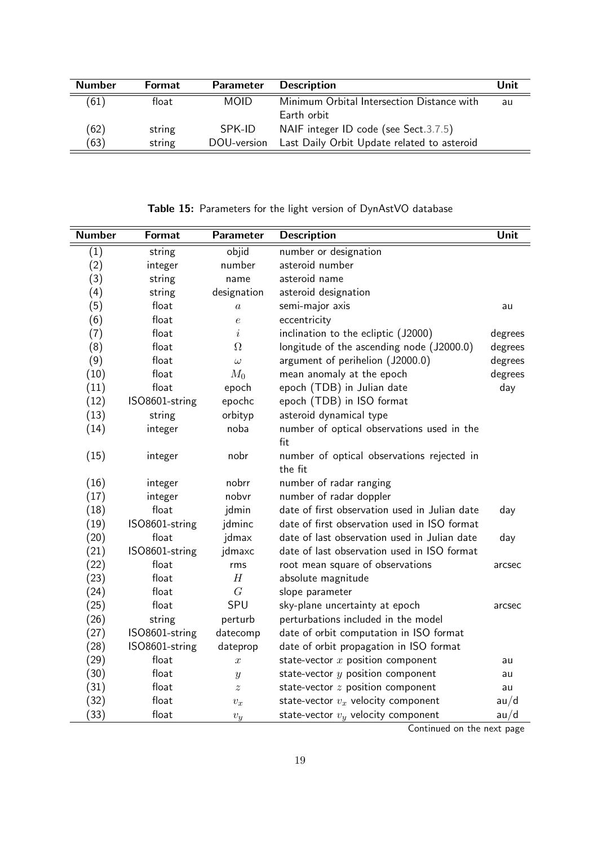| <b>Number</b> | <b>Format</b> | <b>Parameter</b> | <b>Description</b>                          | Unit |
|---------------|---------------|------------------|---------------------------------------------|------|
| (61)          | float         | <b>MOID</b>      | Minimum Orbital Intersection Distance with  | au   |
|               |               |                  | Earth orbit                                 |      |
| (62)          | string        | SPK-ID           | NAIF integer ID code (see Sect.3.7.5)       |      |
| (63)          | string        | DOU-version      | Last Daily Orbit Update related to asteroid |      |

Table 15: Parameters for the light version of DynAstVO database

<span id="page-22-0"></span>

| <b>Number</b> | Format         | <b>Parameter</b> | <b>Description</b>                            | Unit    |
|---------------|----------------|------------------|-----------------------------------------------|---------|
| (1)           | string         | objid            | number or designation                         |         |
| (2)           | integer        | number           | asteroid number                               |         |
| (3)           | string         | name             | asteroid name                                 |         |
| (4)           | string         | designation      | asteroid designation                          |         |
| (5)           | float          | $\boldsymbol{a}$ | semi-major axis                               | au      |
| (6)           | float          | $\epsilon$       | eccentricity                                  |         |
| (7)           | float          | i                | inclination to the ecliptic (J2000)           | degrees |
| (8)           | float          | $\Omega$         | longitude of the ascending node (J2000.0)     | degrees |
| (9)           | float          | $\omega$         | argument of perihelion (J2000.0)              | degrees |
| (10)          | float          | $M_0$            | mean anomaly at the epoch                     | degrees |
| (11)          | float          | epoch            | epoch (TDB) in Julian date                    | day     |
| (12)          | ISO8601-string | epochc           | epoch (TDB) in ISO format                     |         |
| (13)          | string         | orbityp          | asteroid dynamical type                       |         |
| (14)          | integer        | noba             | number of optical observations used in the    |         |
|               |                |                  | fit                                           |         |
| (15)          | integer        | nobr             | number of optical observations rejected in    |         |
|               |                |                  | the fit                                       |         |
| (16)          | integer        | nobrr            | number of radar ranging                       |         |
| (17)          | integer        | nobvr            | number of radar doppler                       |         |
| (18)          | float          | jdmin            | date of first observation used in Julian date | day     |
| (19)          | ISO8601-string | jdminc           | date of first observation used in ISO format  |         |
| (20)          | float          | jdmax            | date of last observation used in Julian date  | day     |
| (21)          | ISO8601-string | jdmaxc           | date of last observation used in ISO format   |         |
| (22)          | float          | rms              | root mean square of observations              | arcsec  |
| (23)          | float          | H                | absolute magnitude                            |         |
| (24)          | float          | G                | slope parameter                               |         |
| (25)          | float          | SPU              | sky-plane uncertainty at epoch                | arcsec  |
| (26)          | string         | perturb          | perturbations included in the model           |         |
| (27)          | ISO8601-string | datecomp         | date of orbit computation in ISO format       |         |
| (28)          | ISO8601-string | dateprop         | date of orbit propagation in ISO format       |         |
| (29)          | float          | $\boldsymbol{x}$ | state-vector $x$ position component           | au      |
| (30)          | float          | $\boldsymbol{y}$ | state-vector $y$ position component           | au      |
| (31)          | float          | $\tilde{z}$      | state-vector $z$ position component           | au      |
| (32)          | float          | $v_x$            | state-vector $v_x$ velocity component         | au/d    |
| (33)          | float          | $v_y$            | state-vector $v_y$ velocity component         | au/d    |

Continued on the next page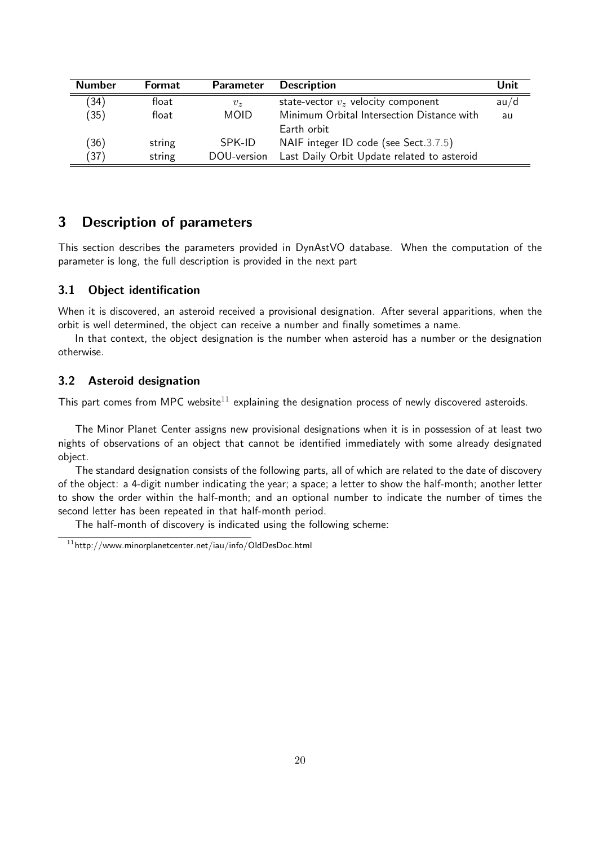| <b>Number</b> | <b>Format</b> | <b>Parameter</b> | <b>Description</b>                          | Unit |
|---------------|---------------|------------------|---------------------------------------------|------|
| (34)          | float         | $v_{\rm z}$      | state-vector $v_z$ velocity component       | au/d |
| (35)          | float         | <b>MOID</b>      | Minimum Orbital Intersection Distance with  | au   |
|               |               |                  | Earth orbit                                 |      |
| (36)          | string        | SPK-ID           | NAIF integer ID code (see Sect.3.7.5)       |      |
| (37)          | string        | DOU-version      | Last Daily Orbit Update related to asteroid |      |

## <span id="page-23-0"></span>3 Description of parameters

This section describes the parameters provided in DynAstVO database. When the computation of the parameter is long, the full description is provided in the next part

#### 3.1 Object identification

When it is discovered, an asteroid received a provisional designation. After several apparitions, when the orbit is well determined, the object can receive a number and finally sometimes a name.

In that context, the object designation is the number when asteroid has a number or the designation otherwise.

#### <span id="page-23-2"></span>3.2 Asteroid designation

This part comes from MPC website<sup>[11](#page-23-1)</sup> explaining the designation process of newly discovered asteroids.

The Minor Planet Center assigns new provisional designations when it is in possession of at least two nights of observations of an object that cannot be identified immediately with some already designated object.

The standard designation consists of the following parts, all of which are related to the date of discovery of the object: a 4-digit number indicating the year; a space; a letter to show the half-month; another letter to show the order within the half-month; and an optional number to indicate the number of times the second letter has been repeated in that half-month period.

The half-month of discovery is indicated using the following scheme:

<span id="page-23-1"></span> $11$ http://www.minorplanetcenter.net/iau/info/OldDesDoc.html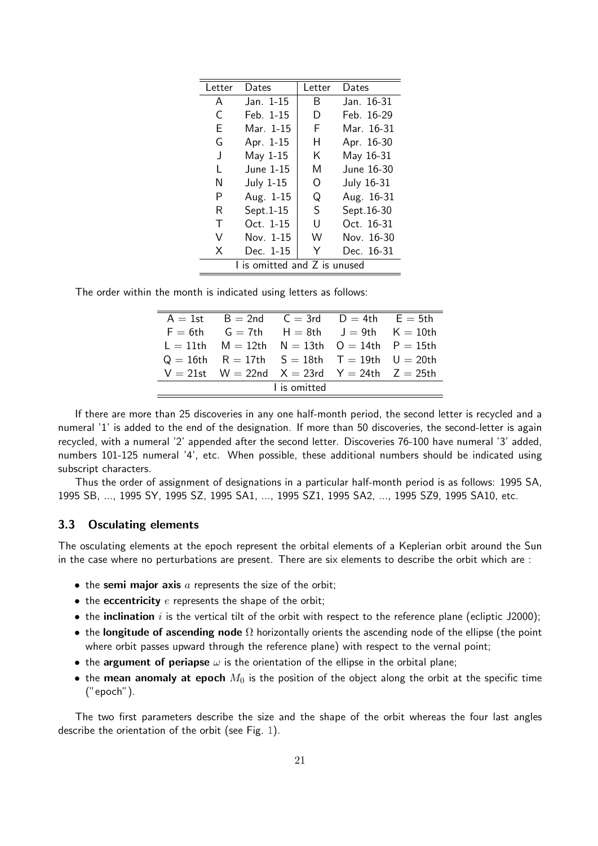| l etter | Dates                        | Letter | Dates      |
|---------|------------------------------|--------|------------|
| A       | Jan. 1-15                    | B      | Jan. 16-31 |
| C       | Feb. 1-15                    | D      | Feb. 16-29 |
| E       | Mar. 1-15                    | F      | Mar. 16-31 |
| G       | Apr. 1-15                    | н      | Apr. 16-30 |
| J       | May 1-15                     | K      | May 16-31  |
| L       | June 1-15                    | M      | June 16-30 |
| N       | <b>July 1-15</b>             | O      | July 16-31 |
| P       | Aug. 1-15                    | Q      | Aug. 16-31 |
| R       | Sept.1-15                    | S      | Sept.16-30 |
| т       | $Oct. 1-15$                  | U      | Oct. 16-31 |
| V       | Nov. 1-15                    | W      | Nov. 16-30 |
| X       | Dec. 1-15                    | Υ      | Dec. 16-31 |
|         | I is omitted and Z is unused |        |            |

The order within the month is indicated using letters as follows:

| $A = 1$ st $B = 2$ nd $C = 3$ rd $D = 4$ th $E = 5$ th      |              |  |
|-------------------------------------------------------------|--------------|--|
| $F = 6th$ $G = 7th$ $H = 8th$ $J = 9th$ $K = 10th$          |              |  |
| $L = 11$ th $M = 12$ th $N = 13$ th $Q = 14$ th $P = 15$ th |              |  |
| $Q = 16$ th R = 17th S = 18th T = 19th U = 20th             |              |  |
| $V = 21$ st $W = 22$ nd $X = 23$ rd $Y = 24$ th $Z = 25$ th |              |  |
|                                                             | I is omitted |  |

If there are more than 25 discoveries in any one half-month period, the second letter is recycled and a numeral '1' is added to the end of the designation. If more than 50 discoveries, the second-letter is again recycled, with a numeral '2' appended after the second letter. Discoveries 76-100 have numeral '3' added, numbers 101-125 numeral '4', etc. When possible, these additional numbers should be indicated using subscript characters.

Thus the order of assignment of designations in a particular half-month period is as follows: 1995 SA, 1995 SB, ..., 1995 SY, 1995 SZ, 1995 SA1, ..., 1995 SZ1, 1995 SA2, ..., 1995 SZ9, 1995 SA10, etc.

#### 3.3 Osculating elements

The osculating elements at the epoch represent the orbital elements of a Keplerian orbit around the Sun in the case where no perturbations are present. There are six elements to describe the orbit which are :

- $\bullet$  the semi major axis  $a$  represents the size of the orbit;
- $\bullet$  the eccentricity  $e$  represents the shape of the orbit;
- $\bullet$  the inclination i is the vertical tilt of the orbit with respect to the reference plane (ecliptic J2000);
- the longitude of ascending node  $\Omega$  horizontally orients the ascending node of the ellipse (the point where orbit passes upward through the reference plane) with respect to the vernal point;
- the argument of periapse  $\omega$  is the orientation of the ellipse in the orbital plane;
- the mean anomaly at epoch  $M_0$  is the position of the object along the orbit at the specific time ("epoch").

The two first parameters describe the size and the shape of the orbit whereas the four last angles describe the orientation of the orbit (see Fig. [1\)](#page-25-0).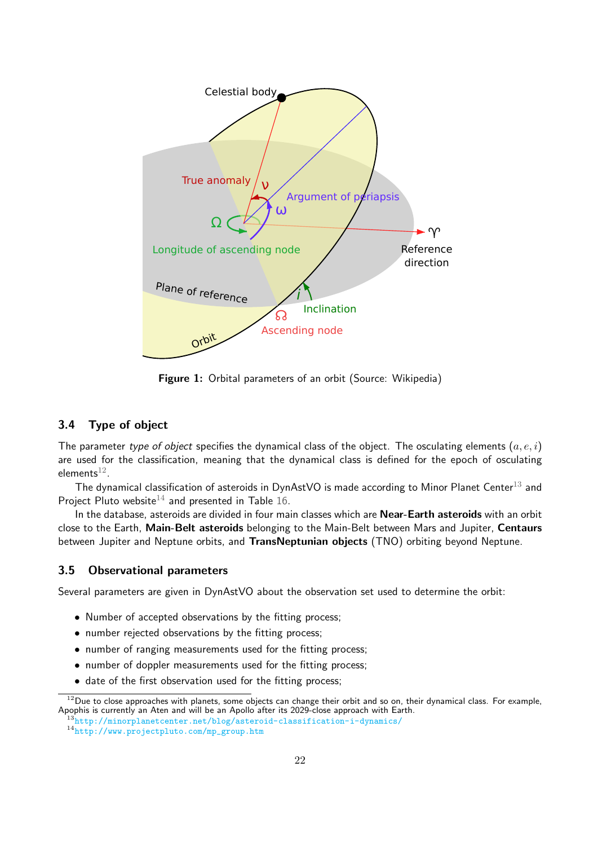<span id="page-25-0"></span>

Figure 1: Orbital parameters of an orbit (Source: Wikipedia)

#### 3.4 Type of object

The parameter type of object specifies the dynamical class of the object. The osculating elements  $(a, e, i)$ are used for the classification, meaning that the dynamical class is defined for the epoch of osculating elements $^{\rm 12}.$  $^{\rm 12}.$  $^{\rm 12}.$ 

The dynamical classification of asteroids in DynAstVO is made according to Minor Planet Center<sup>[13](#page-25-2)</sup> and Project Pluto website<sup>[14](#page-25-3)</sup> and presented in Table [16.](#page-26-0)

In the database, asteroids are divided in four main classes which are Near-Earth asteroids with an orbit close to the Earth, Main-Belt asteroids belonging to the Main-Belt between Mars and Jupiter, Centaurs between Jupiter and Neptune orbits, and TransNeptunian objects (TNO) orbiting beyond Neptune.

### 3.5 Observational parameters

Several parameters are given in DynAstVO about the observation set used to determine the orbit:

- Number of accepted observations by the fitting process;
- number rejected observations by the fitting process;
- number of ranging measurements used for the fitting process;
- number of doppler measurements used for the fitting process;
- date of the first observation used for the fitting process;

<span id="page-25-1"></span> $12$ Due to close approaches with planets, some objects can change their orbit and so on, their dynamical class. For example, Apophis is currently an Aten and will be an Apollo after its 2029-close approach with Earth.

<span id="page-25-2"></span><sup>13</sup><http://minorplanetcenter.net/blog/asteroid-classification-i-dynamics/>

<span id="page-25-3"></span><sup>14</sup>[http://www.projectpluto.com/mp\\_group.htm](http://www.projectpluto.com/mp_group.htm)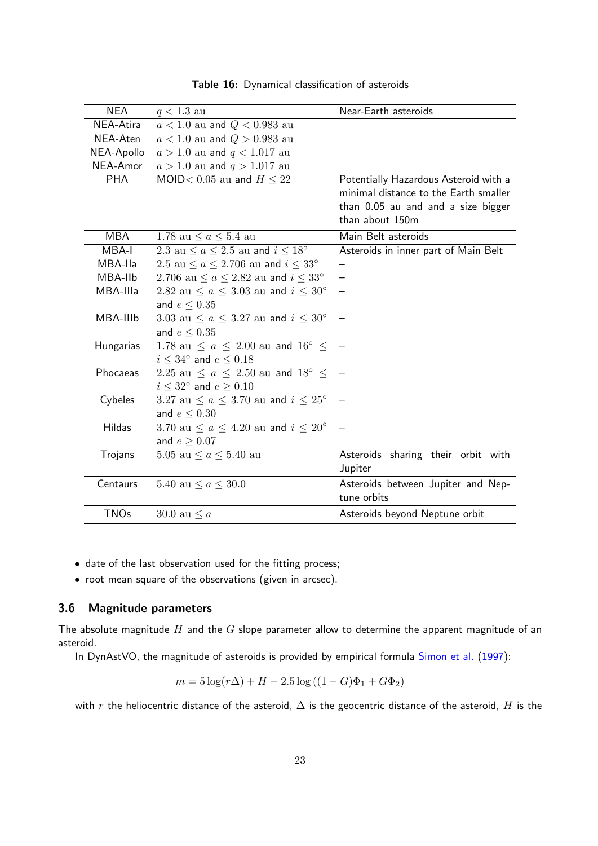<span id="page-26-0"></span>

| <b>NEA</b>  | $q < 1.3$ au                                        | Near-Earth asteroids                  |
|-------------|-----------------------------------------------------|---------------------------------------|
| NEA-Atira   | $a < 1.0$ au and $Q < 0.983$ au                     |                                       |
| NEA-Aten    | $a < 1.0$ au and $Q > 0.983$ au                     |                                       |
| NEA-Apollo  | $a > 1.0$ au and $q < 1.017$ au                     |                                       |
| NEA-Amor    | $a > 1.0$ au and $q > 1.017$ au                     |                                       |
| <b>PHA</b>  | MOID< 0.05 au and $H \leq 22$                       | Potentially Hazardous Asteroid with a |
|             |                                                     | minimal distance to the Earth smaller |
|             |                                                     | than 0.05 au and and a size bigger    |
|             |                                                     | than about 150m                       |
| <b>MBA</b>  | 1.78 au $\le a \le 5.4$ au                          | Main Belt asteroids                   |
| MBA-I       | 2.3 au $\le a \le 2.5$ au and $i \le 18^{\circ}$    | Asteroids in inner part of Main Belt  |
| MBA-IIa     | 2.5 au $\le a \le 2.706$ au and $i \le 33^{\circ}$  |                                       |
| MBA-IIb     | 2.706 au $\le a \le 2.82$ au and $i \le 33^{\circ}$ |                                       |
| MBA-IIIa    | 2.82 au $\le a \le 3.03$ au and $i \le 30^{\circ}$  |                                       |
|             | and $e \leq 0.35$                                   |                                       |
| MBA-IIIb    | 3.03 au $\le a \le 3.27$ au and $i \le 30^{\circ}$  |                                       |
|             | and $e \leq 0.35$                                   |                                       |
| Hungarias   | 1.78 au $\le a \le 2.00$ au and $16^{\circ} \le$    |                                       |
|             | $i \leq 34^{\circ}$ and $e \leq 0.18$               |                                       |
| Phocaeas    | 2.25 au $\le a \le 2.50$ au and $18^{\circ} \le$    |                                       |
|             | $i \leq 32^{\circ}$ and $e \geq 0.10$               |                                       |
| Cybeles     | 3.27 au $\le a \le 3.70$ au and $i \le 25^{\circ}$  |                                       |
|             | and $e \leq 0.30$                                   |                                       |
| Hildas      | 3.70 au $\le a \le 4.20$ au and $i \le 20^{\circ}$  |                                       |
|             | and $e \geq 0.07$                                   |                                       |
| Trojans     | 5.05 au $\le a \le 5.40$ au                         | Asteroids sharing their orbit with    |
|             |                                                     | Jupiter                               |
| Centaurs    | 5.40 au $\le a \le 30.0$                            | Asteroids between Jupiter and Nep-    |
|             |                                                     | tune orbits                           |
| <b>TNOs</b> | 30.0 au $\leq a$                                    | Asteroids beyond Neptune orbit        |

Table 16: Dynamical classification of asteroids

- date of the last observation used for the fitting process;
- root mean square of the observations (given in arcsec).

#### 3.6 Magnitude parameters

The absolute magnitude  $H$  and the  $G$  slope parameter allow to determine the apparent magnitude of an asteroid.

In DynAstVO, the magnitude of asteroids is provided by empirical formula [Simon et al.](#page-49-6) [\(1997\)](#page-49-6):

$$
m = 5\log(r\Delta) + H - 2.5\log((1 - G)\Phi_1 + G\Phi_2)
$$

with r the heliocentric distance of the asteroid,  $\Delta$  is the geocentric distance of the asteroid, H is the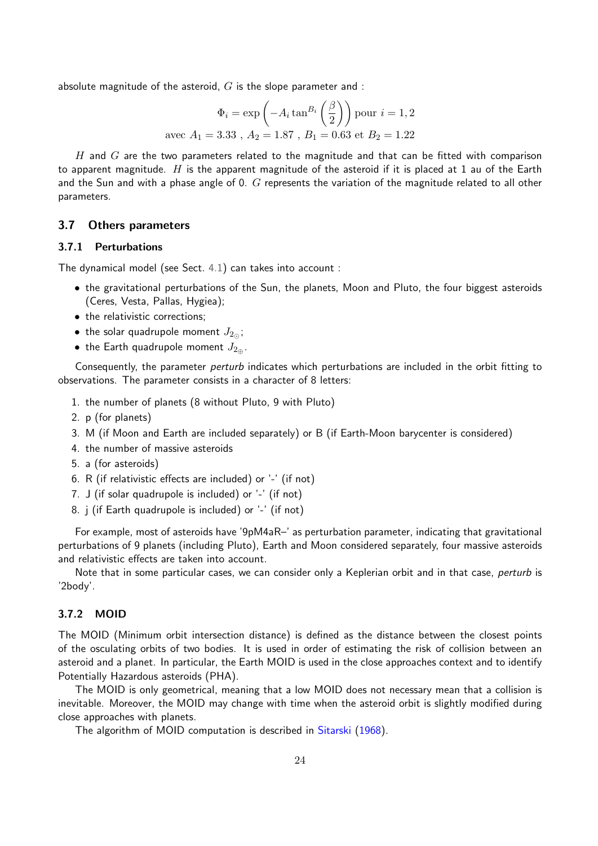absolute magnitude of the asteroid,  $G$  is the slope parameter and :

$$
\Phi_i = \exp\left(-A_i \tan^{B_i} \left(\frac{\beta}{2}\right)\right) \text{ pour } i = 1, 2
$$
  
avec  $A_1 = 3.33$ ,  $A_2 = 1.87$ ,  $B_1 = 0.63$  et  $B_2 = 1.22$ 

H and  $G$  are the two parameters related to the magnitude and that can be fitted with comparison to apparent magnitude. H is the apparent magnitude of the asteroid if it is placed at 1 au of the Earth and the Sun and with a phase angle of 0.  $G$  represents the variation of the magnitude related to all other parameters.

#### 3.7 Others parameters

#### 3.7.1 Perturbations

The dynamical model (see Sect. [4.1\)](#page-36-1) can takes into account :

- the gravitational perturbations of the Sun, the planets, Moon and Pluto, the four biggest asteroids (Ceres, Vesta, Pallas, Hygiea);
- the relativistic corrections;
- the solar quadrupole moment  $J_{2\odot}$ ;
- the Earth quadrupole moment  $J_{2\text{m}}$ .

Consequently, the parameter perturb indicates which perturbations are included in the orbit fitting to observations. The parameter consists in a character of 8 letters:

- 1. the number of planets (8 without Pluto, 9 with Pluto)
- 2. p (for planets)
- 3. M (if Moon and Earth are included separately) or B (if Earth-Moon barycenter is considered)
- 4. the number of massive asteroids
- 5. a (for asteroids)
- 6. R (if relativistic effects are included) or '-' (if not)
- 7. J (if solar quadrupole is included) or '-' (if not)
- 8. j (if Earth quadrupole is included) or '-' (if not)

For example, most of asteroids have '9pM4aR–' as perturbation parameter, indicating that gravitational perturbations of 9 planets (including Pluto), Earth and Moon considered separately, four massive asteroids and relativistic effects are taken into account.

Note that in some particular cases, we can consider only a Keplerian orbit and in that case, perturb is '2body'.

#### 3.7.2 MOID

The MOID (Minimum orbit intersection distance) is defined as the distance between the closest points of the osculating orbits of two bodies. It is used in order of estimating the risk of collision between an asteroid and a planet. In particular, the Earth MOID is used in the close approaches context and to identify Potentially Hazardous asteroids (PHA).

The MOID is only geometrical, meaning that a low MOID does not necessary mean that a collision is inevitable. Moreover, the MOID may change with time when the asteroid orbit is slightly modified during close approaches with planets.

The algorithm of MOID computation is described in [Sitarski](#page-50-2) [\(1968\)](#page-50-2).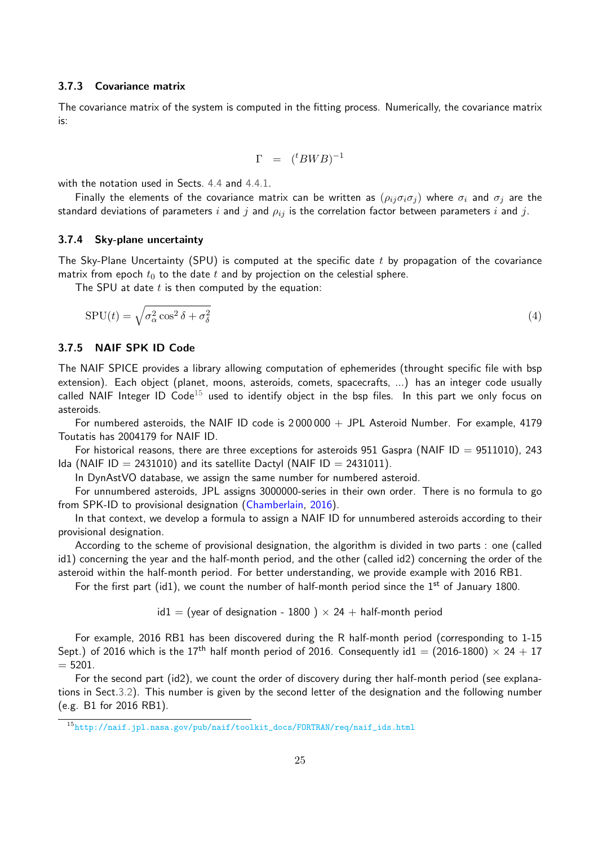#### 3.7.3 Covariance matrix

The covariance matrix of the system is computed in the fitting process. Numerically, the covariance matrix is:

$$
\Gamma = ({}^t B W B)^{-1}
$$

with the notation used in Sects. [4.4](#page-38-0) and [4.4.1.](#page-39-0)

Finally the elements of the covariance matrix can be written as  $(\rho_{ij}\sigma_i\sigma_j)$  where  $\sigma_i$  and  $\sigma_j$  are the standard deviations of parameters i and j and  $\rho_{ij}$  is the correlation factor between parameters i and j.

#### 3.7.4 Sky-plane uncertainty

The Sky-Plane Uncertainty (SPU) is computed at the specific date  $t$  by propagation of the covariance matrix from epoch  $t_0$  to the date  $t$  and by projection on the celestial sphere.

The SPU at date  $t$  is then computed by the equation:

$$
SPU(t) = \sqrt{\sigma_{\alpha}^2 \cos^2 \delta + \sigma_{\delta}^2} \tag{4}
$$

#### <span id="page-28-0"></span>3.7.5 NAIF SPK ID Code

The NAIF SPICE provides a library allowing computation of ephemerides (throught specific file with bsp extension). Each object (planet, moons, asteroids, comets, spacecrafts, ...) has an integer code usually called NAIF Integer ID Code<sup>[15](#page-28-1)</sup> used to identify object in the bsp files. In this part we only focus on asteroids.

For numbered asteroids, the NAIF ID code is  $2000000 + JPL$  Asteroid Number. For example, 4179 Toutatis has 2004179 for NAIF ID.

For historical reasons, there are three exceptions for asteroids 951 Gaspra (NAIF ID = 9511010), 243 Ida (NAIF ID = 2431010) and its satellite Dactyl (NAIF ID = 2431011).

In DynAstVO database, we assign the same number for numbered asteroid.

For unnumbered asteroids, JPL assigns 3000000-series in their own order. There is no formula to go from SPK-ID to provisional designation [\(Chamberlain,](#page-49-7) [2016\)](#page-49-7).

In that context, we develop a formula to assign a NAIF ID for unnumbered asteroids according to their provisional designation.

According to the scheme of provisional designation, the algorithm is divided in two parts : one (called id1) concerning the year and the half-month period, and the other (called id2) concerning the order of the asteroid within the half-month period. For better understanding, we provide example with 2016 RB1.

For the first part (id1), we count the number of half-month period since the  $1<sup>st</sup>$  of January 1800.

 $id1 =$  (year of designation - 1800)  $\times$  24 + half-month period

For example, 2016 RB1 has been discovered during the R half-month period (corresponding to 1-15 Sept.) of 2016 which is the 17<sup>th</sup> half month period of 2016. Consequently id1 = (2016-1800)  $\times$  24 + 17  $= 5201.$ 

For the second part (id2), we count the order of discovery during ther half-month period (see explanations in Sect[.3.2\)](#page-23-2). This number is given by the second letter of the designation and the following number (e.g. B1 for 2016 RB1).

<span id="page-28-1"></span> $^{15}\mathrm{http://naif.jpl.nasa.gov/pub/naif/toolkit\_docs/FORTRAN/req/naif\_ids.html}$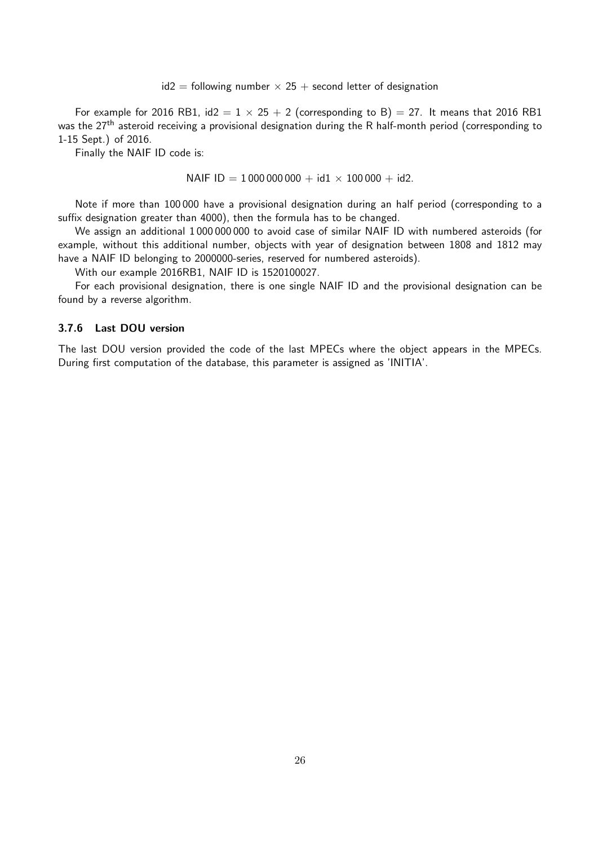$id2 =$  following number  $\times$  25 + second letter of designation

For example for 2016 RB1,  $id2 = 1 \times 25 + 2$  (corresponding to B) = 27. It means that 2016 RB1 was the 27<sup>th</sup> asteroid receiving a provisional designation during the R half-month period (corresponding to 1-15 Sept.) of 2016.

Finally the NAIF ID code is:

NAIF ID = 1 000 000 000 + id1  $\times$  100 000 + id2.

Note if more than 100 000 have a provisional designation during an half period (corresponding to a suffix designation greater than 4000), then the formula has to be changed.

We assign an additional 1 000 000 000 to avoid case of similar NAIF ID with numbered asteroids (for example, without this additional number, objects with year of designation between 1808 and 1812 may have a NAIF ID belonging to 2000000-series, reserved for numbered asteroids).

With our example 2016RB1, NAIF ID is 1520100027.

For each provisional designation, there is one single NAIF ID and the provisional designation can be found by a reverse algorithm.

#### 3.7.6 Last DOU version

The last DOU version provided the code of the last MPECs where the object appears in the MPECs. During first computation of the database, this parameter is assigned as 'INITIA'.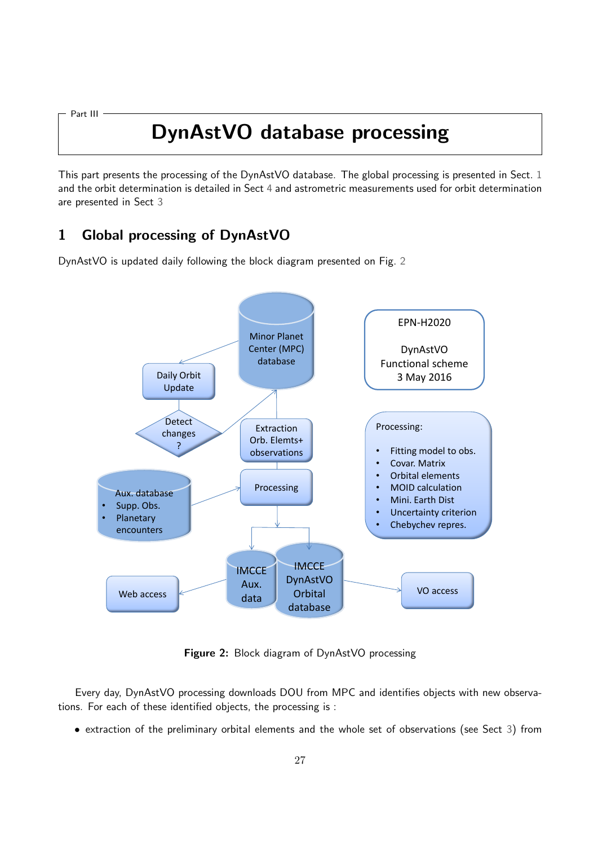<span id="page-30-0"></span>Part III

## DynAstVO database processing

This part presents the processing of the DynAstVO database. The global processing is presented in Sect. [1](#page-30-1) and the orbit determination is detailed in Sect [4](#page-36-0) and astrometric measurements used for orbit determination are presented in Sect [3](#page-31-1)

## <span id="page-30-1"></span>1 Global processing of DynAstVO

<span id="page-30-2"></span>DynAstVO is updated daily following the block diagram presented on Fig. [2](#page-30-2)

![](_page_30_Figure_5.jpeg)

Figure 2: Block diagram of DynAstVO processing

Every day, DynAstVO processing downloads DOU from MPC and identifies objects with new observations. For each of these identified objects, the processing is :

• extraction of the preliminary orbital elements and the whole set of observations (see Sect [3\)](#page-31-1) from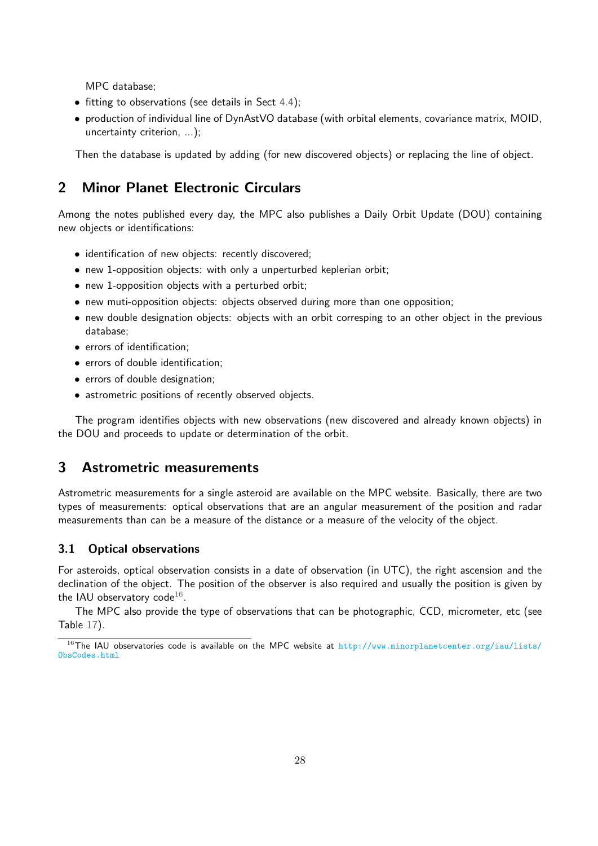MPC database;

- fitting to observations (see details in Sect [4.4\)](#page-38-0);
- production of individual line of DynAstVO database (with orbital elements, covariance matrix, MOID, uncertainty criterion, ...);

<span id="page-31-0"></span>Then the database is updated by adding (for new discovered objects) or replacing the line of object.

### 2 Minor Planet Electronic Circulars

Among the notes published every day, the MPC also publishes a Daily Orbit Update (DOU) containing new objects or identifications:

- identification of new objects: recently discovered;
- new 1-opposition objects: with only a unperturbed keplerian orbit;
- new 1-opposition objects with a perturbed orbit;
- new muti-opposition objects: objects observed during more than one opposition;
- new double designation objects: objects with an orbit corresping to an other object in the previous database;
- errors of identification;
- errors of double identification;
- errors of double designation;
- astrometric positions of recently observed objects.

The program identifies objects with new observations (new discovered and already known objects) in the DOU and proceeds to update or determination of the orbit.

## <span id="page-31-1"></span>3 Astrometric measurements

Astrometric measurements for a single asteroid are available on the MPC website. Basically, there are two types of measurements: optical observations that are an angular measurement of the position and radar measurements than can be a measure of the distance or a measure of the velocity of the object.

#### 3.1 Optical observations

For asteroids, optical observation consists in a date of observation (in UTC), the right ascension and the declination of the object. The position of the observer is also required and usually the position is given by the IAU observatory code $^{16}.$  $^{16}.$  $^{16}.$ 

The MPC also provide the type of observations that can be photographic, CCD, micrometer, etc (see Table [17\)](#page-33-0).

<span id="page-31-2"></span> $16$ The IAU observatories code is available on the MPC website at [http://www.minorplanetcenter.org/iau/lists/](http://www.minorplanetcenter.org/iau/lists/ObsCodes.html) [ObsCodes.html](http://www.minorplanetcenter.org/iau/lists/ObsCodes.html)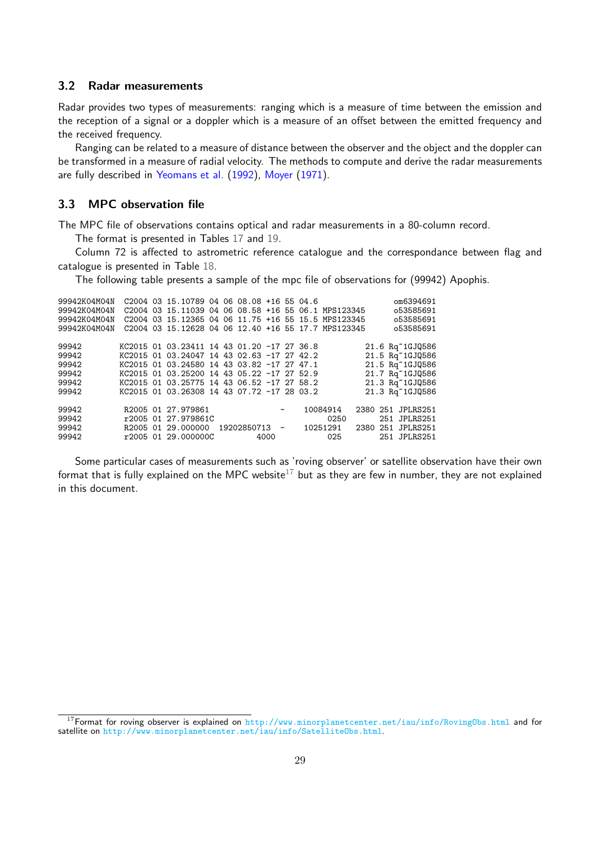#### 3.2 Radar measurements

Radar provides two types of measurements: ranging which is a measure of time between the emission and the reception of a signal or a doppler which is a measure of an offset between the emitted frequency and the received frequency.

Ranging can be related to a measure of distance between the observer and the object and the doppler can be transformed in a measure of radial velocity. The methods to compute and derive the radar measurements are fully described in [Yeomans et al.](#page-50-3) [\(1992\)](#page-50-3), [Moyer](#page-49-8) [\(1971\)](#page-49-8).

### 3.3 MPC observation file

The MPC file of observations contains optical and radar measurements in a 80-column record.

The format is presented in Tables [17](#page-33-0) and [19.](#page-35-0)

Column 72 is affected to astrometric reference catalogue and the correspondance between flag and catalogue is presented in Table [18.](#page-34-0)

The following table presents a sample of the mpc file of observations for (99942) Apophis.

| 99942K04M04N<br>99942K04M04N<br>99942K04M04N<br>99942K04M04N |  | C2004 03 15.10789 04 06 08.08 +16 55 04.6  |  |             |                          |        | C2004 03 15.11039 04 06 08.58 +16 55 06.1 MPS123345<br>C2004 03 15.12365 04 06 11.75 +16 55 15.5 MPS123345<br>C2004 03 15.12628 04 06 12.40 +16 55 17.7 MPS123345 |          | om6394691<br>053585691<br>053585691<br>053585691 |
|--------------------------------------------------------------|--|--------------------------------------------|--|-------------|--------------------------|--------|-------------------------------------------------------------------------------------------------------------------------------------------------------------------|----------|--------------------------------------------------|
| 99942                                                        |  | KC2015 01 03.23411 14 43 01.20 -17 27 36.8 |  |             |                          |        |                                                                                                                                                                   |          | 21.6 Rq~1GJQ586                                  |
| 99942                                                        |  | KC2015 01 03.24047 14 43 02.63 -17 27 42.2 |  |             |                          |        |                                                                                                                                                                   |          | 21.5 Rq~1GJQ586                                  |
| 99942                                                        |  | KC2015 01 03.24580 14 43 03.82 -17 27 47.1 |  |             |                          |        |                                                                                                                                                                   |          | 21.5 Rq~1GJQ586                                  |
| 99942                                                        |  | KC2015 01 03.25200 14 43 05.22 -17 27 52.9 |  |             |                          |        |                                                                                                                                                                   |          | 21.7 Rq~1GJQ586                                  |
| 99942                                                        |  | KC2015 01 03.25775 14 43 06.52 -17 27 58.2 |  |             |                          |        |                                                                                                                                                                   |          | 21.3 Rq~1GJQ586                                  |
| 99942                                                        |  | KC2015 01 03.26308 14 43 07.72 -17 28 03.2 |  |             |                          |        |                                                                                                                                                                   |          | 21.3 Rq~1GJQ586                                  |
| 99942                                                        |  | R2005 01 27.979861                         |  |             |                          | $  \,$ | 10084914                                                                                                                                                          | 2380 251 | JPLRS251                                         |
| 99942                                                        |  | r2005 01 27.979861C                        |  |             |                          |        | 0250                                                                                                                                                              |          | 251 JPLRS251                                     |
| 99942                                                        |  | R2005 01 29.000000                         |  | 19202850713 | $\overline{\phantom{0}}$ |        | 10251291                                                                                                                                                          |          | 2380 251 JPLRS251                                |
| 99942                                                        |  | r2005 01 29.000000C                        |  |             | 4000                     |        | 025                                                                                                                                                               |          | 251 JPLRS251                                     |

Some particular cases of measurements such as 'roving observer' or satellite observation have their own format that is fully explained on the MPC website<sup>[17](#page-32-0)</sup> but as they are few in number, they are not explained in this document.

<span id="page-32-0"></span><sup>&</sup>lt;sup>17</sup>Format for roving observer is explained on <http://www.minorplanetcenter.net/iau/info/RovingObs.html> and for satellite on <http://www.minorplanetcenter.net/iau/info/SatelliteObs.html>.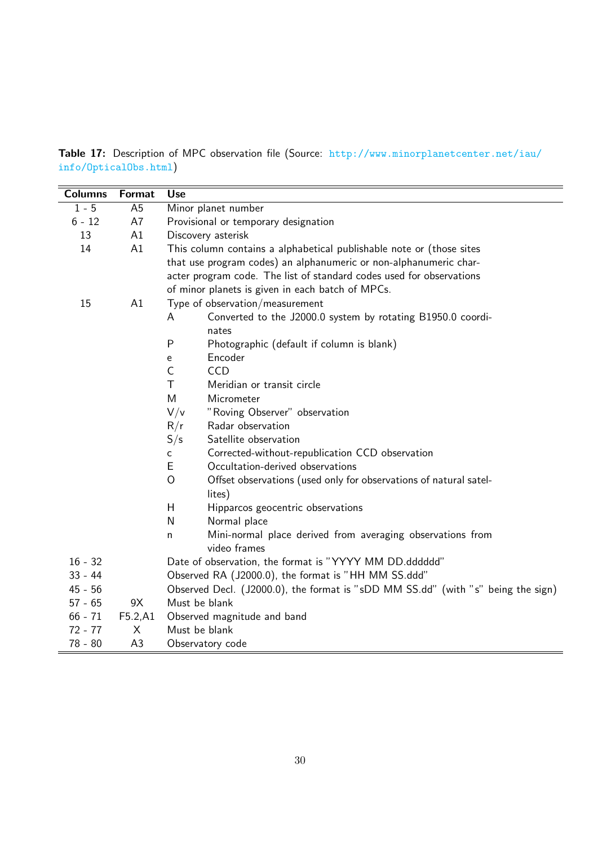<span id="page-33-0"></span>Table 17: Description of MPC observation file (Source: [http://www.minorplanetcenter.net/iau/](http://www.minorplanetcenter.net/iau/info/OpticalObs.html) [info/OpticalObs.html](http://www.minorplanetcenter.net/iau/info/OpticalObs.html))

| <b>Columns</b> | Format         | <b>Use</b>                                                                          |  |  |  |  |  |  |
|----------------|----------------|-------------------------------------------------------------------------------------|--|--|--|--|--|--|
| $1 - 5$        | A <sub>5</sub> | Minor planet number                                                                 |  |  |  |  |  |  |
| $6 - 12$       | A7             | Provisional or temporary designation                                                |  |  |  |  |  |  |
| 13             | A1             | Discovery asterisk                                                                  |  |  |  |  |  |  |
| 14             | A1             | This column contains a alphabetical publishable note or (those sites                |  |  |  |  |  |  |
|                |                | that use program codes) an alphanumeric or non-alphanumeric char-                   |  |  |  |  |  |  |
|                |                | acter program code. The list of standard codes used for observations                |  |  |  |  |  |  |
|                |                | of minor planets is given in each batch of MPCs.                                    |  |  |  |  |  |  |
| 15             | A1             | Type of observation/measurement                                                     |  |  |  |  |  |  |
|                |                | Converted to the J2000.0 system by rotating B1950.0 coordi-<br>A                    |  |  |  |  |  |  |
|                |                | nates                                                                               |  |  |  |  |  |  |
|                |                | P<br>Photographic (default if column is blank)                                      |  |  |  |  |  |  |
|                |                | Encoder<br>e                                                                        |  |  |  |  |  |  |
|                |                | $\mathsf C$<br><b>CCD</b>                                                           |  |  |  |  |  |  |
|                |                | T<br>Meridian or transit circle                                                     |  |  |  |  |  |  |
|                |                | M<br>Micrometer                                                                     |  |  |  |  |  |  |
|                |                | V/v<br>"Roving Observer" observation                                                |  |  |  |  |  |  |
|                |                | R/r<br>Radar observation                                                            |  |  |  |  |  |  |
|                |                | S/s<br>Satellite observation                                                        |  |  |  |  |  |  |
|                |                | Corrected-without-republication CCD observation<br>C                                |  |  |  |  |  |  |
|                |                | E<br>Occultation-derived observations                                               |  |  |  |  |  |  |
|                |                | $\overline{O}$<br>Offset observations (used only for observations of natural satel- |  |  |  |  |  |  |
|                |                | lites)                                                                              |  |  |  |  |  |  |
|                |                | H<br>Hipparcos geocentric observations                                              |  |  |  |  |  |  |
|                |                | N<br>Normal place                                                                   |  |  |  |  |  |  |
|                |                | Mini-normal place derived from averaging observations from<br>n                     |  |  |  |  |  |  |
|                |                | video frames                                                                        |  |  |  |  |  |  |
| $16 - 32$      |                | Date of observation, the format is "YYYY MM DD.dddddd"                              |  |  |  |  |  |  |
| $33 - 44$      |                | Observed RA (J2000.0), the format is "HH MM SS.ddd"                                 |  |  |  |  |  |  |
| $45 - 56$      |                | Observed Decl. (J2000.0), the format is "sDD MM SS.dd" (with "s" being the sign)    |  |  |  |  |  |  |
| $57 - 65$      | 9X             | Must be blank                                                                       |  |  |  |  |  |  |
| $66 - 71$      | F5.2,A1        | Observed magnitude and band                                                         |  |  |  |  |  |  |
| $72 - 77$      | X              | Must be blank                                                                       |  |  |  |  |  |  |
| $78 - 80$      | A3             | Observatory code                                                                    |  |  |  |  |  |  |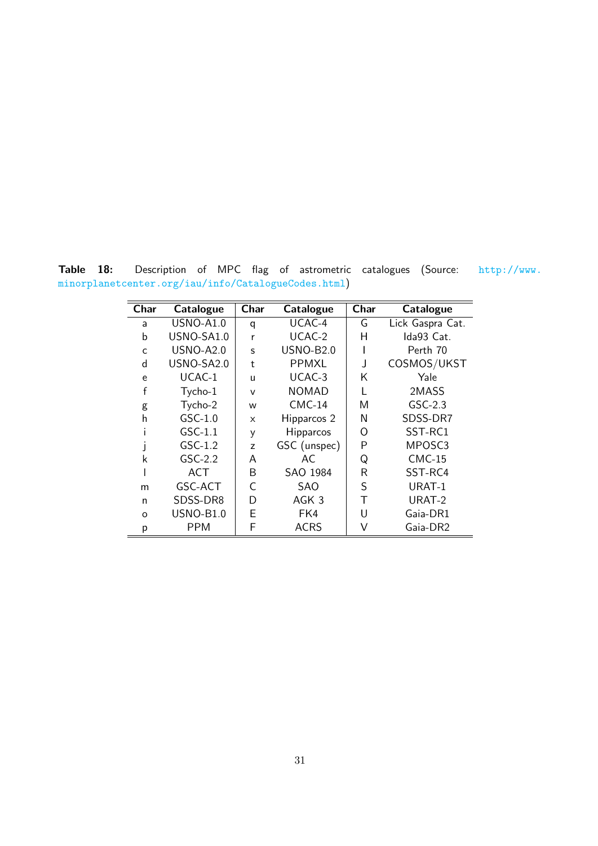<span id="page-34-0"></span>Table 18: Description of MPC flag of astrometric catalogues (Source: [http://www.](http://www.minorplanetcenter.org/iau/info/CatalogueCodes.html) [minorplanetcenter.org/iau/info/CatalogueCodes.html](http://www.minorplanetcenter.org/iau/info/CatalogueCodes.html))

| Char | Catalogue        | Char<br>Catalogue |                  | Char | Catalogue        |
|------|------------------|-------------------|------------------|------|------------------|
| a    | <b>USNO-A1.0</b> | q                 | UCAC-4           | G    | Lick Gaspra Cat. |
| b    | USNO-SA1.0       | r                 | UCAC-2           | н    | Ida93 Cat.       |
| C    | <b>USNO-A2.0</b> | S                 | <b>USNO-B2.0</b> |      | Perth 70         |
| d    | USNO-SA2.0       | t                 | <b>PPMXL</b>     |      | COSMOS/UKST      |
| e    | UCAC-1           | u                 | UCAC-3           | Κ    | Yale             |
| f    | Tycho-1          | $\vee$            | <b>NOMAD</b>     |      | 2MASS            |
| g    | Tycho-2          | W                 | $CMC-14$         | M    | $GSC-2.3$        |
| h    | $GSC-1.0$        | X                 | Hipparcos 2      | N    | SDSS-DR7         |
|      | $GSC-1.1$        | y                 | <b>Hipparcos</b> | O    | SST-RC1          |
|      | $GSC-1.2$        | z                 | GSC (unspec)     | P    | MPOSC3           |
| k    | $GSC-2.2$        | A                 | AC               | Q    | $CMC-15$         |
|      | ACT              | B                 | SAO 1984         | R    | SST-RC4          |
| m    | GSC-ACT          | C                 | SAO              | S    | URAT-1           |
| n    | SDSS-DR8         | D                 | AGK <sub>3</sub> | Τ    | URAT-2           |
| O    | <b>USNO-B1.0</b> | E                 | FK4              | U    | Gaia-DR1         |
| р    | <b>PPM</b>       | F                 | <b>ACRS</b>      | V    | Gaia-DR2         |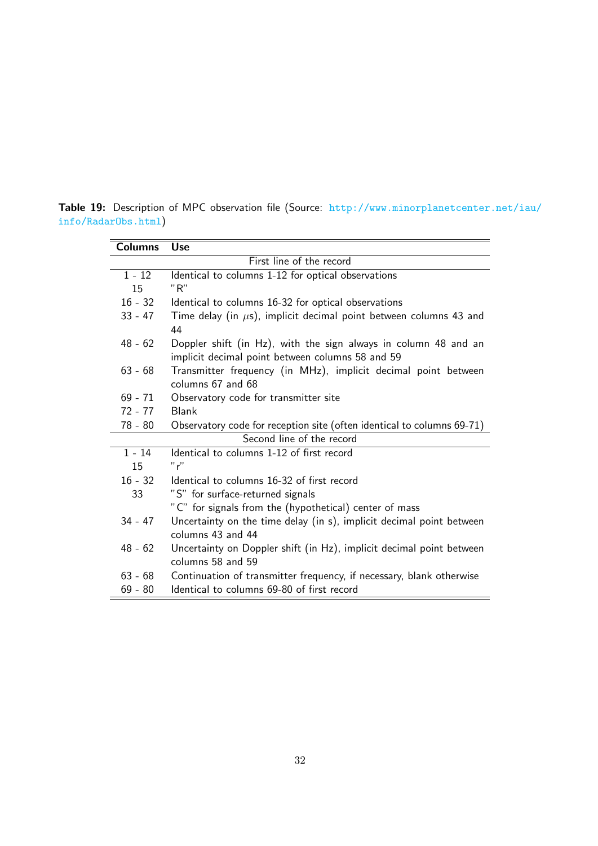<span id="page-35-0"></span>Table 19: Description of MPC observation file (Source: [http://www.minorplanetcenter.net/iau/](http://www.minorplanetcenter.net/iau/info/RadarObs.html) [info/RadarObs.html](http://www.minorplanetcenter.net/iau/info/RadarObs.html))

| <b>Columns</b> | <b>Use</b>                                                                                                          |  |  |  |  |  |
|----------------|---------------------------------------------------------------------------------------------------------------------|--|--|--|--|--|
|                | First line of the record                                                                                            |  |  |  |  |  |
| $1 - 12$       | Identical to columns 1-12 for optical observations                                                                  |  |  |  |  |  |
| 15             | "R"                                                                                                                 |  |  |  |  |  |
| $16 - 32$      | Identical to columns 16-32 for optical observations                                                                 |  |  |  |  |  |
| $33 - 47$      | Time delay (in $\mu$ s), implicit decimal point between columns 43 and<br>44                                        |  |  |  |  |  |
| $48 - 62$      | Doppler shift (in Hz), with the sign always in column 48 and an<br>implicit decimal point between columns 58 and 59 |  |  |  |  |  |
| $63 - 68$      | Transmitter frequency (in MHz), implicit decimal point between<br>columns 67 and 68                                 |  |  |  |  |  |
| $69 - 71$      | Observatory code for transmitter site                                                                               |  |  |  |  |  |
| $72 - 77$      | <b>Blank</b>                                                                                                        |  |  |  |  |  |
| $78 - 80$      | Observatory code for reception site (often identical to columns 69-71)                                              |  |  |  |  |  |
|                | Second line of the record                                                                                           |  |  |  |  |  |
| $1 - 14$       | Identical to columns 1-12 of first record                                                                           |  |  |  |  |  |
| 15             | "r"                                                                                                                 |  |  |  |  |  |
| $16 - 32$      | Identical to columns 16-32 of first record                                                                          |  |  |  |  |  |
| 33             | "S" for surface-returned signals                                                                                    |  |  |  |  |  |
|                | "C" for signals from the (hypothetical) center of mass                                                              |  |  |  |  |  |
| $34 - 47$      | Uncertainty on the time delay (in s), implicit decimal point between<br>columns 43 and 44                           |  |  |  |  |  |
| $48 - 62$      | Uncertainty on Doppler shift (in Hz), implicit decimal point between<br>columns 58 and 59                           |  |  |  |  |  |
| $63 - 68$      | Continuation of transmitter frequency, if necessary, blank otherwise                                                |  |  |  |  |  |
| $69 - 80$      | Identical to columns 69-80 of first record                                                                          |  |  |  |  |  |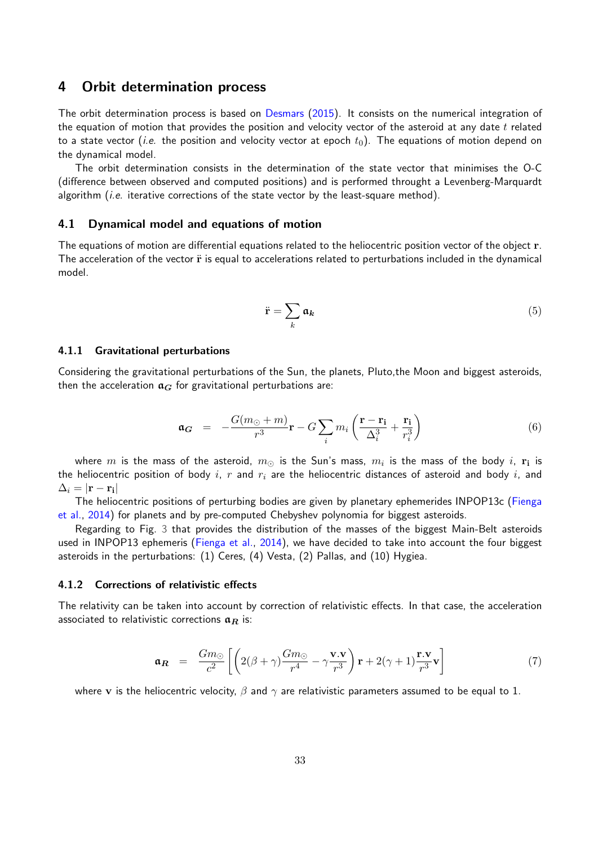#### <span id="page-36-0"></span>4 Orbit determination process

The orbit determination process is based on [Desmars](#page-49-9) [\(2015\)](#page-49-9). It consists on the numerical integration of the equation of motion that provides the position and velocity vector of the asteroid at any date  $t$  related to a state vector (*i.e.* the position and velocity vector at epoch  $t_0$ ). The equations of motion depend on the dynamical model.

The orbit determination consists in the determination of the state vector that minimises the O-C (difference between observed and computed positions) and is performed throught a Levenberg-Marquardt algorithm (*i.e.* iterative corrections of the state vector by the least-square method).

#### <span id="page-36-1"></span>4.1 Dynamical model and equations of motion

The equations of motion are differential equations related to the heliocentric position vector of the object r. The acceleration of the vector  $\ddot{r}$  is equal to accelerations related to perturbations included in the dynamical model.

$$
\ddot{\mathbf{r}} = \sum_{k} \mathfrak{a}_k \tag{5}
$$

#### 4.1.1 Gravitational perturbations

Considering the gravitational perturbations of the Sun, the planets, Pluto,the Moon and biggest asteroids, then the acceleration  $a_G$  for gravitational perturbations are:

$$
\mathbf{a}_{\mathbf{G}} = -\frac{G(m_{\odot} + m)}{r^3} \mathbf{r} - G \sum_{i} m_{i} \left( \frac{\mathbf{r} - \mathbf{r}_{i}}{\Delta_{i}^{3}} + \frac{\mathbf{r}_{i}}{r_{i}^{3}} \right)
$$
(6)

where  $m$  is the mass of the asteroid,  $m_\odot$  is the Sun's mass,  $m_i$  is the mass of the body  $i$ ,  ${\bf r_i}$  is the heliocentric position of body i, r and  $r_i$  are the heliocentric distances of asteroid and body i, and  $\Delta_i=|{\bf r}-{\bf r_i}|$ 

The heliocentric positions of perturbing bodies are given by planetary ephemerides INPOP13c [\(Fienga](#page-49-10) [et al.,](#page-49-10) [2014\)](#page-49-10) for planets and by pre-computed Chebyshev polynomia for biggest asteroids.

Regarding to Fig. [3](#page-37-0) that provides the distribution of the masses of the biggest Main-Belt asteroids used in INPOP13 ephemeris [\(Fienga et al.,](#page-49-10) [2014\)](#page-49-10), we have decided to take into account the four biggest asteroids in the perturbations: (1) Ceres, (4) Vesta, (2) Pallas, and (10) Hygiea.

#### 4.1.2 Corrections of relativistic effects

The relativity can be taken into account by correction of relativistic effects. In that case, the acceleration associated to relativistic corrections  $a_R$  is:

$$
\mathbf{a_R} = \frac{Gm_{\odot}}{c^2} \left[ \left( 2(\beta + \gamma) \frac{Gm_{\odot}}{r^4} - \gamma \frac{\mathbf{v} \cdot \mathbf{v}}{r^3} \right) \mathbf{r} + 2(\gamma + 1) \frac{\mathbf{r} \cdot \mathbf{v}}{r^3} \mathbf{v} \right]
$$
(7)

where v is the heliocentric velocity,  $\beta$  and  $\gamma$  are relativistic parameters assumed to be equal to 1.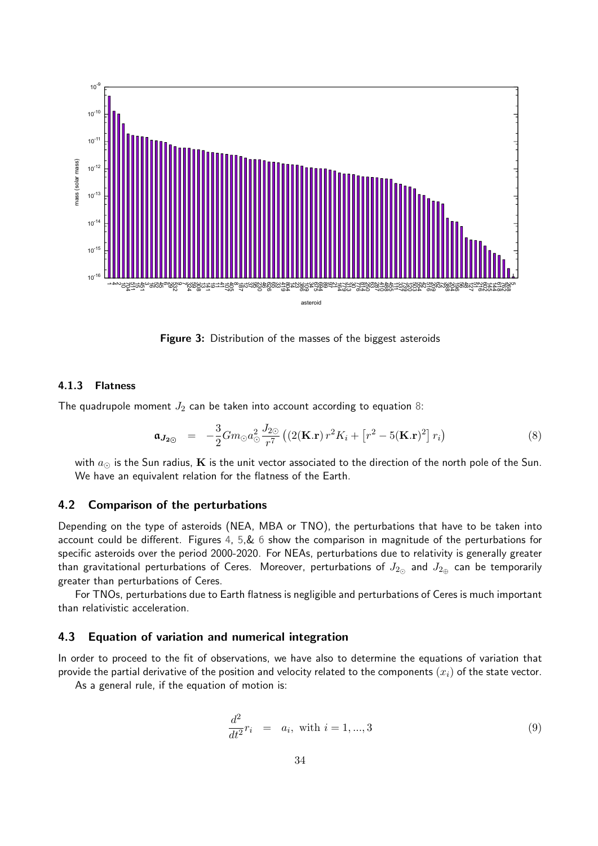<span id="page-37-0"></span>![](_page_37_Figure_0.jpeg)

Figure 3: Distribution of the masses of the biggest asteroids

#### 4.1.3 Flatness

The quadrupole moment  $J_2$  can be taken into account according to equation [8:](#page-37-1)

<span id="page-37-1"></span>
$$
\mathbf{a}_{J_{2\odot}} = -\frac{3}{2} G m_{\odot} a_{\odot}^2 \frac{J_{2\odot}}{r^7} \left( \left( 2(\mathbf{K}.\mathbf{r}) r^2 K_i + \left[ r^2 - 5(\mathbf{K}.\mathbf{r})^2 \right] r_i \right) \right)
$$
(8)

with  $a_{\odot}$  is the Sun radius, K is the unit vector associated to the direction of the north pole of the Sun. We have an equivalent relation for the flatness of the Earth.

#### 4.2 Comparison of the perturbations

Depending on the type of asteroids (NEA, MBA or TNO), the perturbations that have to be taken into account could be different. Figures [4,](#page-42-0) [5,](#page-43-0)& [6](#page-44-0) show the comparison in magnitude of the perturbations for specific asteroids over the period 2000-2020. For NEAs, perturbations due to relativity is generally greater than gravitational perturbations of Ceres. Moreover, perturbations of  $J_{2\alpha}$  and  $J_{2\alpha}$  can be temporarily greater than perturbations of Ceres.

For TNOs, perturbations due to Earth flatness is negligible and perturbations of Ceres is much important than relativistic acceleration.

#### 4.3 Equation of variation and numerical integration

In order to proceed to the fit of observations, we have also to determine the equations of variation that provide the partial derivative of the position and velocity related to the components  $(x_i)$  of the state vector.

As a general rule, if the equation of motion is:

$$
\frac{d^2}{dt^2}r_i = a_i, \text{ with } i = 1, ..., 3
$$
\n(9)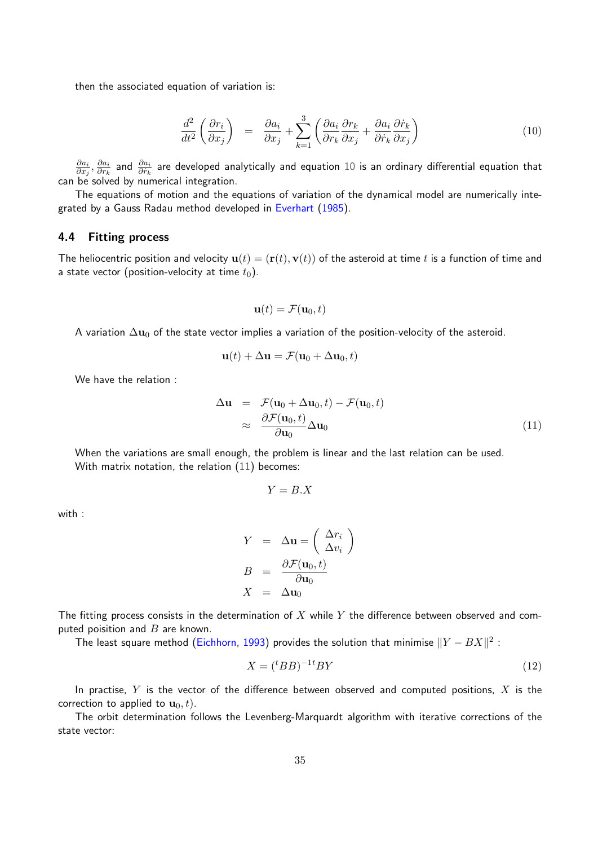then the associated equation of variation is:

<span id="page-38-1"></span>
$$
\frac{d^2}{dt^2} \left( \frac{\partial r_i}{\partial x_j} \right) = \frac{\partial a_i}{\partial x_j} + \sum_{k=1}^3 \left( \frac{\partial a_i}{\partial r_k} \frac{\partial r_k}{\partial x_j} + \frac{\partial a_i}{\partial \dot{r}_k} \frac{\partial \dot{r}_k}{\partial x_j} \right)
$$
(10)

 $\partial a_i$  $\frac{\partial a_i}{\partial x_j}, \frac{\partial a_i}{\partial r_k}$  $\frac{\partial a_i}{\partial r_k}$  and  $\frac{\partial a_i}{\partial r_k}$  are developed analytically and equation  $10$  is an ordinary differential equation that can be solved by numerical integration.

The equations of motion and the equations of variation of the dynamical model are numerically integrated by a Gauss Radau method developed in [Everhart](#page-49-11) [\(1985\)](#page-49-11).

#### <span id="page-38-0"></span>4.4 Fitting process

The heliocentric position and velocity  $\mathbf{u}(t) = (\mathbf{r}(t), \mathbf{v}(t))$  of the asteroid at time t is a function of time and a state vector (position-velocity at time  $t_0$ ).

$$
\mathbf{u}(t) = \mathcal{F}(\mathbf{u}_0, t)
$$

A variation  $\Delta u_0$  of the state vector implies a variation of the position-velocity of the asteroid.

$$
\mathbf{u}(t) + \Delta \mathbf{u} = \mathcal{F}(\mathbf{u}_0 + \Delta \mathbf{u}_0, t)
$$

We have the relation :

<span id="page-38-2"></span>
$$
\Delta \mathbf{u} = \mathcal{F}(\mathbf{u}_0 + \Delta \mathbf{u}_0, t) - \mathcal{F}(\mathbf{u}_0, t) \n\approx \frac{\partial \mathcal{F}(\mathbf{u}_0, t)}{\partial \mathbf{u}_0} \Delta \mathbf{u}_0
$$
\n(11)

When the variations are small enough, the problem is linear and the last relation can be used. With matrix notation, the relation [\(11\)](#page-38-2) becomes:

$$
Y = B.X
$$

with :

$$
Y = \Delta \mathbf{u} = \begin{pmatrix} \Delta r_i \\ \Delta v_i \end{pmatrix}
$$

$$
B = \frac{\partial \mathcal{F}(\mathbf{u}_0, t)}{\partial \mathbf{u}_0}
$$

$$
X = \Delta \mathbf{u}_0
$$

The fitting process consists in the determination of  $X$  while  $Y$  the difference between observed and computed poisition and  $B$  are known.

The least square method [\(Eichhorn,](#page-49-12) [1993\)](#page-49-12) provides the solution that minimise  $\|Y - BX\|^2$  :

$$
X = ({}^tBB)^{-1t}BY
$$
\n<sup>(12)</sup>

In practise,  $Y$  is the vector of the difference between observed and computed positions,  $X$  is the correction to applied to  $\mathbf{u}_0, t$ ).

The orbit determination follows the Levenberg-Marquardt algorithm with iterative corrections of the state vector: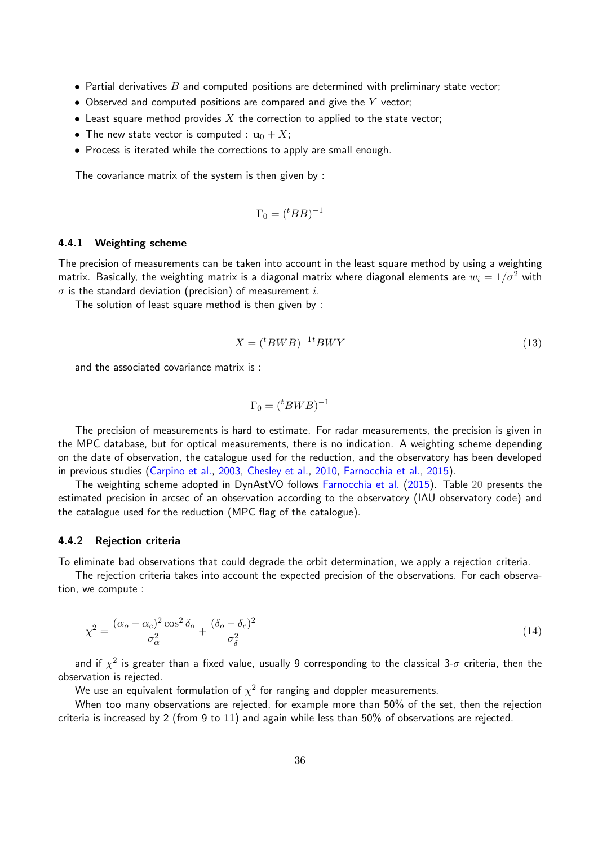- Partial derivatives  $B$  and computed positions are determined with preliminary state vector;
- Observed and computed positions are compared and give the  $Y$  vector;
- Least square method provides  $X$  the correction to applied to the state vector;
- The new state vector is computed :  $\mathbf{u}_0 + X$ ;
- Process is iterated while the corrections to apply are small enough.

The covariance matrix of the system is then given by :

$$
\Gamma_0 = ({}^tBB)^{-1}
$$

#### <span id="page-39-0"></span>4.4.1 Weighting scheme

The precision of measurements can be taken into account in the least square method by using a weighting matrix. Basically, the weighting matrix is a diagonal matrix where diagonal elements are  $w_i = 1/\sigma^2$  with  $\sigma$  is the standard deviation (precision) of measurement i.

The solution of least square method is then given by :

$$
X = ({}^{t}BWB)^{-1}{}^{t}BWY
$$
\n<sup>(13)</sup>

and the associated covariance matrix is :

$$
\Gamma_0 = ({}^t B W B)^{-1}
$$

The precision of measurements is hard to estimate. For radar measurements, the precision is given in the MPC database, but for optical measurements, there is no indication. A weighting scheme depending on the date of observation, the catalogue used for the reduction, and the observatory has been developed in previous studies [\(Carpino et al.,](#page-49-13) [2003,](#page-49-13) [Chesley et al.,](#page-49-14) [2010,](#page-49-14) [Farnocchia et al.,](#page-49-15) [2015\)](#page-49-15).

The weighting scheme adopted in DynAstVO follows [Farnocchia et al.](#page-49-15) [\(2015\)](#page-49-15). Table [20](#page-40-0) presents the estimated precision in arcsec of an observation according to the observatory (IAU observatory code) and the catalogue used for the reduction (MPC flag of the catalogue).

#### 4.4.2 Rejection criteria

To eliminate bad observations that could degrade the orbit determination, we apply a rejection criteria.

The rejection criteria takes into account the expected precision of the observations. For each observation, we compute :

$$
\chi^2 = \frac{(\alpha_o - \alpha_c)^2 \cos^2 \delta_o}{\sigma_\alpha^2} + \frac{(\delta_o - \delta_c)^2}{\sigma_\delta^2} \tag{14}
$$

and if  $\chi^2$  is greater than a fixed value, usually 9 corresponding to the classical 3- $\sigma$  criteria, then the observation is rejected.

We use an equivalent formulation of  $\chi^2$  for ranging and doppler measurements.

When too many observations are rejected, for example more than 50% of the set, then the rejection criteria is increased by 2 (from 9 to 11) and again while less than 50% of observations are rejected.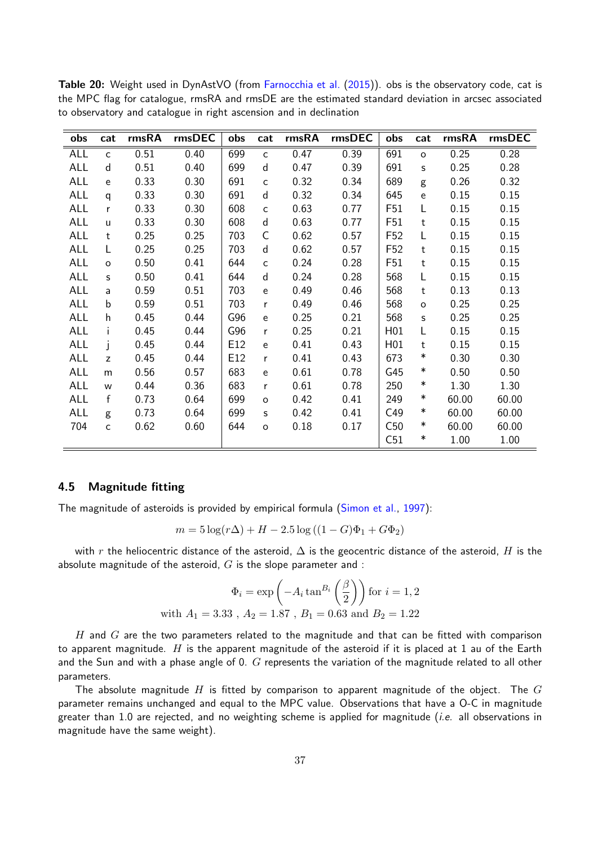| obs        | cat          | rmsRA | rmsDEC | obs | cat          | rmsRA | rmsDEC | obs             | cat          | rmsRA | rmsDEC |
|------------|--------------|-------|--------|-----|--------------|-------|--------|-----------------|--------------|-------|--------|
| <b>ALL</b> | $\mathsf{C}$ | 0.51  | 0.40   | 699 | $\mathsf{C}$ | 0.47  | 0.39   | 691             | $\circ$      | 0.25  | 0.28   |
| ALL        | d            | 0.51  | 0.40   | 699 | d            | 0.47  | 0.39   | 691             | S            | 0.25  | 0.28   |
| ALL        | e            | 0.33  | 0.30   | 691 | $\mathsf{C}$ | 0.32  | 0.34   | 689             | g            | 0.26  | 0.32   |
| ALL        | $\mathsf{q}$ | 0.33  | 0.30   | 691 | d            | 0.32  | 0.34   | 645             | e            | 0.15  | 0.15   |
| ALL        | r            | 0.33  | 0.30   | 608 | C            | 0.63  | 0.77   | F51             | L            | 0.15  | 0.15   |
| <b>ALL</b> | $\mathsf{u}$ | 0.33  | 0.30   | 608 | d            | 0.63  | 0.77   | F51             | t            | 0.15  | 0.15   |
| ALL        | $\mathbf t$  | 0.25  | 0.25   | 703 | C            | 0.62  | 0.57   | F <sub>52</sub> | L            | 0.15  | 0.15   |
| <b>ALL</b> | L            | 0.25  | 0.25   | 703 | $\mathsf{d}$ | 0.62  | 0.57   | F <sub>52</sub> | $\mathsf t$  | 0.15  | 0.15   |
| ALL        | $\circ$      | 0.50  | 0.41   | 644 | $\mathsf{C}$ | 0.24  | 0.28   | F51             | $\mathsf{t}$ | 0.15  | 0.15   |
| ALL        | s            | 0.50  | 0.41   | 644 | d            | 0.24  | 0.28   | 568             | L            | 0.15  | 0.15   |
| ALL        | a            | 0.59  | 0.51   | 703 | e            | 0.49  | 0.46   | 568             | t            | 0.13  | 0.13   |
| <b>ALL</b> | $\mathbf b$  | 0.59  | 0.51   | 703 | r            | 0.49  | 0.46   | 568             | $\circ$      | 0.25  | 0.25   |
| <b>ALL</b> | h            | 0.45  | 0.44   | G96 | e            | 0.25  | 0.21   | 568             | s            | 0.25  | 0.25   |
| <b>ALL</b> | i.           | 0.45  | 0.44   | G96 | r            | 0.25  | 0.21   | H01             | L            | 0.15  | 0.15   |
| ALL        | Ť            | 0.45  | 0.44   | E12 | e            | 0.41  | 0.43   | H01             | t            | 0.15  | 0.15   |
| <b>ALL</b> | z            | 0.45  | 0.44   | E12 | r            | 0.41  | 0.43   | 673             | $\ast$       | 0.30  | 0.30   |
| <b>ALL</b> | m            | 0.56  | 0.57   | 683 | e            | 0.61  | 0.78   | G45             | $\ast$       | 0.50  | 0.50   |
| <b>ALL</b> | W            | 0.44  | 0.36   | 683 | r            | 0.61  | 0.78   | 250             | $\ast$       | 1.30  | 1.30   |
| ALL        | f            | 0.73  | 0.64   | 699 | $\circ$      | 0.42  | 0.41   | 249             | $\ast$       | 60.00 | 60.00  |
| ALL        | g            | 0.73  | 0.64   | 699 | s            | 0.42  | 0.41   | C49             | $\ast$       | 60.00 | 60.00  |
| 704        | $\mathsf{C}$ | 0.62  | 0.60   | 644 | $\circ$      | 0.18  | 0.17   | C50             | $\ast$       | 60.00 | 60.00  |
|            |              |       |        |     |              |       |        | C51             | $\ast$       | 1.00  | 1.00   |

<span id="page-40-0"></span>Table 20: Weight used in DynAstVO (from [Farnocchia et al.](#page-49-15) [\(2015\)](#page-49-15)). obs is the observatory code, cat is the MPC flag for catalogue, rmsRA and rmsDE are the estimated standard deviation in arcsec associated to observatory and catalogue in right ascension and in declination

#### 4.5 Magnitude fitting

The magnitude of asteroids is provided by empirical formula [\(Simon et al.,](#page-49-6) [1997\)](#page-49-6):

$$
m = 5\log(r\Delta) + H - 2.5\log((1 - G)\Phi_1 + G\Phi_2)
$$

with r the heliocentric distance of the asteroid,  $\Delta$  is the geocentric distance of the asteroid, H is the absolute magnitude of the asteroid,  $G$  is the slope parameter and :

$$
\Phi_i = \exp\left(-A_i \tan^{B_i}\left(\frac{\beta}{2}\right)\right) \text{ for } i = 1, 2
$$
  
with  $A_1 = 3.33$ ,  $A_2 = 1.87$ ,  $B_1 = 0.63$  and  $B_2 = 1.22$ 

H and  $G$  are the two parameters related to the magnitude and that can be fitted with comparison to apparent magnitude. H is the apparent magnitude of the asteroid if it is placed at 1 au of the Earth and the Sun and with a phase angle of 0.  $G$  represents the variation of the magnitude related to all other parameters.

The absolute magnitude  $H$  is fitted by comparison to apparent magnitude of the object. The  $G$ parameter remains unchanged and equal to the MPC value. Observations that have a O-C in magnitude greater than 1.0 are rejected, and no weighting scheme is applied for magnitude (*i.e.* all observations in magnitude have the same weight).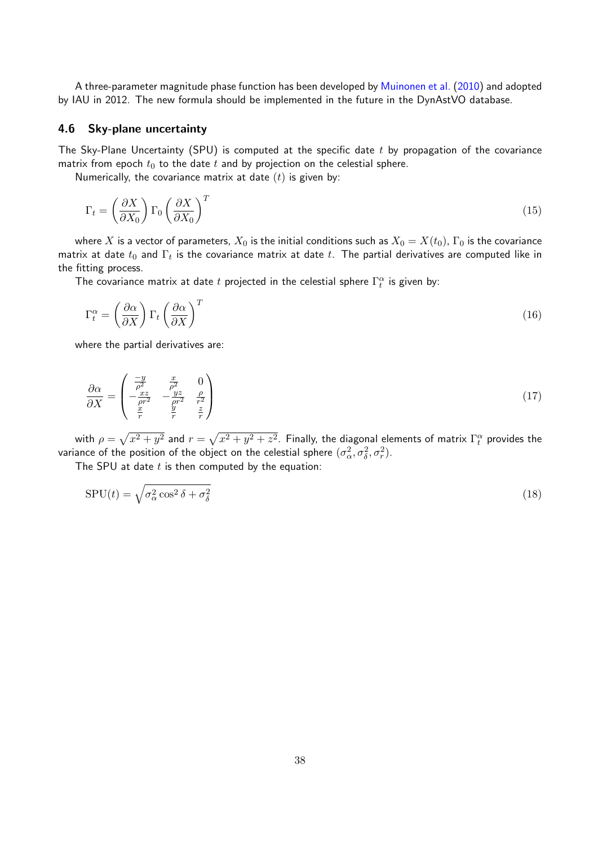A three-parameter magnitude phase function has been developed by [Muinonen et al.](#page-49-16) [\(2010\)](#page-49-16) and adopted by IAU in 2012. The new formula should be implemented in the future in the DynAstVO database.

#### <span id="page-41-0"></span>4.6 Sky-plane uncertainty

The Sky-Plane Uncertainty (SPU) is computed at the specific date  $t$  by propagation of the covariance matrix from epoch  $t_0$  to the date  $t$  and by projection on the celestial sphere.

Numerically, the covariance matrix at date  $(t)$  is given by:

$$
\Gamma_t = \left(\frac{\partial X}{\partial X_0}\right) \Gamma_0 \left(\frac{\partial X}{\partial X_0}\right)^T \tag{15}
$$

where X is a vector of parameters,  $X_0$  is the initial conditions such as  $X_0 = X(t_0)$ ,  $\Gamma_0$  is the covariance matrix at date  $t_0$  and  $\Gamma_t$  is the covariance matrix at date  $t.$  The partial derivatives are computed like in the fitting process.

The covariance matrix at date  $t$  projected in the celestial sphere  $\Gamma_t^\alpha$  is given by:

$$
\Gamma_t^{\alpha} = \left(\frac{\partial \alpha}{\partial X}\right) \Gamma_t \left(\frac{\partial \alpha}{\partial X}\right)^T \tag{16}
$$

where the partial derivatives are:

$$
\frac{\partial \alpha}{\partial X} = \begin{pmatrix} \frac{-y}{\rho^2} & \frac{x}{\rho^2} & 0\\ -\frac{xz}{\rho r^2} & -\frac{yz}{\rho r^2} & \frac{\rho}{r^2} \\ \frac{x}{r} & \frac{y}{r} & \frac{z}{r} \end{pmatrix}
$$
(17)

with  $\rho=\sqrt{x^2+y^2}$  and  $r=\sqrt{x^2+y^2+z^2}$ . Finally, the diagonal elements of matrix  $\Gamma^\alpha_t$  provides the variance of the position of the object on the celestial sphere  $(\sigma_{\alpha}^2,\sigma_{\delta}^2,\sigma_{r}^2).$ 

The SPU at date  $t$  is then computed by the equation:

$$
SPU(t) = \sqrt{\sigma_{\alpha}^2 \cos^2 \delta + \sigma_{\delta}^2}
$$
 (18)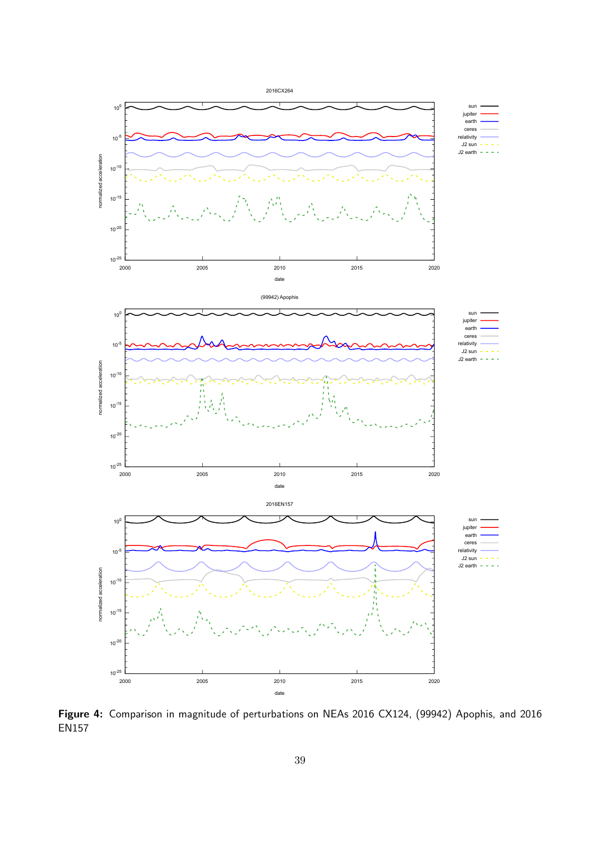<span id="page-42-0"></span>![](_page_42_Figure_0.jpeg)

Figure 4: Comparison in magnitude of perturbations on NEAs 2016 CX124, (99942) Apophis, and 2016 EN157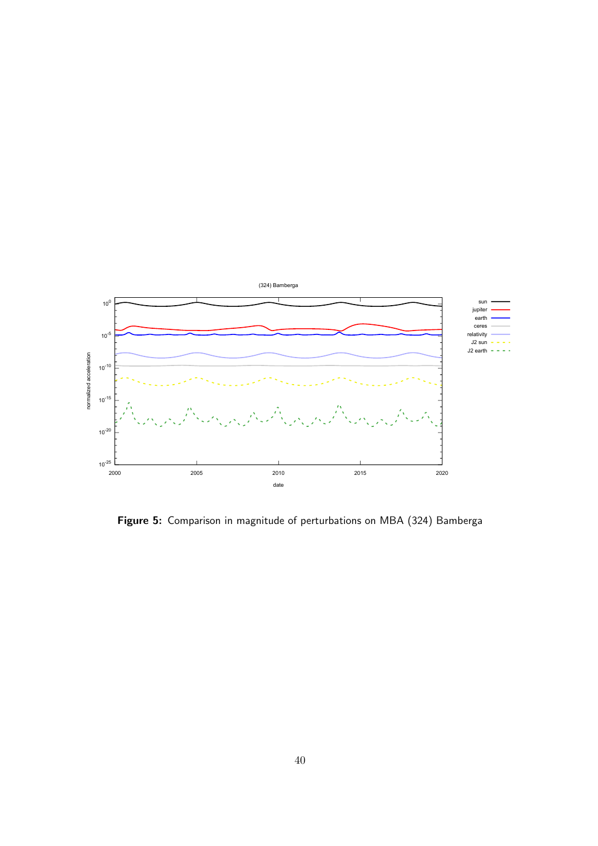<span id="page-43-0"></span>![](_page_43_Figure_0.jpeg)

Figure 5: Comparison in magnitude of perturbations on MBA (324) Bamberga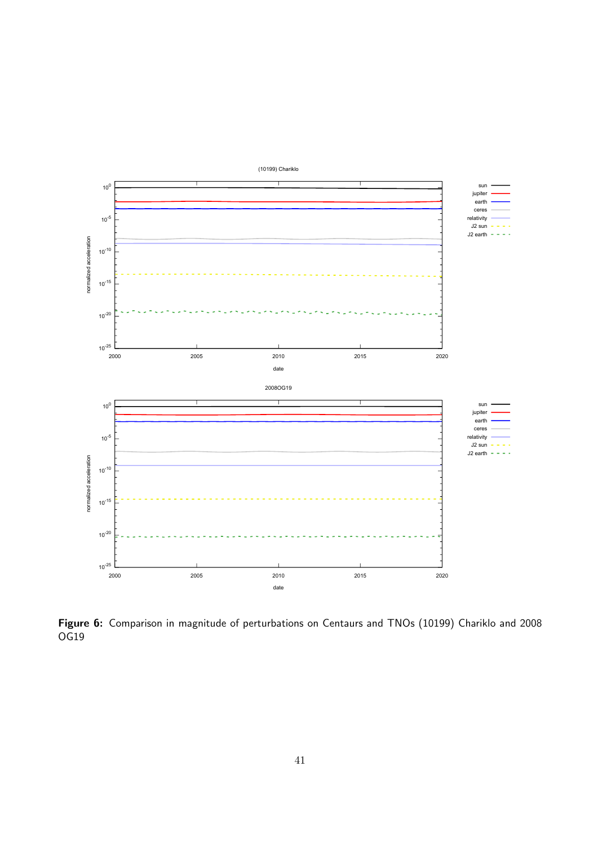<span id="page-44-0"></span>![](_page_44_Figure_0.jpeg)

Figure 6: Comparison in magnitude of perturbations on Centaurs and TNOs (10199) Chariklo and 2008 OG19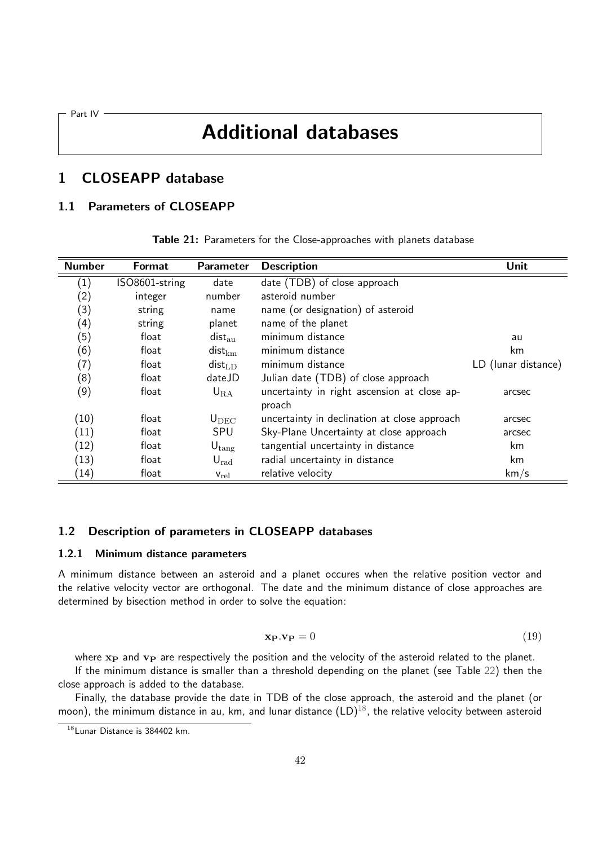<span id="page-45-0"></span>Part IV ·

## Additional databases

## <span id="page-45-1"></span>1 CLOSEAPP database

## 1.1 Parameters of CLOSEAPP

| <b>Number</b>     | <b>Format</b>  | Parameter            | <b>Description</b>                                    | Unit                |
|-------------------|----------------|----------------------|-------------------------------------------------------|---------------------|
| $\left( 1\right)$ | ISO8601-string | date                 | date (TDB) of close approach                          |                     |
| (2)               | integer        | number               | asteroid number                                       |                     |
| (3)               | string         | name                 | name (or designation) of asteroid                     |                     |
| (4)               | string         | planet               | name of the planet                                    |                     |
| (5)               | float          | $dist_{\rm au}$      | minimum distance                                      | au                  |
| (6)               | float          | $dist_{km}$          | minimum distance                                      | km                  |
| (7)               | float          | $dist_{LD}$          | minimum distance                                      | LD (lunar distance) |
| (8)               | float          | dateJD               | Julian date (TDB) of close approach                   |                     |
| (9)               | float          | $U_{\rm RA}$         | uncertainty in right ascension at close ap-<br>proach | arcsec              |
| (10)              | float          | $U_{DEC}$            | uncertainty in declination at close approach          | arcsec              |
| (11)              | float          | SPU                  | Sky-Plane Uncertainty at close approach               | arcsec              |
| (12)              | float          | ${\sf U}_{\rm tang}$ | tangential uncertainty in distance                    | km.                 |
| (13)              | float          | $U_{\rm rad}$        | radial uncertainty in distance                        | km                  |
| (14)              | float          | $V_{\rm rel}$        | relative velocity                                     | km/s                |

Table 21: Parameters for the Close-approaches with planets database

#### 1.2 Description of parameters in CLOSEAPP databases

#### 1.2.1 Minimum distance parameters

A minimum distance between an asteroid and a planet occures when the relative position vector and the relative velocity vector are orthogonal. The date and the minimum distance of close approaches are determined by bisection method in order to solve the equation:

$$
\mathbf{x}_{\mathbf{P}}.\mathbf{v}_{\mathbf{P}} = 0 \tag{19}
$$

where  $x_P$  and  $v_P$  are respectively the position and the velocity of the asteroid related to the planet.

If the minimum distance is smaller than a threshold depending on the planet (see Table [22\)](#page-46-0) then the close approach is added to the database.

Finally, the database provide the date in TDB of the close approach, the asteroid and the planet (or moon), the minimum distance in au, km, and lunar distance  $(LD)^{18}$  $(LD)^{18}$  $(LD)^{18}$ , the relative velocity between asteroid

<span id="page-45-2"></span><sup>18</sup>Lunar Distance is 384402 km.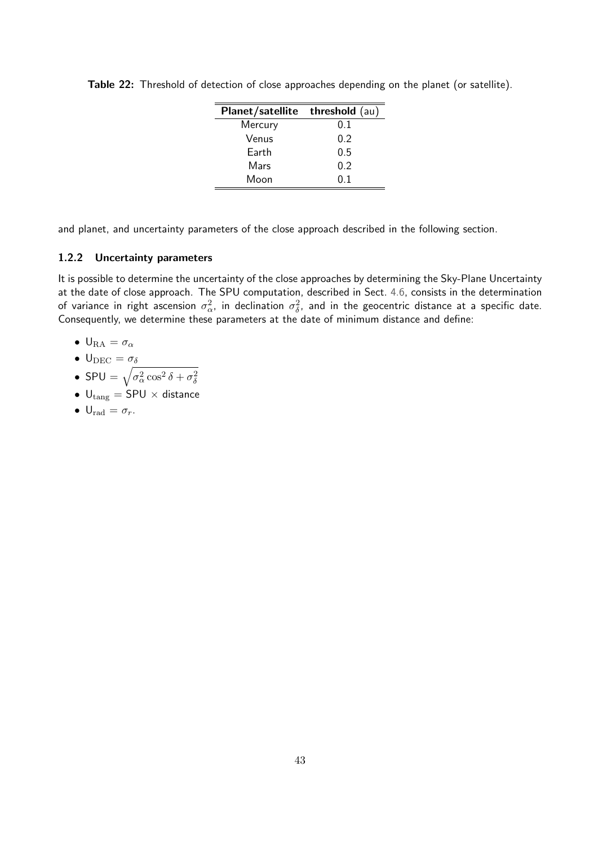| Planet/satellite threshold (au) |     |
|---------------------------------|-----|
| Mercury                         | 0.1 |
| Venus                           | 0.2 |
| Earth                           | 0.5 |
| Mars                            | 0.2 |
| Moon                            | ი 1 |

<span id="page-46-0"></span>Table 22: Threshold of detection of close approaches depending on the planet (or satellite).

and planet, and uncertainty parameters of the close approach described in the following section.

#### 1.2.2 Uncertainty parameters

It is possible to determine the uncertainty of the close approaches by determining the Sky-Plane Uncertainty at the date of close approach. The SPU computation, described in Sect. [4.6,](#page-41-0) consists in the determination of variance in right ascension  $\sigma_{\alpha}^2$ , in declination  $\sigma_{\delta}^2$ , and in the geocentric distance at a specific date. Consequently, we determine these parameters at the date of minimum distance and define:

- $U_{\rm RA} = \sigma_\alpha$
- $U_{DEC} = \sigma_{\delta}$
- SPU =  $\sqrt{\sigma_{\alpha}^2 \cos^2 \delta + \sigma_{\delta}^2}$
- $U_{\text{tang}} = SPU \times \text{distance}$
- $U_{\text{rad}} = \sigma_r$ .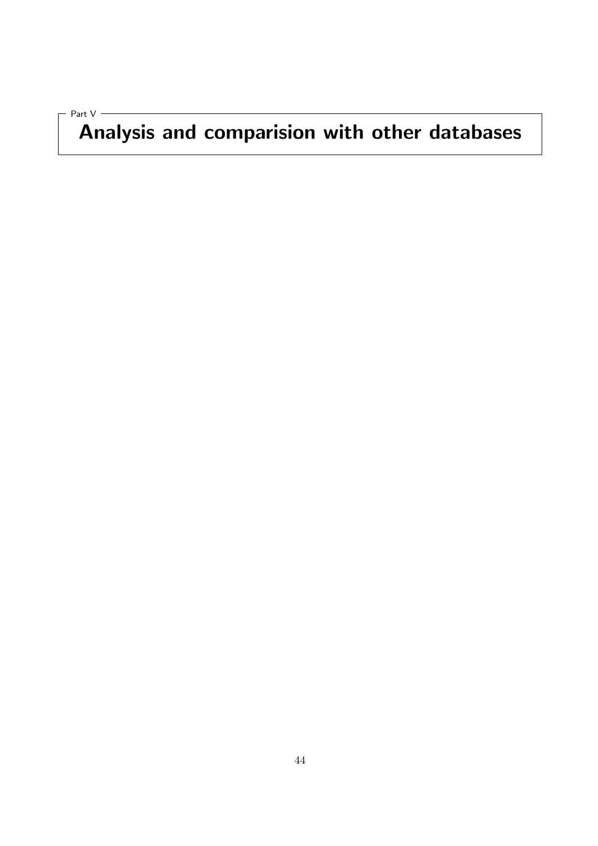<span id="page-47-0"></span>Part V

# Analysis and comparision with other databases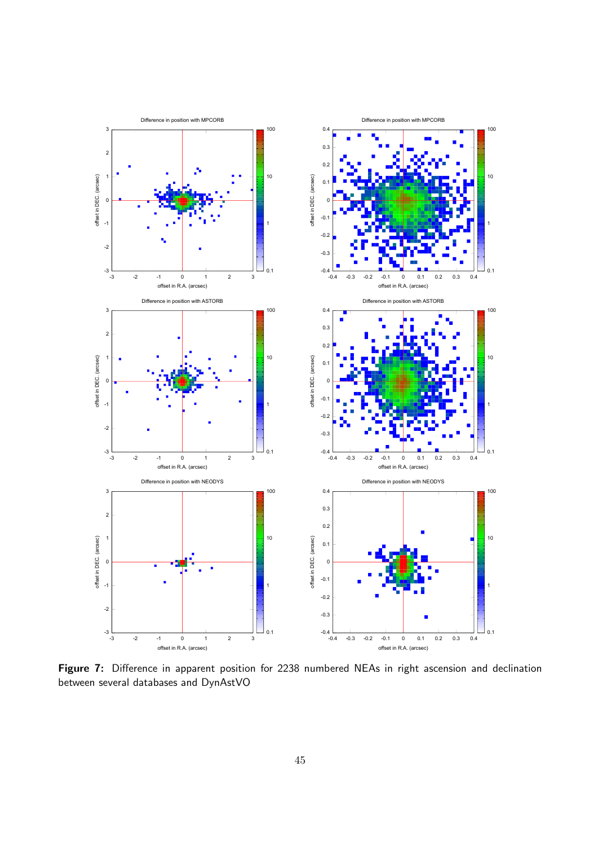<span id="page-48-0"></span>![](_page_48_Figure_0.jpeg)

Figure 7: Difference in apparent position for 2238 numbered NEAs in right ascension and declination between several databases and DynAstVO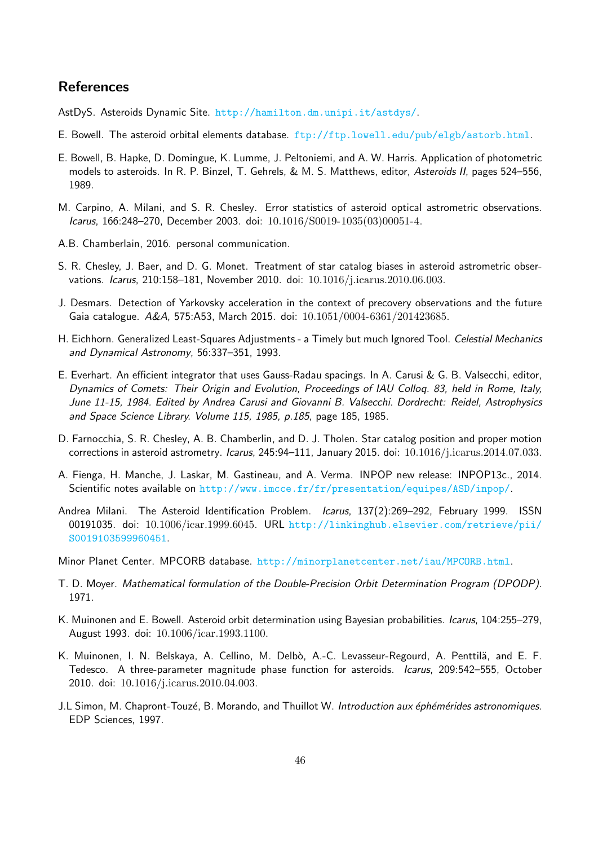## **References**

<span id="page-49-2"></span>AstDyS. Asteroids Dynamic Site. <http://hamilton.dm.unipi.it/astdys/>.

- <span id="page-49-0"></span>E. Bowell. The asteroid orbital elements database.  $ftp://ftp.lowerdl.edu/pub/elyb/astrorb.html$ .
- <span id="page-49-3"></span>E. Bowell, B. Hapke, D. Domingue, K. Lumme, J. Peltoniemi, and A. W. Harris. Application of photometric models to asteroids. In R. P. Binzel, T. Gehrels, & M. S. Matthews, editor, Asteroids II, pages 524–556, 1989.
- <span id="page-49-13"></span>M. Carpino, A. Milani, and S. R. Chesley. Error statistics of asteroid optical astrometric observations. Icarus, 166:248–270, December 2003. doi: 10.1016/S0019-1035(03)00051-4.
- <span id="page-49-7"></span>A.B. Chamberlain, 2016. personal communication.
- <span id="page-49-14"></span>S. R. Chesley, J. Baer, and D. G. Monet. Treatment of star catalog biases in asteroid astrometric observations. Icarus, 210:158–181, November 2010. doi: 10.1016/j.icarus.2010.06.003.
- <span id="page-49-9"></span>J. Desmars. Detection of Yarkovsky acceleration in the context of precovery observations and the future Gaia catalogue. A&A, 575:A53, March 2015. doi: 10.1051/0004-6361/201423685.
- <span id="page-49-12"></span>H. Eichhorn. Generalized Least-Squares Adjustments - a Timely but much Ignored Tool. Celestial Mechanics and Dynamical Astronomy, 56:337–351, 1993.
- <span id="page-49-11"></span>E. Everhart. An efficient integrator that uses Gauss-Radau spacings. In A. Carusi & G. B. Valsecchi, editor, Dynamics of Comets: Their Origin and Evolution, Proceedings of IAU Colloq. 83, held in Rome, Italy, June 11-15, 1984. Edited by Andrea Carusi and Giovanni B. Valsecchi. Dordrecht: Reidel, Astrophysics and Space Science Library. Volume 115, 1985, p.185, page 185, 1985.
- <span id="page-49-15"></span>D. Farnocchia, S. R. Chesley, A. B. Chamberlin, and D. J. Tholen. Star catalog position and proper motion corrections in asteroid astrometry. Icarus, 245:94-111, January 2015. doi: 10.1016/j.icarus.2014.07.033.
- <span id="page-49-10"></span>A. Fienga, H. Manche, J. Laskar, M. Gastineau, and A. Verma. INPOP new release: INPOP13c., 2014. Scientific notes available on <http://www.imcce.fr/fr/presentation/equipes/ASD/inpop/>.
- <span id="page-49-5"></span>Andrea Milani. The Asteroid Identification Problem. Icarus, 137(2):269-292, February 1999. ISSN 00191035. doi: 10.1006/icar.1999.6045. URL [http://linkinghub.elsevier.com/retrieve/pii/](http://linkinghub.elsevier.com/retrieve/pii/S0019103599960451) [S0019103599960451](http://linkinghub.elsevier.com/retrieve/pii/S0019103599960451).
- <span id="page-49-1"></span>Minor Planet Center. MPCORB database. <http://minorplanetcenter.net/iau/MPCORB.html>.
- <span id="page-49-8"></span>T. D. Moyer. Mathematical formulation of the Double-Precision Orbit Determination Program (DPODP). 1971.
- <span id="page-49-4"></span>K. Muinonen and E. Bowell. Asteroid orbit determination using Bayesian probabilities. Icarus, 104:255–279, August 1993. doi: 10.1006/icar.1993.1100.
- <span id="page-49-16"></span>K. Muinonen, I. N. Belskaya, A. Cellino, M. Delbò, A.-C. Levasseur-Regourd, A. Penttilä, and E. F. Tedesco. A three-parameter magnitude phase function for asteroids. Icarus, 209:542-555, October 2010. doi: 10.1016/j.icarus.2010.04.003.
- <span id="page-49-6"></span>J.L Simon, M. Chapront-Touzé, B. Morando, and Thuillot W. Introduction aux éphémérides astronomiques. EDP Sciences, 1997.